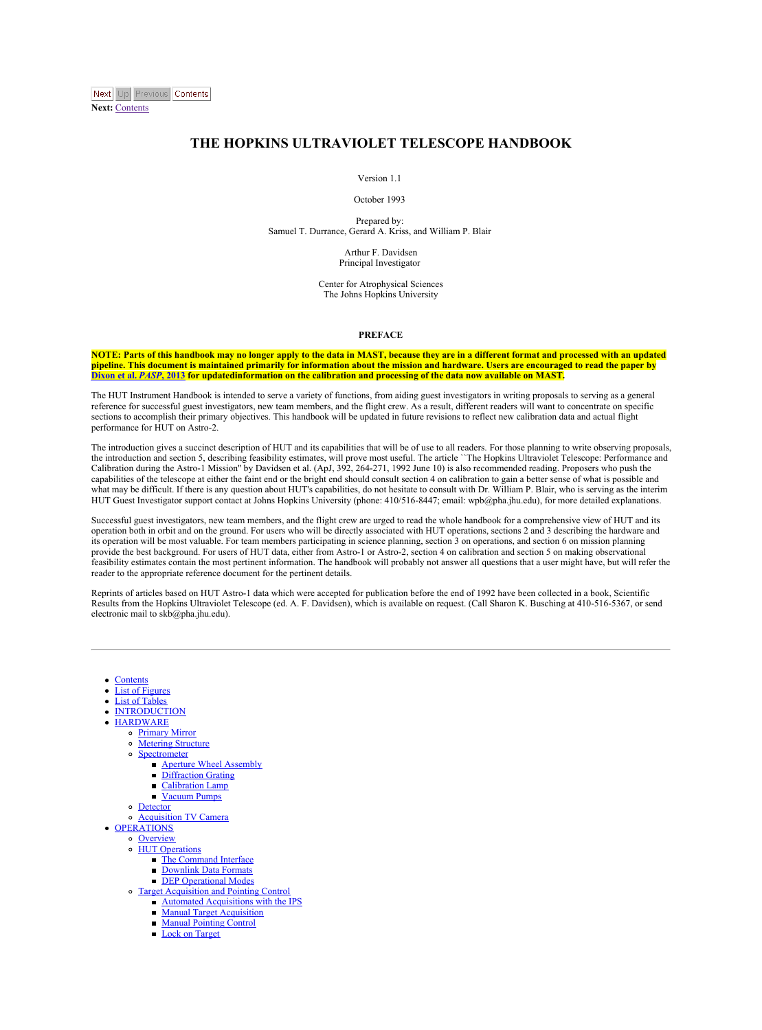<span id="page-0-0"></span>

**Next:** [Contents](#page-2-0)

### **THE HOPKINS ULTRAVIOLET TELESCOPE HANDBOOK**

#### Version 1.1

#### October 1993

Prepared by:<br>Samuel T. Durrance, Gerard A. Kriss, and William P. Blair

Arthur F. Davidsen Principal Investigator

Center for Atrophysical Sciences The Johns Hopkins University

#### **PREFACE**

NOTE: Parts of this handbook may no longer annly to the data in MAST, because they are in a different format and processed with an undated pipeline. This document is maintained primarily for information about the mission and hardware. Users are encouraged to read the paper by [Dixon](http://adsabs.harvard.edu/abs/2013arXiv1303.6131D) et al. PASP, 2013 for updatedinformation on the calibration and processing of the data now available on MAST.

The HUT Instrument Handbook is intended to serve a variety of functions, from aiding guest investigators in writing proposals to serving as a general reference for successful guest investigators, new team members, and the flight crew. As a result, different readers will want to concentrate on specific sections to accomplish their primary objectives. This handbook will be updated in future revisions to reflect new calibration data and actual flight<br>performance for HUT on Astro-2.

The introduction gives a succinct description of HUT and its capabilities that will be of use to all readers. For those planning to write observing proposals,<br>the introduction and section 5, describing feasibility estimate Inc mutomecron and second 3, describing reasonity estimates, will prove must useful. The article 21 are rioposites charavolet reascope. Performance Calibration during the Astro-1 Mission" by Davidsen et al. (ApJ, 392, 264capabilities of the telescope at either the faint end or the bright end should consult section 4 on calibration to gain a better sense of what is possible and<br>what may be difficult. If there is any question about HUT's cap HUT Guest Investigator support contact at Johns Hopkins University (phone: 410/516-8447; email: wpb@pha.jhu.edu), for more detailed explanations.

Successful guest investigators, new team members, and the flight crew are urged to read the whole handbook for a comprehensive view of HUT and its operation both in orbit and on the ground. For users who will be directly associated with HUT operations, sections 2 and 3 describing the hardware and its operation will be most valuable. For team members participating in science planning, section 3 on operations, and section 6 on mission planning provide the best background. For users of HUT data, either from Astro-1 or Astro-2, section 4 on calibration and section 5 on making observational<br>feasibility estimates contain the most pertinent information. The handbook reader to the appropriate reference document for the pertinent details.

Reprints of articles based on HUT Astro-1 data which were accepted for publication before the end of 1992 have been collected in a book, Scientific Results from the Hopkins Ultraviolet Telescope (ed. A. F. Davidsen), which is available on request. (Call Sharon K. Busching at 410-516-5367, or send electronic mail to skb@pha.jhu.edu).

- **[Contents](#page-2-1)**
- List of [Figures](#page-3-0)
- List of [Tables](#page-4-0)
- [INTRODUCTION](#page-5-0)
	- [HARDWARE](#page-8-0)
	- [Primary](#page-10-0) Mirror
	- **[Metering](#page-11-0) Structure**
	- **[Spectrometer](#page-12-0)**
	- Aperture Wheel [Assembly](#page-13-0)
		- [Diffraction](#page-14-0) Grating
	- [Calibration](#page-15-0) Lamp
	- [Vacuum](#page-16-0) Pumps
	- **[Detector](#page-17-0)**
- [Acquisition](#page-18-0) TV Camera
- [OPERATIONS](#page-19-0)
	- **[Overview](#page-20-0)** 
		- HUT [Operations](#page-21-0)
			- The [Command](#page-22-0) Interface
			- [Downlink](#page-24-0) Data Formats
			- DEP [Operational](#page-25-0) Modes
		- Target [Acquisition](#page-26-0) and Pointing Control Automated [Acquisitions](#page-27-0) with the IPS
			- Manual Target [Acquisition](#page-28-0)
			- Manual [Pointing](#page-29-0) Control
			- Lock on [Target](#page-30-0)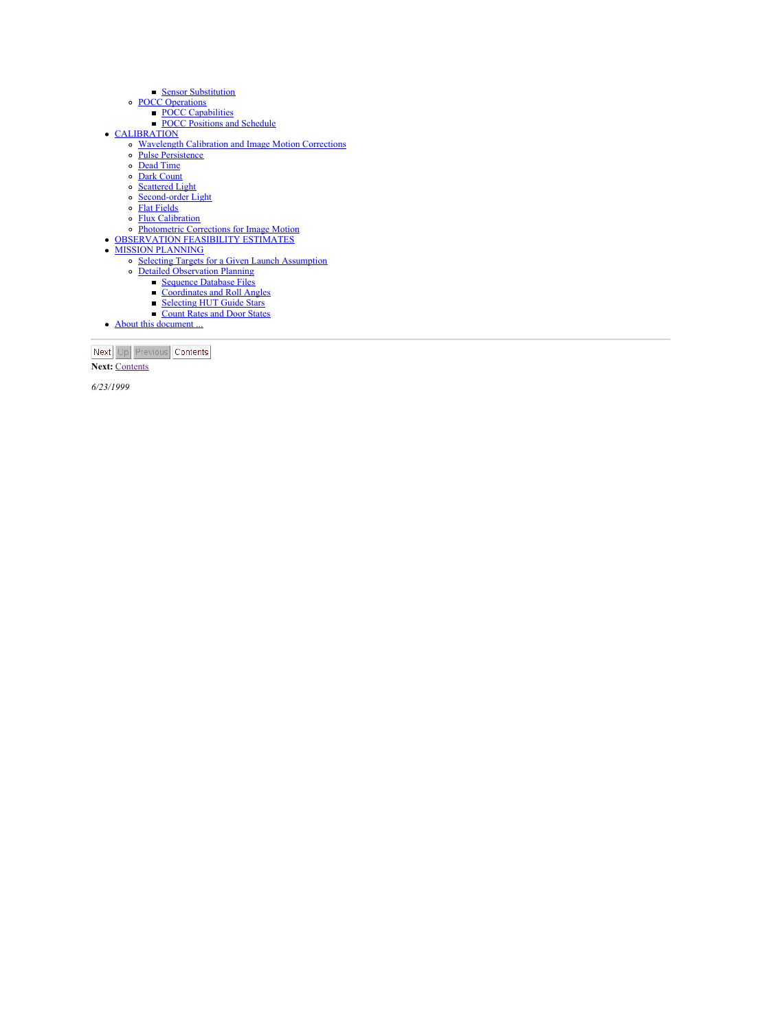- 
- 
- Sensor [Substitution](#page-31-0)<br>
POCC [Operations](#page-32-0)<br>
POCC [Positions](#page-34-0) and Schedule<br>
POCC Positions and Schedule
- 
- **[CALIBRATION](#page-35-0)** and Image Motion Corrections
	- $\ddot{\phantom{a}}$ Pulse [Persistence](#page-37-0)
	- ÷ Dead [Time](#page-38-0)
	- Ä Dark [Count](#page-39-0)
	- $\ddot{\phantom{0}}$ [Scattered](#page-40-0) Light
	- $\ddot{\phantom{0}}\phantom{0}\phantom{0}$ [Second-order](#page-41-0) Light
- Flat [Fields](#page-42-0)
- 
- **Flux [Calibration](#page-44-0)<br>• [Photometric](#page-47-0) Corrections for Image Motion<br>[OBSERVATION](#page-48-0) FEASIBILITY ESTIMATES**
- 
- MISSION [PLANNING](#page-52-0)
- Sequention
	- Detailed [Observation](#page-54-0) Planning
		- [Sequence](#page-55-0) Database Files
		- [Coordinates](#page-56-0) and Roll Angles
		- [Selecting](#page-57-0) HUT Guide Stars [Count](#page-58-0) Rates and Door States
- About this [document](#page-60-0)...

|  | vinist Conte |
|--|--------------|
|  |              |

 $\Delta$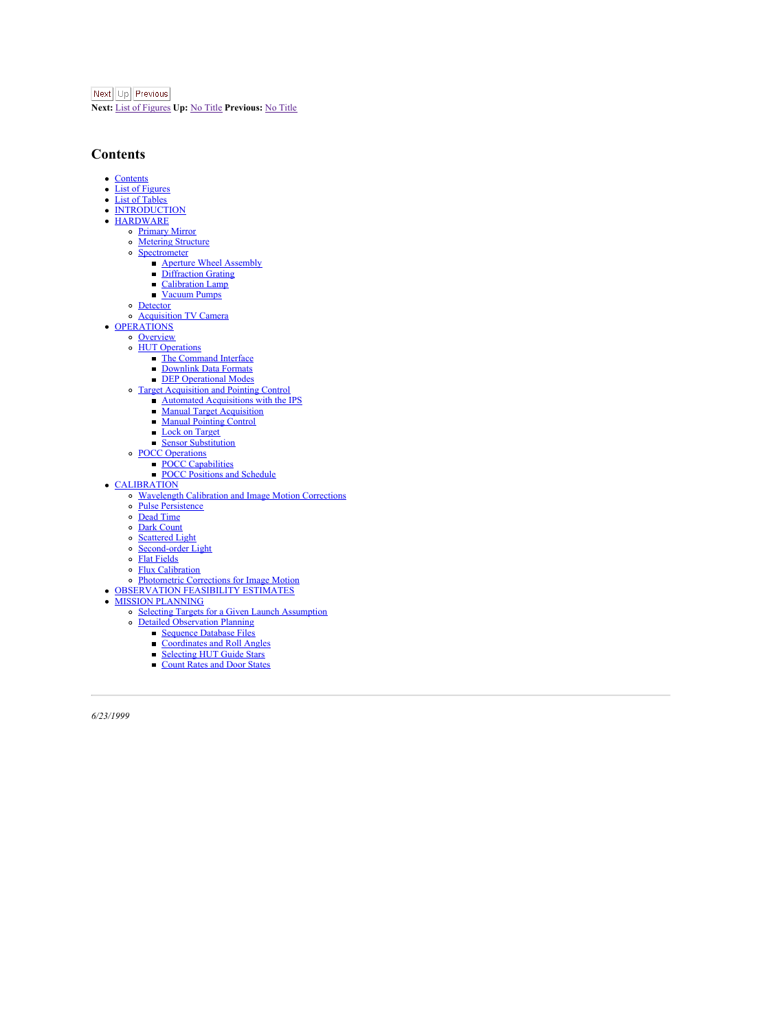<span id="page-2-0"></span>Next Up Previous

**Next:** List of [Figures](#page-3-1) **Up:** No [Title](#page-0-0) **Previous:** No [Title](#page-0-0)

## <span id="page-2-1"></span>**Contents**

- $\lambda$ **[Contents](#page-2-1)**
- List of [Figures](#page-3-0)
- List of [Tables](#page-4-0)
- [INTRODUCTION](#page-5-0)
- [HARDWARE](#page-8-0)
	- [Primary](#page-10-0) Mirror
	- [Metering](#page-11-0) Structure
		- **[Spectrometer](#page-12-0)** Aperture Wheel [Assembly](#page-13-0)
			- [Diffraction](#page-14-0) Grating
			- [Calibration](#page-15-0) Lamp
			- [Vacuum](#page-16-0) Pumps
		- **[Detector](#page-17-0)**
	- [Acquisition](#page-18-0) TV Camera
- [OPERATIONS](#page-19-0)
- **[Overview](#page-20-0)** 
	- HUT [Operations](#page-21-0)
		- The [Command](#page-22-0) Interface
		- [Downlink](#page-24-0) Data Formats
		- DEP [Operational](#page-25-0) Modes
		- Target [Acquisition](#page-26-0) and Pointing Control
	- Automated [Acquisitions](#page-27-0) with the IPS
		- Manual Target [Acquisition](#page-28-0)
		- Manual [Pointing](#page-29-0) Control
		- Lock on [Target](#page-30-0)
		- Sensor [Substitution](#page-31-0)
		- POCC [Operations](#page-32-0)
		- POCC [Capabilities](#page-33-0)
		- z POCC [Positions](#page-34-0) and Schedule
- [CALIBRATION](#page-35-0)
	- [Wavelength](#page-36-0) Calibration and Image Motion Corrections
	- Pulse [Persistence](#page-37-0)
	- Dead [Time](#page-38-0)
	- Dark [Count](#page-39-0)
	- [Scattered](#page-40-0) Light
	- [Second-order](#page-41-0) Light
	- Flat [Fields](#page-42-0)
	- Flux [Calibration](#page-44-0)
	-
- [Photometric](#page-47-0) Corrections for Image Motion [OBSERVATION](#page-48-0) FEASIBILITY ESTIMATES
- MISSION [PLANNING](#page-52-0)
- Selecting Targets for a Given Launch [Assumption](#page-53-0)
	- Detailed [Observation](#page-54-0) Planning
		-
		- [Sequence](#page-55-0) Database Files
			- [Coordinates](#page-56-0) and Roll Angles
			- [Selecting](#page-57-0) HUT Guide Stars
		- [Count](#page-58-0) Rates and Door States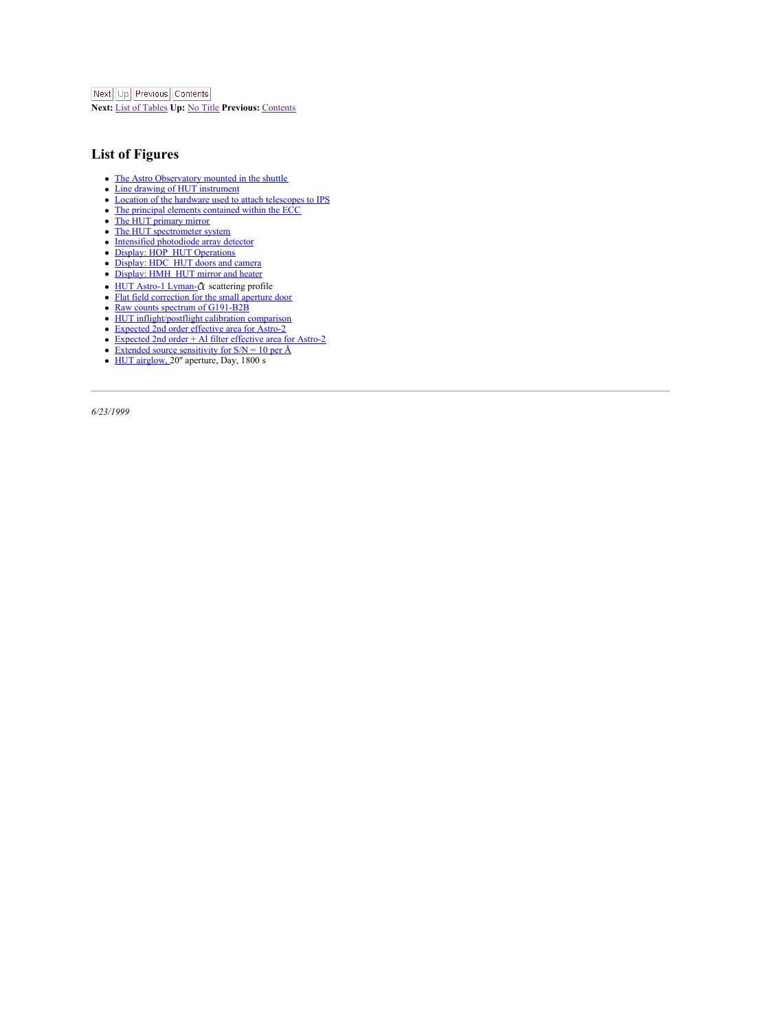<span id="page-3-1"></span>Next Up Previous Contents

**Next:** List of [Tables](#page-4-1) **Up:** No [Title](#page-0-0) **Previous:** [Contents](#page-2-0)

## <span id="page-3-0"></span>**List of Figures**

- $\lambda$ The Astro [Observatory](#page-5-1) mounted in the shuttle
- ÷ Line drawing of HUT [instrument](#page-6-0)
- z Location of the hardware used to attach [telescopes](#page-7-0) to IPS The principal elements [contained](#page-8-1) within the ECC  $\ddot{\phantom{a}}$
- 
- ÷ The HUT [primary](#page-10-1) mirror
- The HUT [spectrometer](#page-12-1) system
- Intensified [photodiode](#page-17-1) array detector
- $\vdots$ Display: HOP HUT [Operations](#page-22-1)
- [Display:](#page-22-2) HDC HUT doors and camera
- [Display:](#page-23-0) HMH HUT mirror and heater<br>HUT [Astro-1](#page-40-1) Lyman- Ct scattering profile
- $\vdots$
- Flat field [correction](#page-42-1) for the small aperture door
- Raw counts spectrum of [G191-B2B](#page-42-2)
- HUT [inflight/postflight](#page-42-3) calibration comparison
- [Expected](#page-45-0) 2nd order effective area for Astro-2
- ÷ [Expected](#page-45-1) 2nd order + Alfilter effective area for Astro-2
- Extended source [sensitivity](#page-48-1) for S/N = 10 per Å HUT [airglow,](#page-49-0) 20'' aperture, Day, 1800 s
- ÷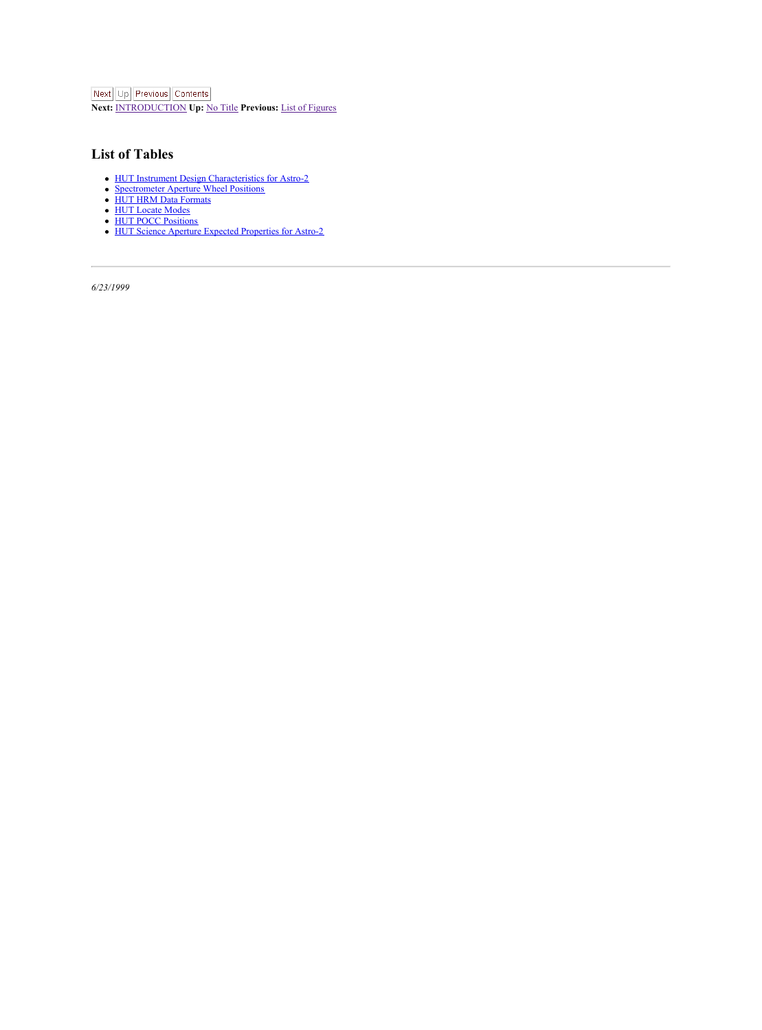<span id="page-4-1"></span>Next Up Previous Contents

**Next:** [INTRODUCTION](#page-6-1) **Up:** No [Title](#page-0-0) **Previous:** List of [Figures](#page-3-1)

## <span id="page-4-0"></span>**List of Tables**

- HUT Instrument Design [Characteristics](#page-5-2) for Astro-2 [Spectrometer](#page-13-1) Aperture Wheel Positions
- 
- HUT HRM Data [Formats](#page-24-1) HUT [Locate](#page-25-1) Modes HUT POCC [Positions](#page-34-1)
- 
- 
- **2018**<br><sup>Hure</sup> Expected [Properties](#page-49-1) for Astro-2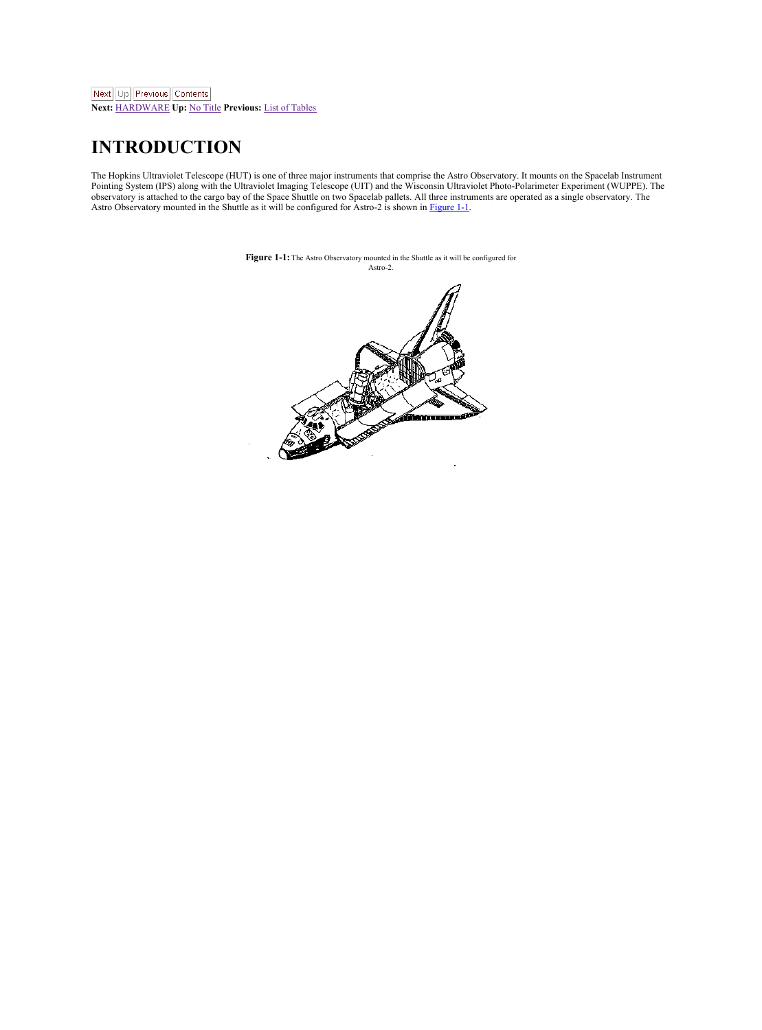## <span id="page-5-0"></span>**INTRODUCTION**

The Hopkins Ultraviolet Telescope (HUT) is one of three major instruments that comprise the Astro Observatory. It mounts on the Spacelab Instrument<br>Pointing System (IPS) along with the Ultraviolet Imaging Telescope (UIT) a Astro Observatory mounted in the Shuttle as it will be configured for Astro-2 is shown in [Figure](#page-5-1) 1-1.

<span id="page-5-2"></span><span id="page-5-1"></span>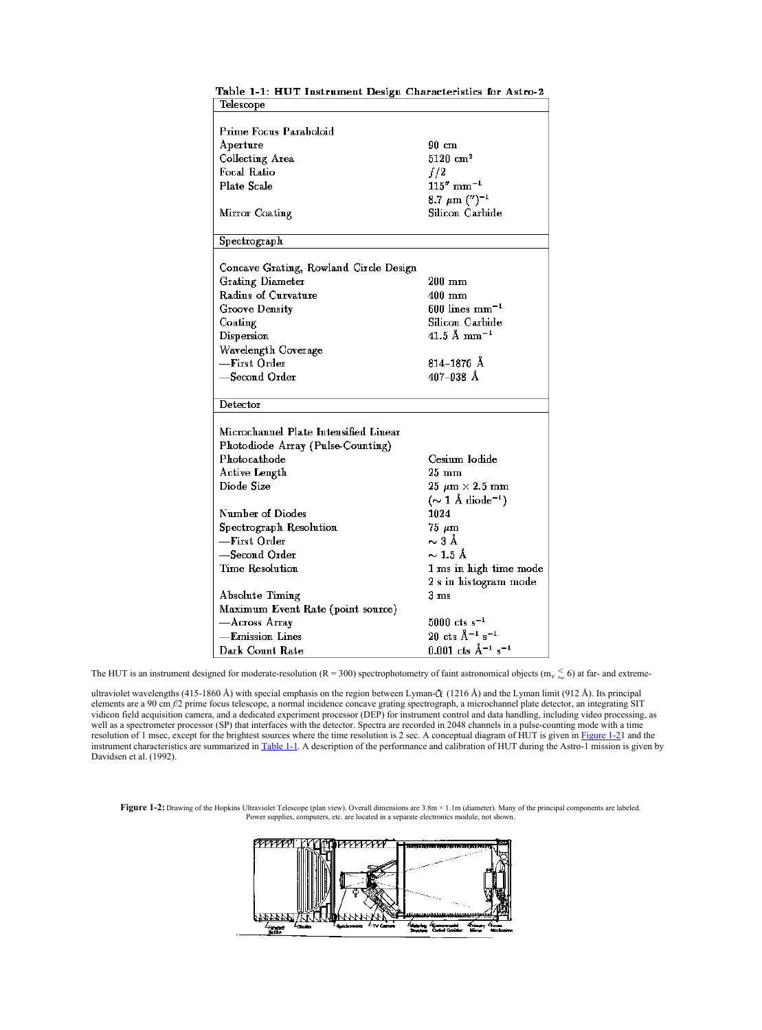| Table 1-1: HUT Instrument Design Characteristics for Astro-2<br>Telescope |                                        |
|---------------------------------------------------------------------------|----------------------------------------|
|                                                                           |                                        |
| <b>Prime Focus Paraboloid</b>                                             |                                        |
| Auerture                                                                  | $90 \text{ cm}$                        |
| Collecting Area                                                           | $5120 \text{ cm}^2$                    |
| <b>Focal Ratio</b>                                                        | f/2                                    |
| <b>Plate Scale</b>                                                        | $115''$ mm <sup>-1</sup>               |
|                                                                           | $8.7 \ \mu m$ (") <sup>-1</sup>        |
|                                                                           | Silicon Carbide                        |
| Mirror Coating                                                            |                                        |
| Spectrograph                                                              |                                        |
|                                                                           |                                        |
| Concave Grating, Rowland Circle Design                                    |                                        |
| Grating Diameter                                                          | $200 \text{ mm}$                       |
| Radius of Curvature                                                       | 400 mm                                 |
| <b>Groove Density</b>                                                     | $600$ lines mm <sup>-1</sup>           |
| Coating                                                                   | Silicon Carbide                        |
| Dispersion                                                                | $41.5 \text{ Å mm}^{-1}$               |
| Wavelength Coverage                                                       |                                        |
| -First Order                                                              | 814–1876 Å                             |
| -Second Order                                                             | 407-938 Å                              |
|                                                                           |                                        |
| Detector                                                                  |                                        |
|                                                                           |                                        |
| Microchannel Plate Intensified Linear                                     |                                        |
| Photodiode Array (Pulse-Counting)                                         |                                        |
| Photocathode                                                              | Cesium Iodide                          |
| <b>Active Length</b>                                                      | $25 \, \mathrm{mm}$                    |
| Diode Size                                                                | $25 \mu m \times 2.5 \text{ mm}$       |
|                                                                           | $(\sim 1$ Å diode <sup>-1</sup> )      |
| Number of Diodes                                                          | 1024                                   |
| Spectrograph Resolution                                                   | $75~\mu m$                             |
| -First Order                                                              | $\sim$ 3 Å                             |
| -Second Order                                                             | $\sim$ 1.5 Å                           |
| <b>Time Resolution</b>                                                    | 1 ms in high time mode                 |
|                                                                           | 2 s in histogram mode                  |
| Absolute Timing                                                           | 3 <sub>ms</sub>                        |
| Maximum Event Rate (point source)                                         |                                        |
| -Across Array                                                             | $5000$ cts s <sup>-1</sup>             |
| -Emission Lines                                                           | $20$ cts $\AA^{-1}$ s <sup>-1</sup>    |
| Dark Count Rate                                                           | $0.001$ cts $\AA^{-1}$ s <sup>-1</sup> |

<span id="page-6-1"></span>Table 1.1. HTTP footnoment Design Cheesesterining for Autor 6.

The HUT is an instrument designed for moderate-resolution (R = 300) spectrophotometry of faint astronomical objects (m<sub>v</sub>  $\lesssim$  6) at far- and extreme-

ultraviolet wavelengths (415-1860 Å) with special emphasis on the region between Lyman- $\hat{C}$  (1216 Å) and the Lyman limit (912 Å). Its principal elements are 190 on P2 prime focus telescope, a normal insidence conser grating specifies and and handling and<br>vidicon field acquisition camera, and a distincted experiment processor (DEP) for metament control and data han Davidsen etal. (1992).

**Figure 1-2:** Drawing of the Hopkins Ultraviolet Telescope (plan view). Overall dimensions are 3.8m ×1.1m (diameter). Many of the principal components are labeled. Power supplies, computers, etc. are located in a separate electronics module, not shown.

<span id="page-6-0"></span>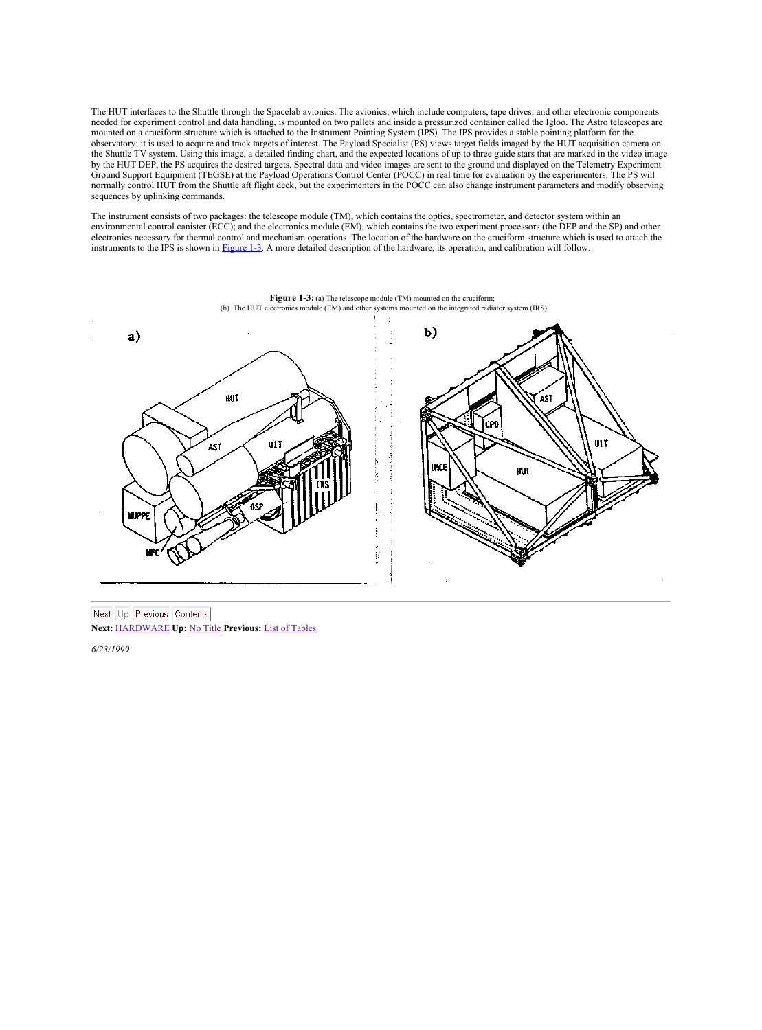The HUT interfaces to the Shuttle through the Spacelab avionics. The avionics, which include computers, tape drives, and other electronic components needed for experiment control and data handling, is mounted on two pallets and inside a pressurized container called the Igloo. The Astro telescopes are<br>mounted on a cruciform structure which is attached to the Instrument observatory; it is used to acquire and track targets of interest. The Payload Specialist (PS) views target fields imaged by the HUT acquisition camera on the Shuttle TV system. Using this image, a detailed finding chart, and the expected locations of up to three guide stars that are marked in the video image<br>by the HUT DEP, the PS acquires the desired targets. Spectral data Ground Support Equipment (TEGSE) at the Payload Operations Control Center (POCC) in real time for evaluation by the experimenters. The PS will<br>normally control HUT from the Shuttle aft flight deck, but the experimenters in sequences by uplinking commands.

The instrument consists of two packages: the telescope module (TM), which contains the optics, spectrometer, and detector system within an environmental control canister (ECC); and the electronics module (EM), which contains the two experiment processors (the DEP and the SP) and other electronics necessary for thermal control and mechanism operations. The location of the hardware on the cruciform structure which is used to attach the instruments to the IPS is shown in [Figure](#page-7-0) 1-3. A more detailed description of the hardware, its operation, and calibration will follow.

<span id="page-7-0"></span>

Next Up Previous Contents **Next:** [HARDWARE](#page-8-2) **Up:** No [Title](#page-0-0) **Previous:** List of [Tables](#page-4-1)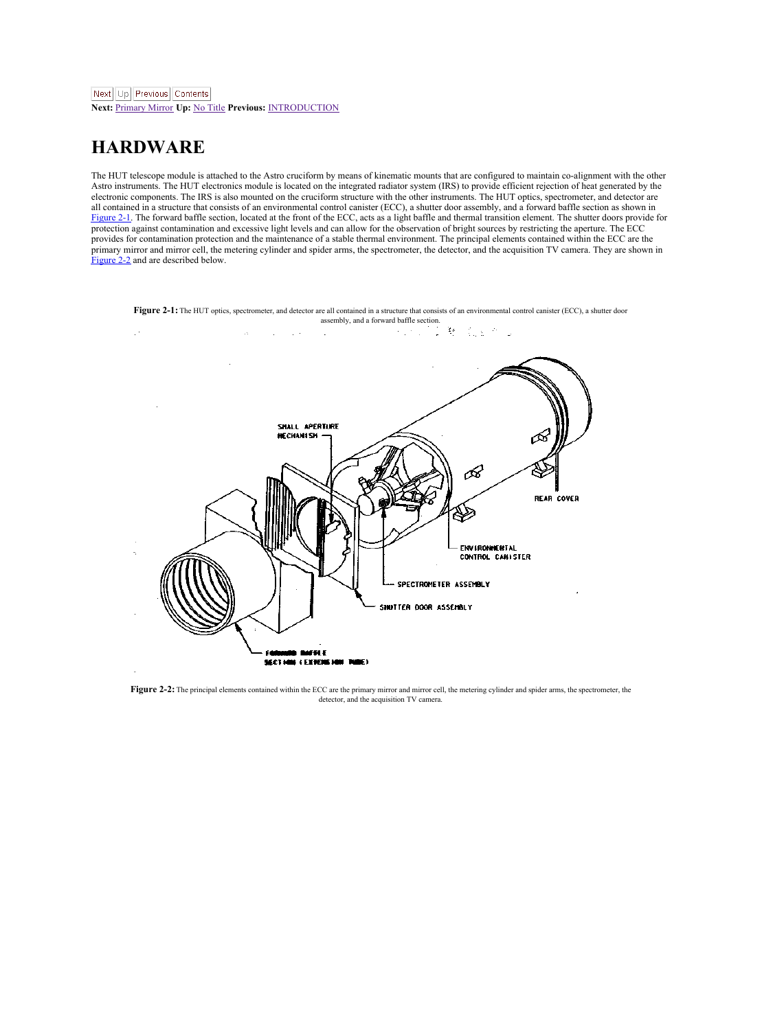<span id="page-8-3"></span><span id="page-8-2"></span>**Next:** [Primary](#page-10-2) Mirror **Up:** No [Title](#page-0-0) **Previous:** [INTRODUCTION](#page-6-1)

## <span id="page-8-0"></span>**HARDWARE**

The HUT telescope module is attached to the Astro cruciform bymeans of kinematic mounts that are configured to maintain co-alignment with the other Astro instruments. The HUT electronics module is located on the integrated radiator system (IRS) to provide efficient rejection of heat generated by the<br>electronic components. The IRS is also mounted on the cruciform struc all contained in a structure that consists of an environmental control canister (ECC), a shutter door assembly, and a forward baffle section as shown in [Figure](#page-8-1) 2-1. The forward baffle section, located at the front of the ECC, acts as a light baffle and thermal transition element. The shutter doors provide for protection against contamination and excessive light levels and can allow forthe observation of bright sources by restricting the aperture. The ECC provides for contamination protection and the maintenance of a stable thermal environment. The principal elements contained within the ECC are the<br>primary mirror and mirror cell, the metering cylinder and spider arms, the [Figure](#page-8-3) 2.2 and are described below.

<span id="page-8-1"></span>

**Figure 2-2:** The principal elements contained within the ECC are the primary mirror and mirror cell, the metering cylinder and spider arms, the spectrometer, the detector, and the acquisition TV camera.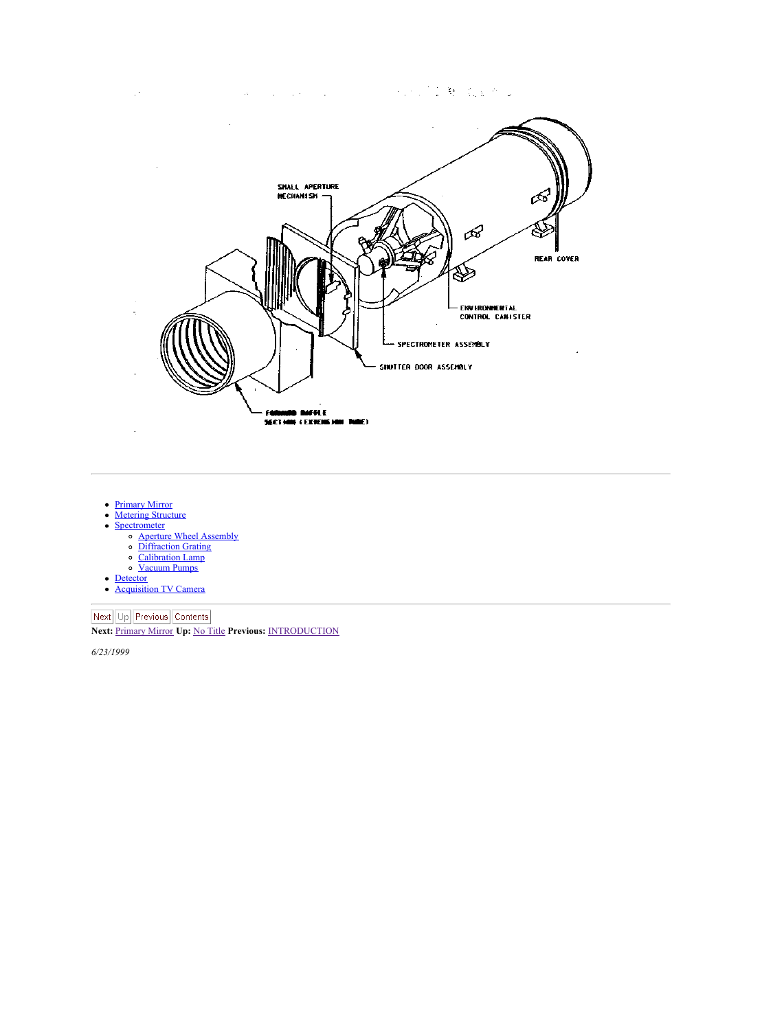

- [Primary](#page-10-0) Mirror
- [Metering](#page-11-0) Structure
- **[Spectrometer](#page-12-0)** 
	- Aperture Wheel [Assembly](#page-13-0) [Diffraction](#page-14-0) Grating
	- [Calibration](#page-15-0) Lamp
	- [Vacuum](#page-16-0) Pumps
- **[Detector](#page-17-0)** [Acquisition](#page-18-0) TV Camera

**Next:** Up Previous Contents<br>**Next:** <u>[Primary](#page-10-2) Mirror</u> Up: No [Title](#page-0-0) Previous: <u>[INTRODUCTION](#page-6-1)</u>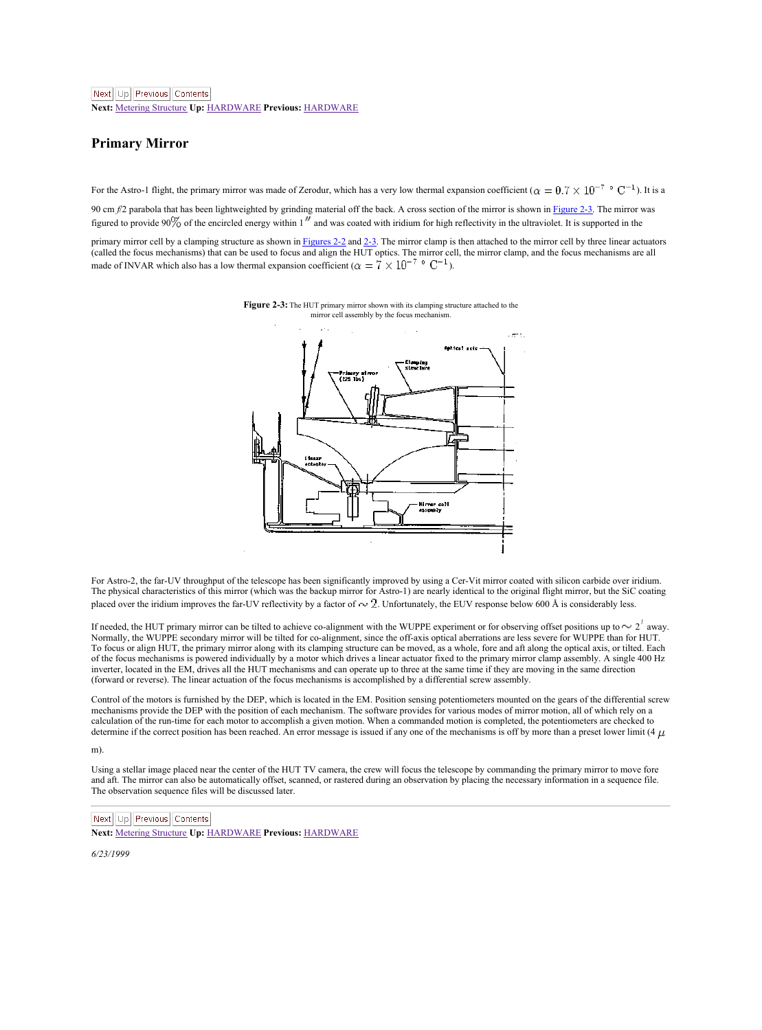<span id="page-10-2"></span>**Next:** Metering [Structure](#page-11-1) **Up:** [HARDWARE](#page-8-2) **Previous:** [HARDWARE](#page-8-2)

### <span id="page-10-0"></span>**Primary Mirror**

For the Astro-1 flight, the primary mirror was made of Zerodur, which has a very low thermal expansion coefficient (  $\alpha = 0.7 \times 10^{-7}$   $^{\circ}$   $\rm C^{-1}$  ). It is a 90 cm  $f$ ? parabola that has been lightweighted by grinding material off the back. A cross section of the mirror is shown in [Figure](#page-10-1) 2.3. The mirror was

figured to provide 90% of the encircled energy within 1<sup>1</sup> and was coated with iridium for high reflectivity in the ultraviolet. It is supported in the

primary mirror cell by a clamping structure as shown in <u>[Figures](#page-8-3) 2-2</u> and <u>[2-3](#page-10-1).</u> The mirror clamp is then attached to the mirror cell by three linear actuators<br>(called the focus mechanisms) that can be used to focus and a

<span id="page-10-1"></span>**Figure 2-3:** The HUT primary mirror shown with its clamping structure attached to the mirror cell assembly by the focus mechanism.



For Astro-2, the far-UV throughput of the telescope has been significantly improved by using a Cer-Vit mirror coated with silicon carbide over iridium. The physical characteristics of this mirror (which was the backup mirror for Astro-1) are nearly identical to the original flight mirror, but the SiC coating placed over the iridium improves the far-UV reflectivity by a factor of . Unfortunately, the EUV response below 600 Å is considerably less.

If needed, the HUT primary mirror can be tilted to achieve co-alignment with the WUPPE experiment or for observing offset positions up to  $\sim 2^l$  away. Normally, the WUPPE secondary mirror will be tilted for co-alignment, since the off-axis optical aberrations are less severe for WUPPE than for HUT. To focus or align HUT, the primary mirror along with its clamping structure can be moved, as a whole, fore and aft along the optical axis, or tilted. Each<br>of the focus mechanisms is powered individually by a motor which dr inverter, located in the EM, drives all the HUT mechanisms and can operate up to three at the same time if they are moving in the same direction (forward or reverse). The linear actuation of the focus mechanisms is accomplished by a differential screw assembly.

Control of the motors is furnished by the DEP, which is located in the EM. Position sensing potentiometers mounted on the gears of the differential screw mechanisms provide the DEP with the position of each mechanism. The software provides for various modes of mirror motion, all of which rely on a calculation of the run-time for each motor to accomplish a given motion. When a commanded motion is completed, the potentiometers are checked to determine if the correct position has been reached. An error message is issued if any one of the mechanisms is off by more than a preset lower limit (4  $\mu$ 

m).

Using a stellar image placed near the center of the HUT TV camera, the crew will focus the telescope by commanding the primary mirror to move fore<br>and aft. The mirror can also be automatically offset, scanned, or rastered The observation sequence files will be discussed later.

Next Up Previous Contents

**Next:** Metering [Structure](#page-11-1) **Up:** [HARDWARE](#page-8-2) **Previous:** [HARDWARE](#page-8-2)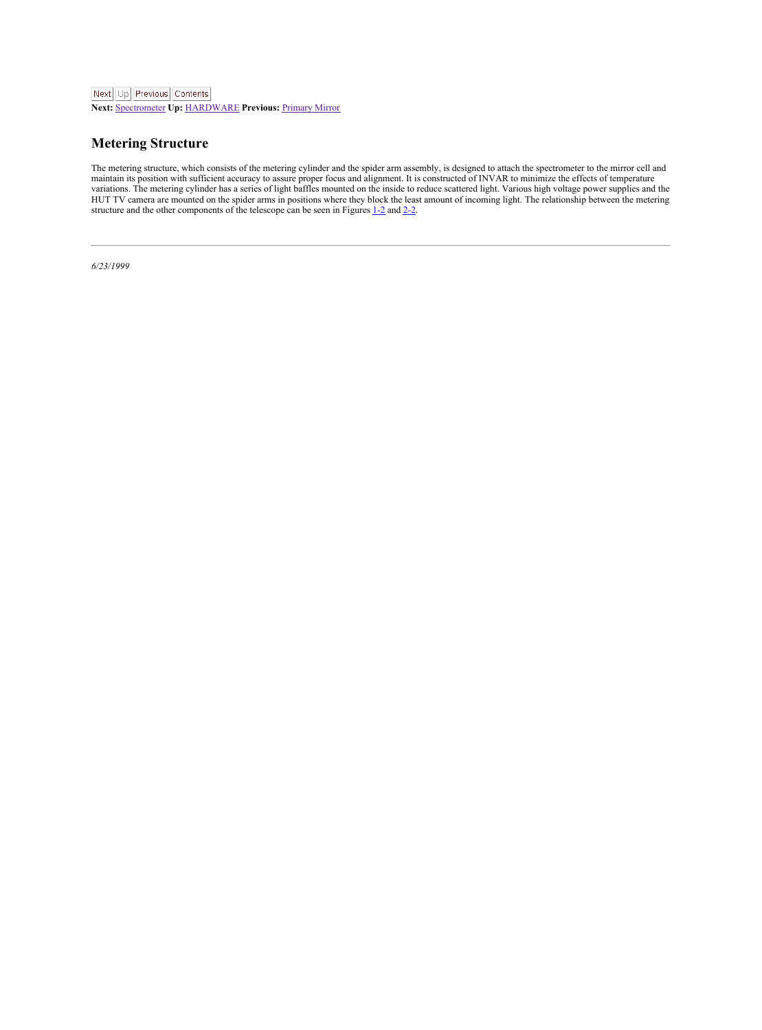<span id="page-11-1"></span>**Next:** [Spectrometer](#page-12-2) **Up:** [HARDWARE](#page-8-2) **Previous:** [Primary](#page-10-2) Mirror

## <span id="page-11-0"></span>**Metering Structure**

The metering structure, which consider of the metering cylinder and the spinder arm sacedinal consideration of the mirror cell and<br>maintain its position with sufficient accuracy to assume proper focus and allow methods (SV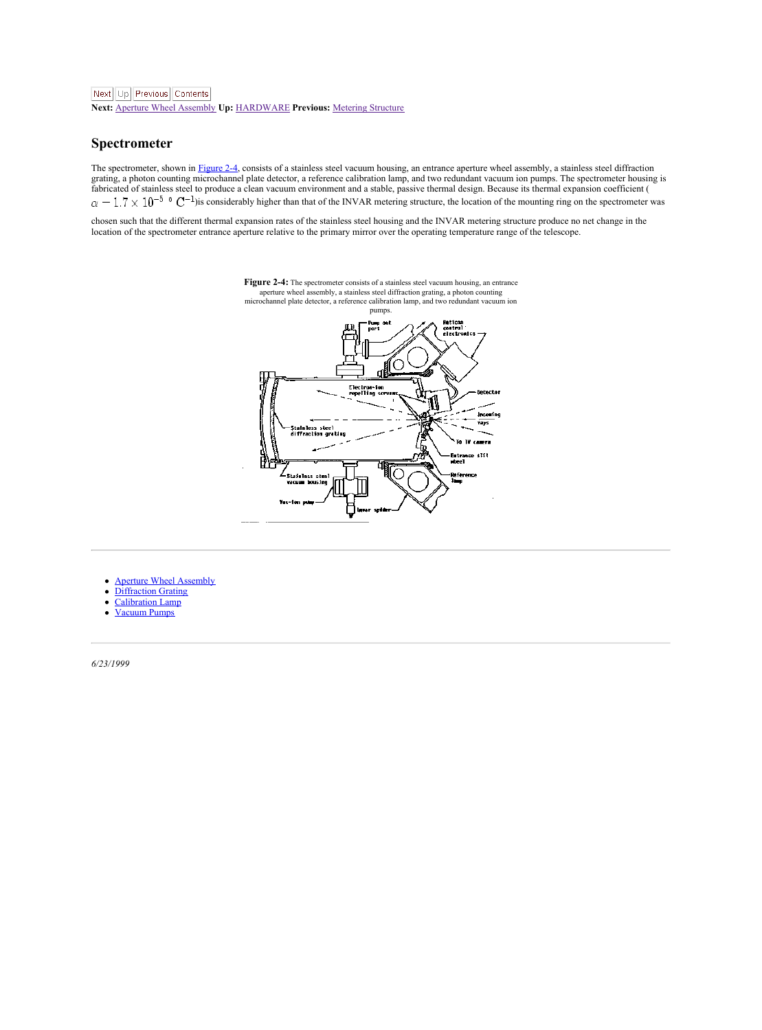<span id="page-12-2"></span>**Next:** Aperture Wheel [Assembly](#page-13-2) **Up:** [HARDWARE](#page-8-2) **Previous:** Metering [Structure](#page-11-1)

#### <span id="page-12-0"></span>**Spectrometer**

The spectrometer, shown in [Figure](#page-12-1) 2-4, consists of a stainless steel vacuum housing, an entrance aperture wheel assembly, a stainless steel diffraction<br>grating, a photon counting microchannel plate detector, a reference ca grating, a pnoton counting microchannel piate detector, a reterence cautoration iamp, and two redundant vacuum ion pumps. I ne spectrometer nousin<br>fabricated of stainless steel to produce a clean vacuum environment and a s  $\alpha = 1.7 \times 10^{-5}$  °  $\rm C^{-1}$  is considerably higher than that of the INVAR metering structure, the location of the mounting ring on the spectrometer was

chosen such that the different thermal expansion rates of the stainless steel housing and the INVAR metering structure produce no net change in the location of the spectrometer entrance aperture relative to the primary mirror over the operating temperature range of the telescope.



<span id="page-12-1"></span>**Figure 2-4:** The spectrometer consists of a stainless steel vacuum housing, an entrance aperture wheel assembly, a stainless steel diffraction grating, a photon counting microchannel plate detector, a reference calibration lamp, and two redundant vacuum ion

- Aperture Wheel [Assembly](#page-13-0)
- [Diffraction](#page-14-0) Grating
- [Calibration](#page-15-0) Lamp
- [Vacuum](#page-16-0) Pumps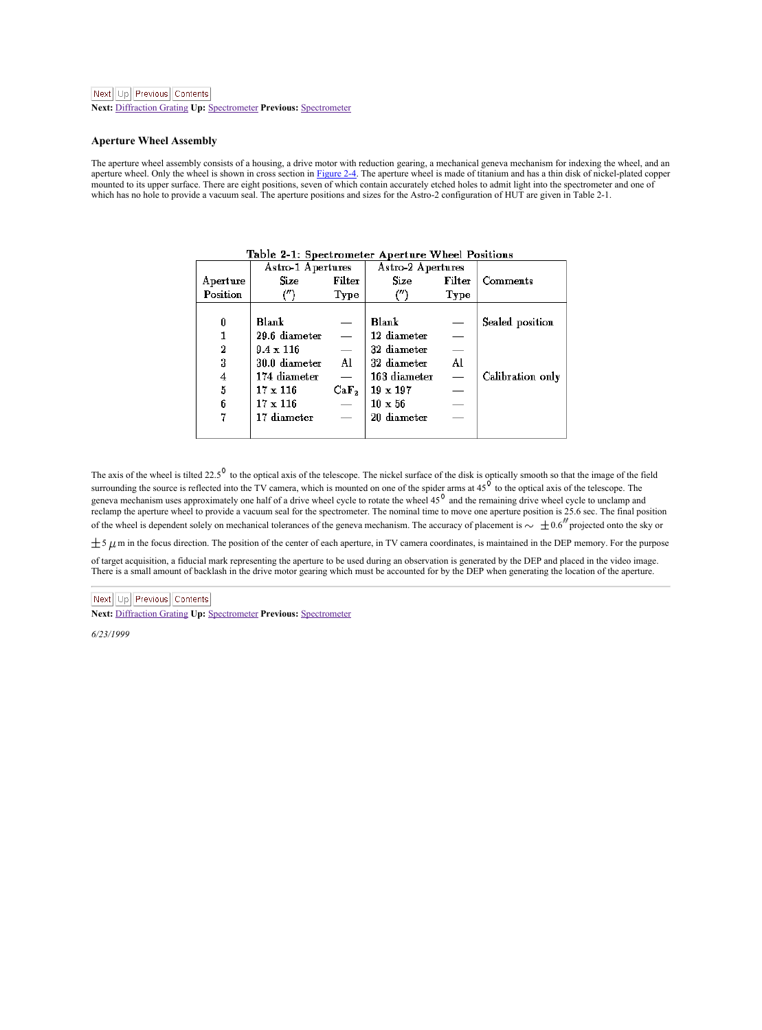<span id="page-13-2"></span>**Next:** [Diffraction](#page-14-1) Grating **Up:** [Spectrometer](#page-12-2) **Previous:** [Spectrometer](#page-12-2)

#### <span id="page-13-0"></span>**Aperture Wheel Assembly**

The aperture wheel assembly consists of a housing, a drive motor with reduction gearing, a mechanical geneva mechanism for indexing the wheel, and an<br>aperture wheel. Only the wheel is abown in cross section in [Figure](#page-12-1) 24. T which has no hole to provide a vacuum seal. The aperture positions and sizes for the Astro-2 configuration of HUT are given in Table 2-1.

|                | Astro-1 Apertures |                          | Astro-2 Apertures |                          |                  |
|----------------|-------------------|--------------------------|-------------------|--------------------------|------------------|
| Aperture       | Size              | Filter                   | <b>Size</b>       | Filter                   | Comments         |
| Position       | (")               | Type                     | (‴                | Type                     |                  |
|                |                   |                          |                   |                          |                  |
| Û              | <b>Blank</b>      | -                        | Blank             | $\overline{\phantom{a}}$ | Sealed position  |
| $\mathbf{1}$   | 29.6 diameter     | $\overline{\phantom{a}}$ | 12 diameter       | -                        |                  |
| $\overline{2}$ | $9.4 \times 116$  | -                        | 32 diameter       | -                        |                  |
| 3              | 30.0 diameter     | AI                       | 32 diameter       | A1                       |                  |
| $\overline{4}$ | 174 diameter      | -                        | 163 diameter      | -                        | Calibration only |
| 5              | $17 \times 116$   | CaF <sub>2</sub>         | $19 \times 197$   | $\overline{\phantom{a}}$ |                  |
| 6              | 17 × 116          | $\overline{\phantom{a}}$ | $10 \times 56$    | -                        |                  |
| 7              | 17 diameter       | -                        | 20 diameter       | -                        |                  |
|                |                   |                          |                   |                          |                  |

<span id="page-13-1"></span>Table 2-1: Spectrometer Aperture Wheel Positions

The axis of the wheel is tilted 22.5<sup>9</sup> to the optical axis of the telescope. The nickel surface of the disk is optically smooth so that the image of the field<br>surrounding the source is reflected into the TV camera, which reclamp the aperture wheel to provide a vacuum seal for the spectrometer. The nominal time to move one aperture position is 25.6 sec. The final position of the wheel is dependent solely on mechanical tolerances of the geneva mechanism. The accuracy of placement is  $\sim +0.6$  projected onto the sky or

 $\pm$  5  $\mu$  m in the focus direction. The position of the center of each aperture, in TV camera coordinates, is maintained in the DEP memory. For the purpose

of target acquisition, a fiducial mark representing the aperture to be used during an observation is generated by the DEP and placed in the video image. There is a small amount of backlash in the drive motor gearing which must be accounted for by the DEP when generating the location of the aperture.

## Next Up Previous Contents

**Next:** [Diffraction](#page-14-1) Grating **Up:** [Spectrometer](#page-12-2) **Previous:** [Spectrometer](#page-12-2)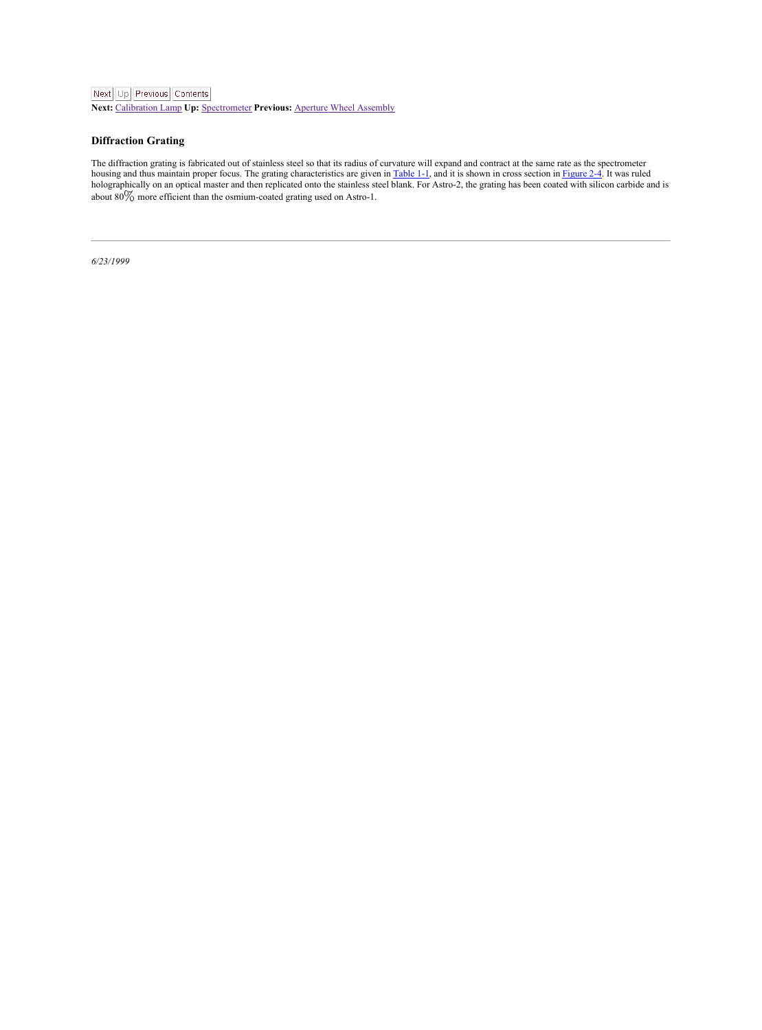<span id="page-14-1"></span>**Next:** [Calibration](#page-15-1) Lamp **Up:** [Spectrometer](#page-12-2) **Previous:** Aperture Wheel [Assembly](#page-13-2)

## <span id="page-14-0"></span>**Diffraction Grating**

The diffraction graing is fabricated out of stainess steel so that its radius of curvature will expand and contract at the same rate as the spectrometer of the state and the state and the state and the state and the state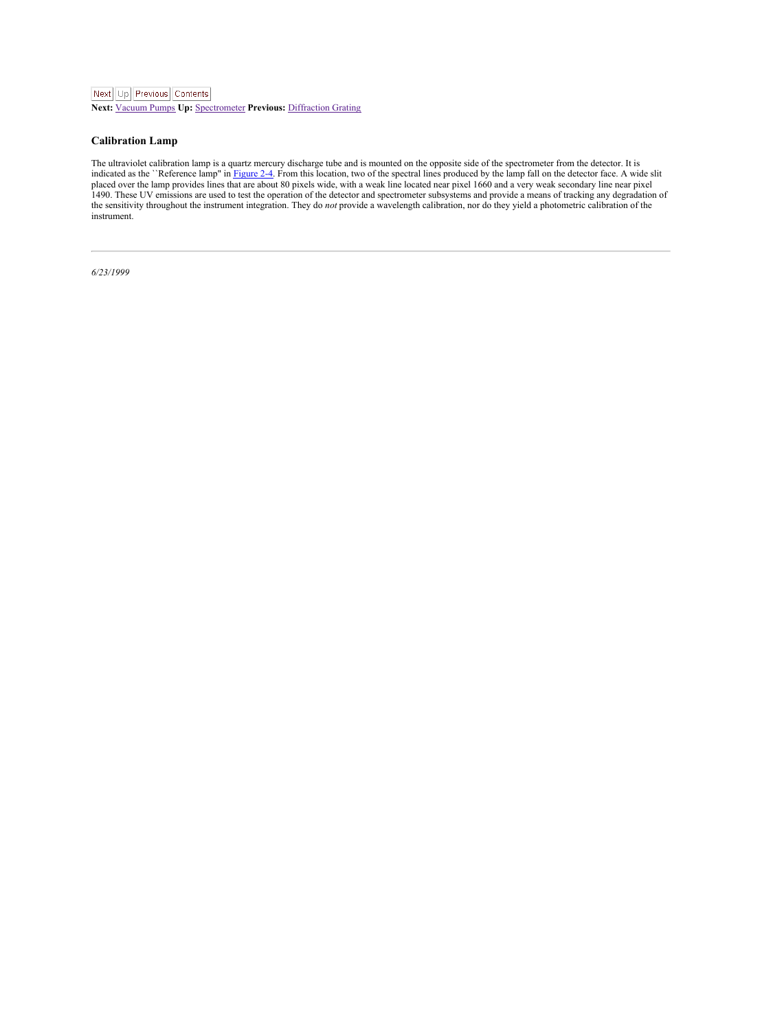<span id="page-15-1"></span>**Next:** [Vacuum](#page-16-1) Pumps **Up:** [Spectrometer](#page-12-2) **Previous:** [Diffraction](#page-14-1) Grating

#### <span id="page-15-0"></span>**Calibration Lamp**

The ultraviolet calibration lamp is a quartz mercury discharge tube and is mounted on the opposite side of the spectrometer from the detector. It is<br>indicated as the ''Reference lamp" in [Figure](#page-12-1) 2-4. From this location, two 1490. These UV emissions are used to test the operation of the detector and spectrometer subsystems and provide a means of tracking any degradation of<br>the sensitivity throughout the instrument integration. They do not prov instrument.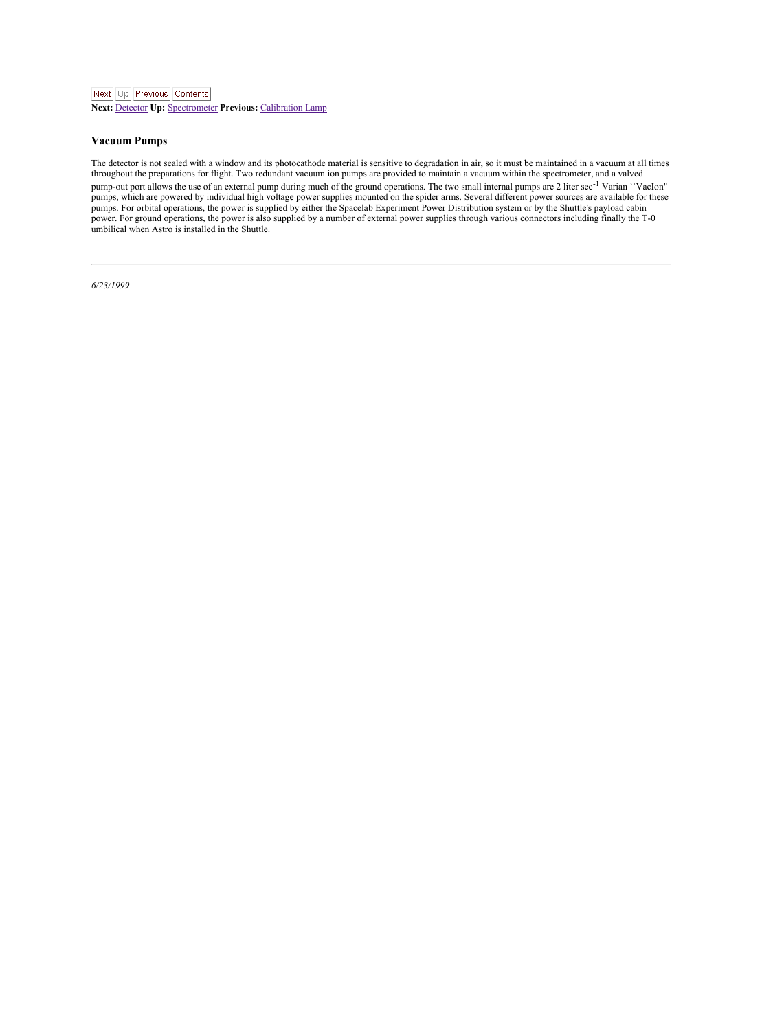<span id="page-16-1"></span>**Next:** [Detector](#page-17-2) **Up:** [Spectrometer](#page-12-2) **Previous:** [Calibration](#page-15-1) Lamp

#### <span id="page-16-0"></span>**Vacuum Pumps**

The detector is not sealed with a window and its photocathode material is sensitive to degradation in air, so it must be maintained in a vacuum at all times<br>throughout the preparations for flight. Two redundant vacuum ion

pump-out port allows the use of an external pump during much of the ground operations. The two small internal pumps are 2 liter sec<sup>-1</sup> Varian ``VacIon" pumps, which are powered by individual high voltage power supplies mounted on the spider arms. Several different power sources are available for these<br>pumps. For orbital operations, the power is supplied by either the Spac power. For ground operations, the power is also supplied by a number of external power supplies through various connectors including finally the T-0 umbilical when Astro is installed in the Shuttle.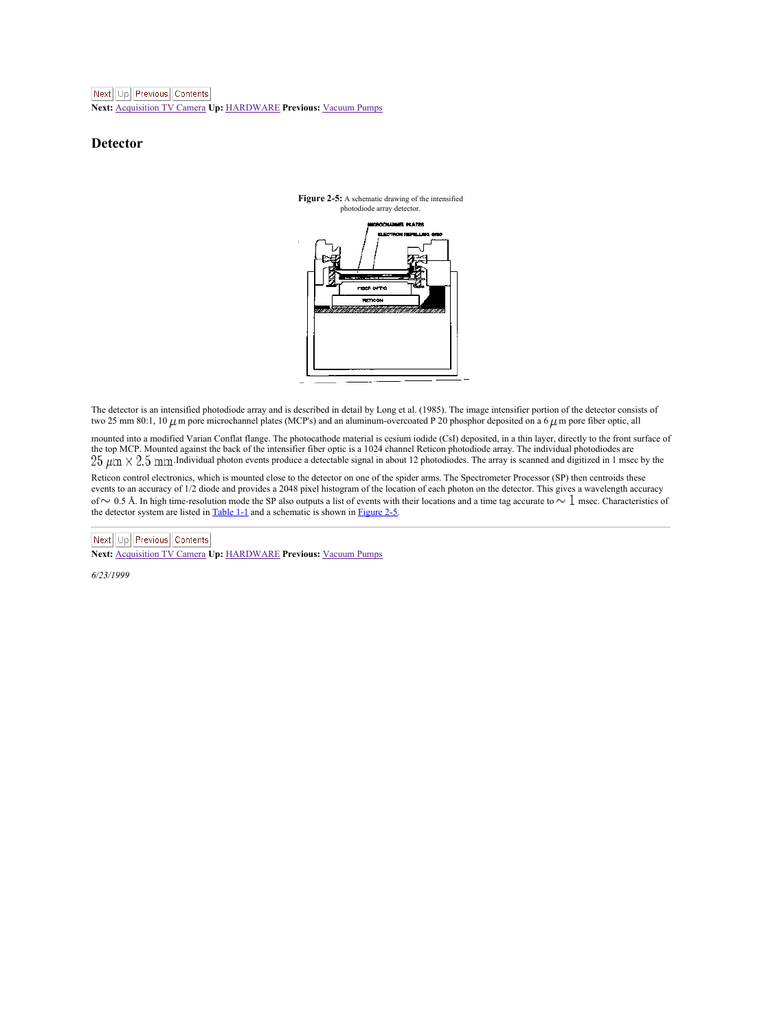<span id="page-17-2"></span>**Next:** [Acquisition](#page-18-1) TV Camera **Up:** [HARDWARE](#page-8-2) **Previous:** [Vacuum](#page-16-1) Pumps

### <span id="page-17-0"></span>**Detector**

<span id="page-17-1"></span>

The detector is an intensified photodiode array and is described in detail by Long etal. (1985). The image intensifier portion of the detector consists of two 25 mm 80:1, 10  $\mu$ m pore microchannel plates (MCP's) and an aluminum-overcoated P 20 phosphor deposited on a 6  $\mu$ m pore fiber optic, all

mounted into a modified Varian Conflat flange. The photocathode material is cesium iodide (CsI) deposited, in a thin layer, directly to the front surface of the top MCP. Mounted against the back of the intensifier fiber optic is a 1024 channel Reticon photodiode array. The individual photodiodes are<br>25 µm × 2.5 mm Individual photon events produce a detectable signal in about 1

Reticon control electronics, which is mounted close to the detector on one of the spider arms. The Spectrometer Processor (SP) then centroids these events to an accuracy of 1/2 diode and provides a 2048 pixel histogram of the location of each photon on the detector. This gives a wavelength accuracy<br>of ∼ 0.5 Å. In high time-resolution mode the SP also outputs a list o the detector system are listed in [Table](#page-5-2) 1-1 and a schematic is shown in [Figure](#page-17-1) 2-5.

Next | Up | Previous | Contents

**Next:** [Acquisition](#page-18-1) TV Camera **Up:** [HARDWARE](#page-8-2) **Previous:** [Vacuum](#page-16-1) Pumps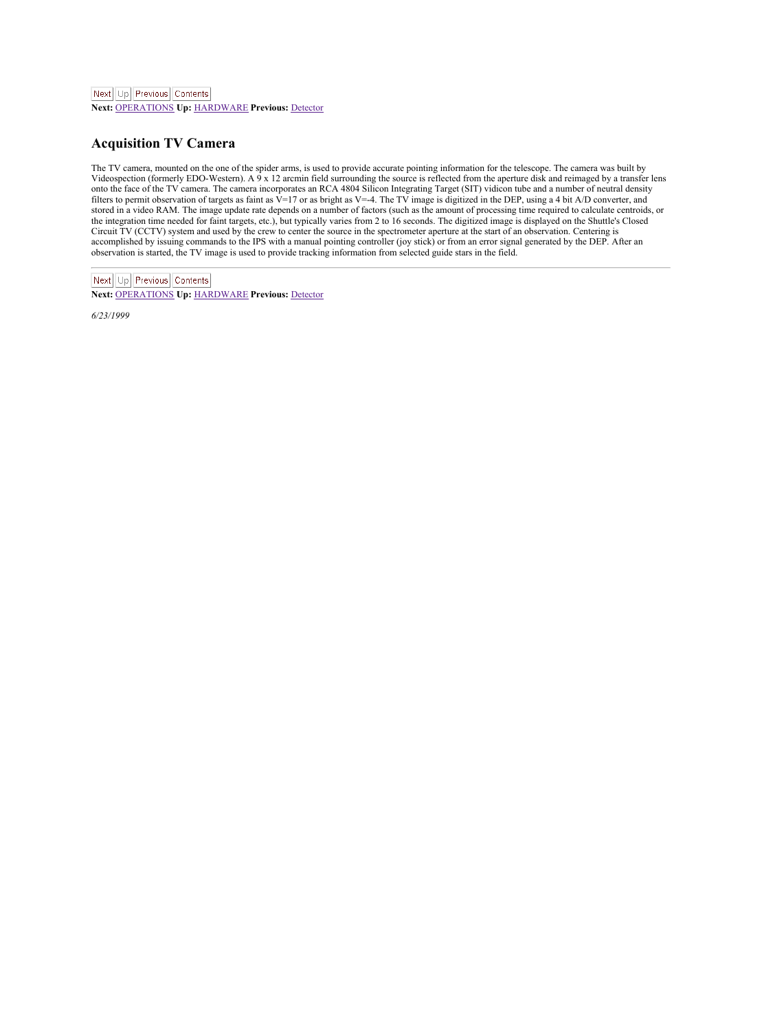<span id="page-18-1"></span>**Next:** [OPERATIONS](#page-19-1) **Up:** [HARDWARE](#page-8-2) **Previous:** [Detector](#page-17-2)

## <span id="page-18-0"></span>**Acquisition TV Camera**

The TV camera, mounted on the one of the spider arms, is used to provide accurate pointing information for the telescope. The camera was built by<br>Videospection (formerly EDO-Western). A 9 x 12 arcmin field surrounding the onto the face of the TV camera. The camera incorporates an RCA 4804 Silicon Integrating Target (SIT) vidicon tube and a number of neutral density filters to permit observation of targets as faint as V=17 or as bright as V=-4. The TV image is digitized in the DEP, using a 4 bit A/D converter, and<br>stored in a video RAM. The image update rate depends on a number of fa the integration time needed for faint targets, etc.), but typically varies from 2 to 16 seconds. The digitized image is displayed on the Shuttle's Closed<br>Circuit TV (CCTV) system and used by the crew to center the source i accomplished by issuing commands to the IPS with a manual pointing controller (joy stick) or from anerror signal generated by the DEP. After an observation is started, the TV image is used to provide tracking information from selected guide stars in the field.

Next Up Previous Contents **Next:** [OPERATIONS](#page-19-1) **Up:** [HARDWARE](#page-8-2) **Previous:** [Detector](#page-17-2)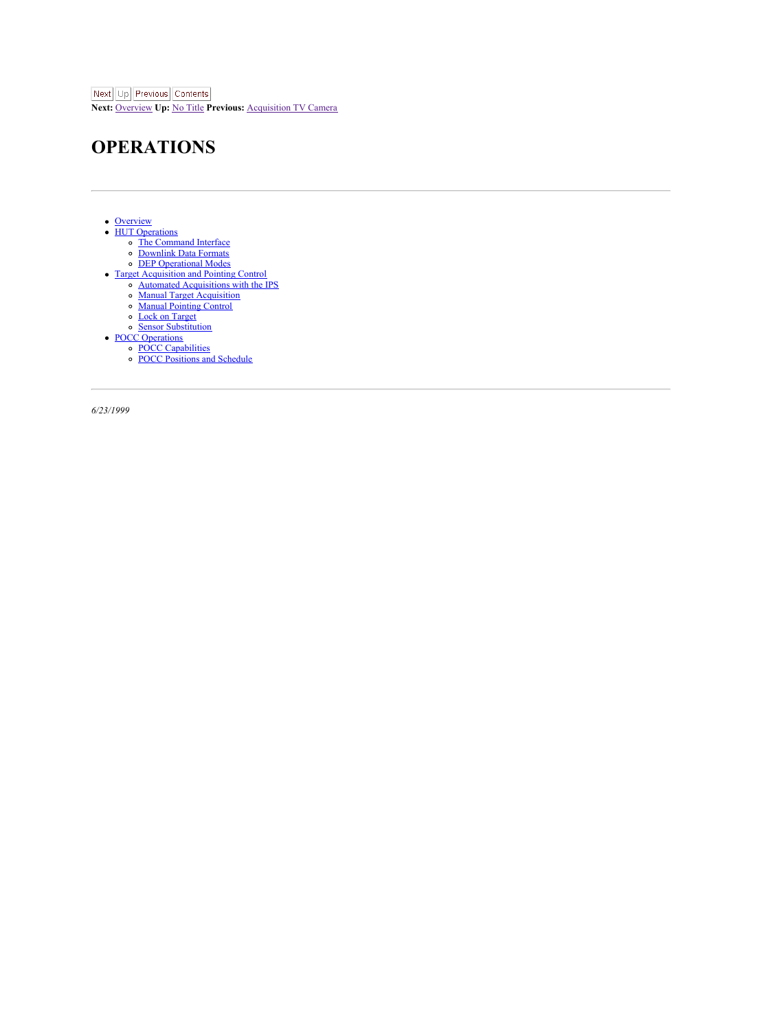<span id="page-19-1"></span>**Next:** [Overview](#page-20-1) **Up:** No [Title](#page-0-0) **Previous:** [Acquisition](#page-18-1) TV Camera

# <span id="page-19-0"></span>**OPERATIONS**

- **[Overview](#page-20-0)** 
	- HUT [Operations](#page-21-0)
	- The [Command](#page-22-0) Interface [Downlink](#page-24-0) Data Formats
		- DEP [Operational](#page-25-0) Modes
	- Target [Acquisition](#page-26-0) and Pointing Control
	- Automated [Acquisitions](#page-27-0) with the IPS
		- Manual Target [Acquisition](#page-28-0)
		- Manual [Pointing](#page-29-0) Control
		- Lock on [Target](#page-30-0)
	- Sensor [Substitution](#page-31-0)
	- POCC [Operations](#page-32-0)
	- POCC [Capabilities](#page-33-0)<br>POCC [Positions](#page-34-0) and Schedule
	-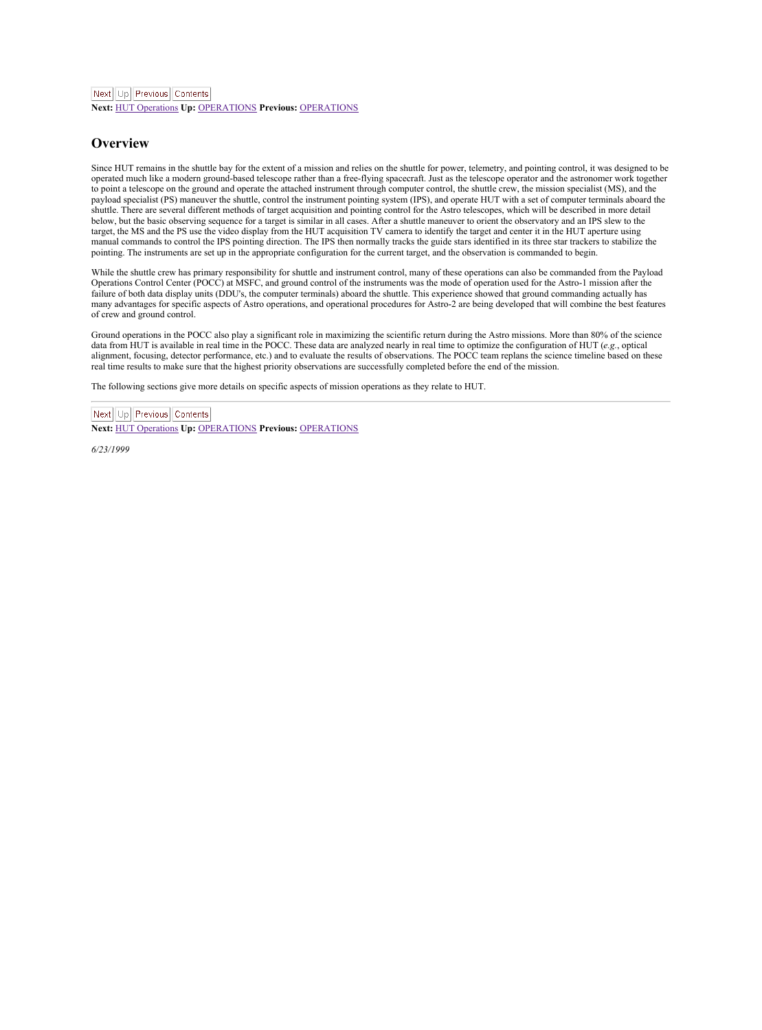<span id="page-20-1"></span>**Next:** HUT [Operations](#page-21-1) **Up:** [OPERATIONS](#page-19-1) **Previous:** [OPERATIONS](#page-19-1)

#### <span id="page-20-0"></span>**Overview**

Since HUT remains in the shuttle bay for the extent of a mission and relies on the shuttle for power, telemetry, and pointing control, it was designed to be operated much like a modern ground-based telescope rather than a free-flying spacecraft. Just as the telescope operator and the astronomer work together to point a telescope on the ground and operate the attached instrument through computer control, the shuttle crew, the mission specialist (MS), and the payload specialist (PS) maneuver the shuttle, control the instrument pointing system (IPS), and operate HUT with a set of computer terminals aboard the<br>shuttle. There are several different methods of target acquisition and below, but the basic observing sequence for a target is similar in all cases. After a shuttle maneuver to orient the observatory and an IPS slew to the<br>target, the MS and the PS use the video display from the HUT acquisiti target, the MS and the PS use the Video unquay ironi ure riv i acquision i v cannera to suemity the target and commands to control the IPS pointing direction. The IPS then normally tracks the guide stars identified in its pointing. The instruments are set up in the appropriate configuration for the current target, and the observation is commanded to begin.

While the shuttle crew has primary responsibility for shuttle and instrument control, many of these operations can also be commanded from the Payload While the shuttle crew has primary responsionity for situate and instrument control, many of usese operations can move communications and a style-<br>Operations Control Center (POCC) at MSFC, and ground control of the instrum failure of both data display units (DDU's, the computer terminals) aboard the shuttle. This experience showed that ground commanding actually has<br>many advantages for specific aspects of Astro operations, and operational pr of crew and ground control.

Ground operations in the POCC also play a significant role in maximizing the scientific return during the Astro missions. More than 80% of the science<br>data from HUT is available in real time in the POCC. These data are ana alignment, focusing, detector performance, etc.) and to evaluate the results of observations. The POCC team replans the science timeline based on these real time results to make sure that the highest priority observations are successfully completed before the end of the mission.

The following sections give more details on specific aspects of mission operations as they relate to HUT.

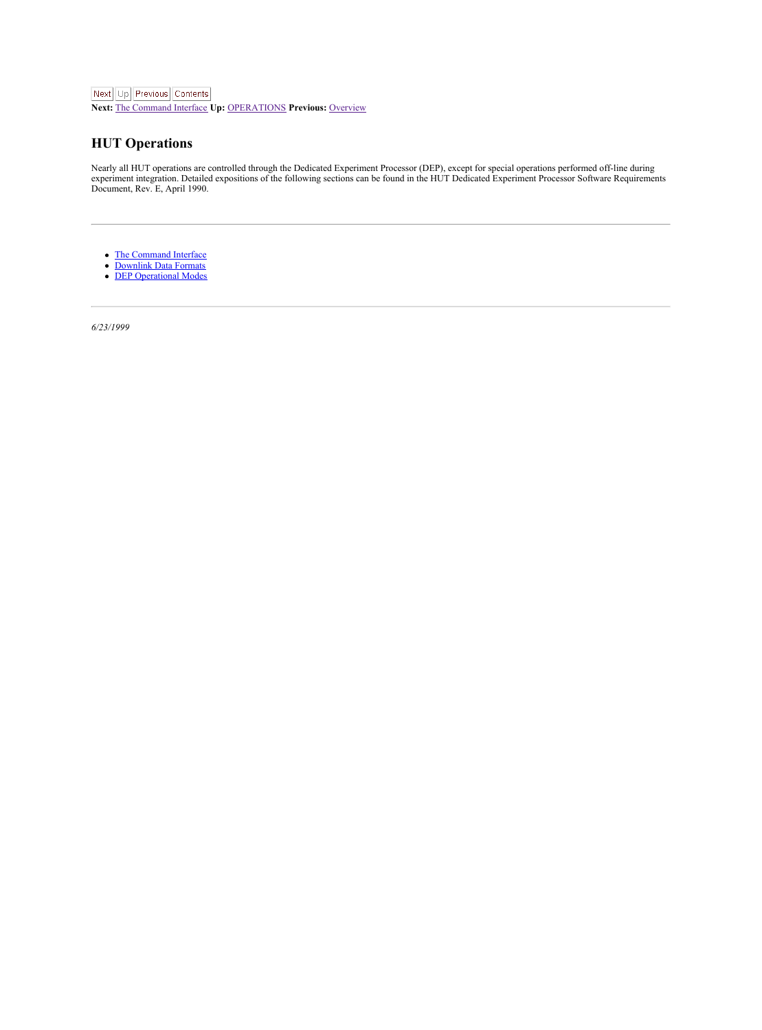<span id="page-21-1"></span>

**Next:** The [Command](#page-22-3) Interface **Up:** [OPERATIONS](#page-19-1) **Previous:** [Overview](#page-20-1)

## <span id="page-21-0"></span>**HUT Operations**

Nearly all HUT operations are controlled through the Dedicated Experiment Processor (DEP), except for special operations performed off-line during<br>experiment integration. Detailed expositions of the following sections can

- The [Command](#page-22-0) Interface<br>[Downlink](#page-24-0) Data Formats<br>DEP [Operational](#page-25-0) Modes
- 
-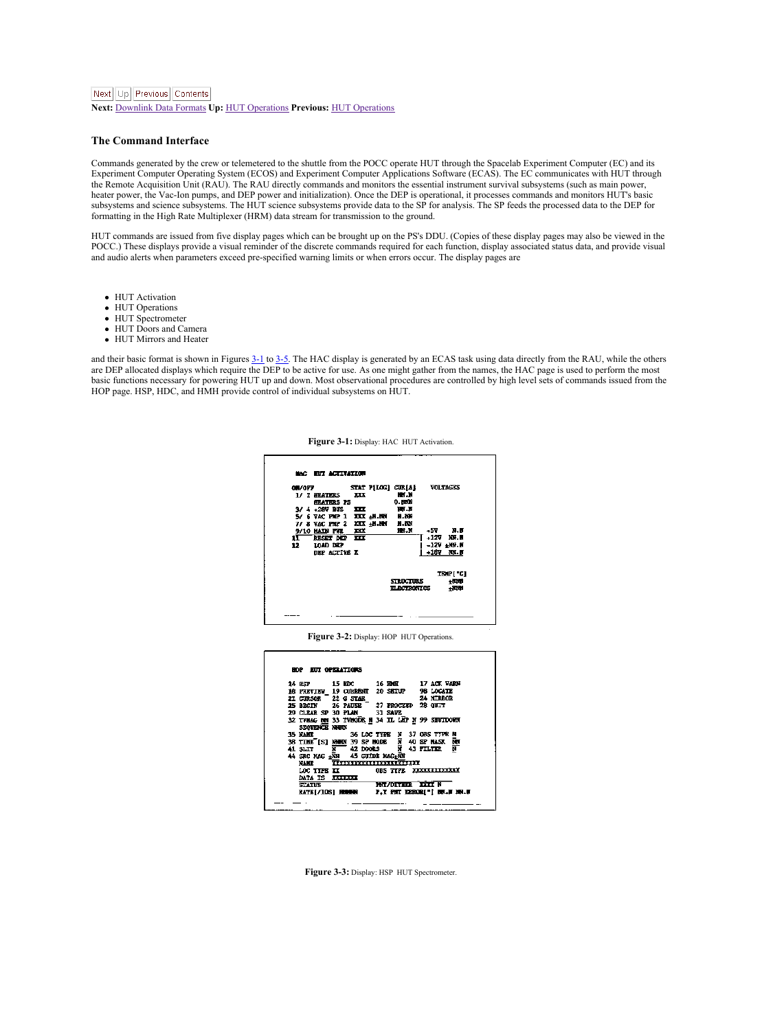#### <span id="page-22-3"></span>Next Ltd Previous Contents

**Next:** [Downlink](#page-24-2) Data Formats **Up:** HUT [Operations](#page-21-1) **Previous:** HUT [Operations](#page-21-1)

#### <span id="page-22-0"></span>**The Command Interface**

Commands generated by the crew or telemetered to the shuttle from the POCC operate HUT through the Spacelab Experiment Computer (EC) and its<br>Experiment Computer Operating System (ECOS) and Experiment Computer Applications the Remote Acquisition Unit (RAU). The RAU directly commands and monitors the essential instrument survival subsystems (such as main power, heater power, the Vac-Ion pumps, and DEP power and initialization). Once the DEP is operational, it processes commands and monitors HUT's basic<br>subsystems and science subsystems. The HUT science subsystems provide data to formatting in the High Rate Multiplexer (HRM) data stream for transmission to the ground.

HUT commands are issued from five display pages which can be brought up on the PS's DDU. (Copies of these display pages may also be viewed in the<br>POCC.) These displays provide a visual reminder of the discrete commands req and audio alerts when parameters exceed pre-specified warning limits or when errors occur. The display pages are

- **HUT Activation**
- **HUT Operations**
- HUT Spectrometer
- **HUT** Doors and Camera
- HUT Mirrors and Heater

and their basic format is shown in Figures [3-1](#page-22-1) to [3-5](#page-23-0). The HAC display is generated by an ECAS task using data directly from the RAU, while the others<br>are DEP allocated displays which require the DEP to be active for use. basic functions necessary for powering HUT up and down. Most observational procedures are controlled by high level sets of commands issued from the<br>HOP page. HSP, HDC, and HMH provide control of individual subsystems on HU



<span id="page-22-1"></span>**Figure 3-1:** Display: HAC HUT Activation.

**Figure 3-2:** Display: HOP HUT Operations.

|                |                                    |                                                                                                         | 14 RW 15 RM 16 RM 17 ACK WATER |
|----------------|------------------------------------|---------------------------------------------------------------------------------------------------------|--------------------------------|
|                |                                    | as recenting 19 condidate to detail                                                                     | 98 LOCATE                      |
|                | 21 CENSE 72 C STAR                 |                                                                                                         | 24 YTEROS                      |
|                |                                    | 25 BOSIN' 26 FAUGH " 27 FROUGHD 28 OUTY                                                                 |                                |
|                | 29 CLRAR SP 30 PLAN 33 SAVE        |                                                                                                         |                                |
|                |                                    | 32 TWING MW 33 TWOODS N 34 IL LEE N 99 EEUTOORN                                                         |                                |
|                | SECTION SECTION                    |                                                                                                         |                                |
| <b>35 RAIR</b> |                                    | 36 LOC TIPE                                                                                             | 37 ORS TITLE B                 |
|                |                                    | $38$ $728$ <sup>e</sup> $[5]$ $288$ $32$ $88$ $80$ $8$<br>$41$ $82$ $82$ $84$ $8$<br>$43$ $92$ $84$ $8$ |                                |
|                |                                    |                                                                                                         |                                |
|                | AS SEC MAG - THE 4.3 GETER MAG-TOP |                                                                                                         |                                |
| <b>MANEE</b>   |                                    | <b>TEXTERIORES IN ALTER</b>                                                                             |                                |
|                | LOC TIME AT                        | ORE TIPE EXECUTIVELY                                                                                    |                                |
|                | DATA IS INDUCED                    |                                                                                                         |                                |
|                | <b>STATES</b>                      |                                                                                                         | <b>Bill convents and a</b>     |
|                | EATS[/105] HOOGS                   |                                                                                                         | P.T PRT 580001"   IN-F 19-R    |

<span id="page-22-2"></span>**Figure 3-3:** Display: HSP HUT Spectrometer.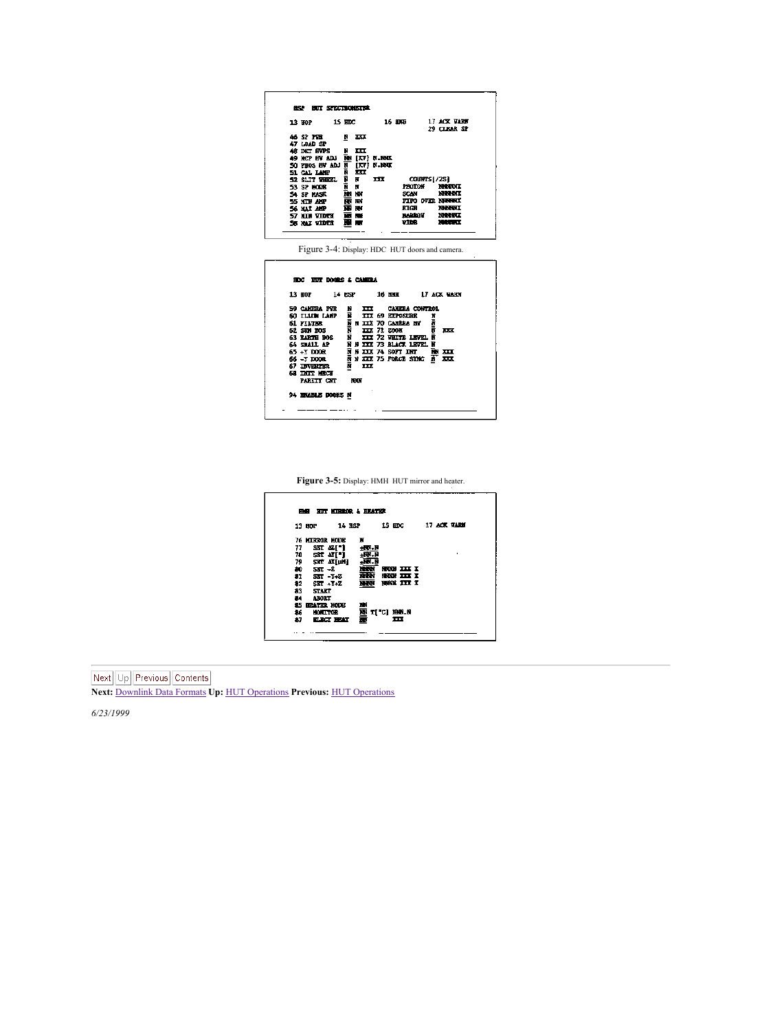```
AVA ANY ORDER DOOR
                                                         ≂.
                                                                                                                         16.000\frac{17}{29} and \frac{17}{29}\overline{12}\begin{array}{l} 13 \  \  \, 107 \  \  \, 307 \  \  \, 507 \  \  \, 507 \  \  \, 507 \  \  \, 507 \  \  \, 507 \  \  \, 507 \  \  \, 507 \  \  \, 507 \  \  \, 507 \  \  \, 507 \  \  \, 507 \  \  \, 507 \  \  \, 507 \  \  \, 507 \  \  \, 507 \  \  \, 507 \  \  \, 507 \  \  \, 507 \  \  \, 507\frac{1}{2}an<br>Manakamanan<br>Manakamanan<br>Manakamananan
                               មិនី<br>ភូមិ<br>ភូមិ
                            コローの第2番<br>- 国内の<br>- 国内の開発<br>- 国内の開発
```
Figure 3-4: Display: HDC HUT doors and camera.

| 11 au<br><b>24 RSF</b>  |                         | 16 HHH                    |  | 17 ACK GAZES            |
|-------------------------|-------------------------|---------------------------|--|-------------------------|
| <b>NO CARDINAL PROD</b> |                         | TTT CAMELA CONTROL        |  |                         |
| <b>GO TILLIN LAST</b>   |                         | XXX 69 EXPOSURE           |  |                         |
| <b>61 FILTER</b>        |                         | <b>B XXI 70 CAMBRA MY</b> |  |                         |
| AT ON MA                |                         | <b>XXX 71 2008</b>        |  | $\mathbf{m}$            |
| 41 EARTH DOG            |                         | THE 22 HOURS LENGTH       |  |                         |
| 65 ISBN 0-2             |                         | 8 THE 73 BLACK LEVEL      |  |                         |
| <b>STATE TA FR</b>      |                         | a year 74 Apr Torr        |  | m                       |
| 66 - T DOOR             |                         | N XXX 75 PORCH SYNC       |  | $\overline{\mathbf{H}}$ |
| 67 INVESTER             | $\overline{\mathbf{H}}$ |                           |  |                         |
| 68 THIT HOTEL           |                         |                           |  |                         |
| <b>NATT OF</b>          | <b>HOTE</b>             |                           |  |                         |
| 94 BRANCE DOORS N       |                         |                           |  |                         |

<span id="page-23-0"></span>**Figure 3-5:** Display: HMH HUT mirror and heater.



**Next:** [Downlink](#page-24-2) Data Formats **Up:** HUT [Operations](#page-21-1) **Previous:** HUT [Operations](#page-21-1)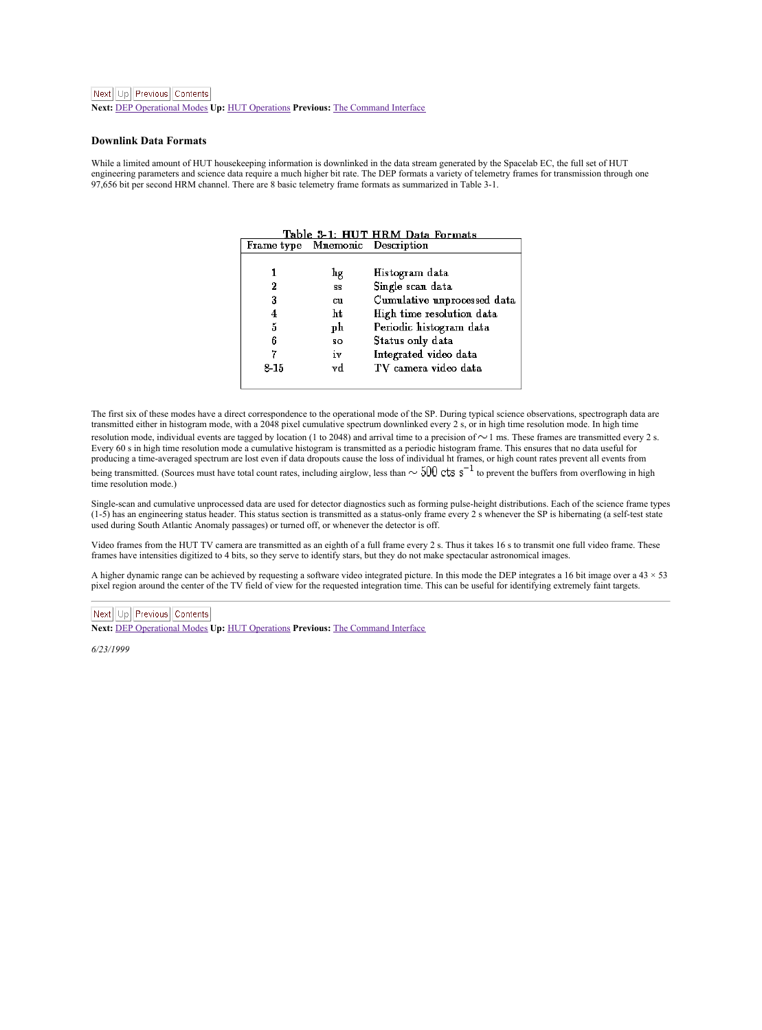<span id="page-24-2"></span>**Next:** DEP [Operational](#page-25-2) Modes **Up:** HUT [Operations](#page-21-1) **Previous:** The [Command](#page-22-3) Interface

#### <span id="page-24-0"></span>**Downlink Data Formats**

<span id="page-24-1"></span>While a limited amount of HUT housekeeping information is downlinked in the data stream generated by the Spacelab EC, the full set of HUT<br>engineering parameters and science data require a much higher bit rate. The DEP form 97,656 bit per second HRM channel. There are 8 basic telemetry frame formats as summarized in Table 3-1.

|            |                      | Table 3-1: HUT HRM Data Formats |
|------------|----------------------|---------------------------------|
| Frame type | Mnemonic Description |                                 |
|            |                      |                                 |
|            | hg                   | Histogram data                  |
| 2          | \$S                  | Single scan data                |
| 3          | cu                   | Cumulative unprocessed data     |
| 4          | ht                   | High time resolution data       |
| 5          | рh                   | Periodic histogram data         |
| 6          | 80                   | Status only data                |
| 7          | iv                   | Integrated video data           |
| $8 - 1.5$  | vd                   | TV camera video data            |
|            |                      |                                 |

The first six of these modes have a direct correspondence to the operational mode of the SP. During typical science observations, spectrograph data are transmitted either in histogram mode, with a 2048 pixel cumulative spectrum downlinked every 2 s, or in high time resolution mode. In high time<br>resolution mode, individual events are targed by location (1 to 2048) and arr resources insets, near such a comparison of social contract the same state and security of the case in the comparison of the comparison of the comparison of the comparison of the comparison of the comparison of the compari producing a time-averaged spectrum arelost even if data dropouts cause the loss of individual ht frames, or high count rates prevent all events from being transmitted. (Sources must have total count rates, including airglow, less than  $\sim$  500 cts  $s^{-1}$  to prevent the buffers from overflowing in high time resolution mode.)

Single-scan and cumulative unprocessed data are used for detector diagnostics such as forming pulse-height distributions. Each of the science frame types  $(1-5)$  has an engineering status header. This status section is transmitted as a status-only frame every 2 s whenever the SP is hibernating (a self-test state used during South Atlantic Anomaly passages) or turned off, or whenever the detector is off.

Video frames from theHUT TV camera are transmitted as an eighth of a full frame every 2 s. Thus it takes 16 sto transmit one full video frame. These frames have intensities digitized to 4 bits, so they serve to identify stars, but they do not make spectacular astronomical images.

A higher dynamic range can be achieved by requesting a software video integrated picture. In this mode the DEP integrates a 16 bit image over a 43 × 53 pixel region around the center of the TV field of view for the requested integration time. This can be useful for identifying extremely faint targets.

#### Next Up Previous Contents

**Next:** DEP [Operational](#page-25-2) Modes **Up:** HUT [Operations](#page-21-1) **Previous:** The [Command](#page-22-3) Interface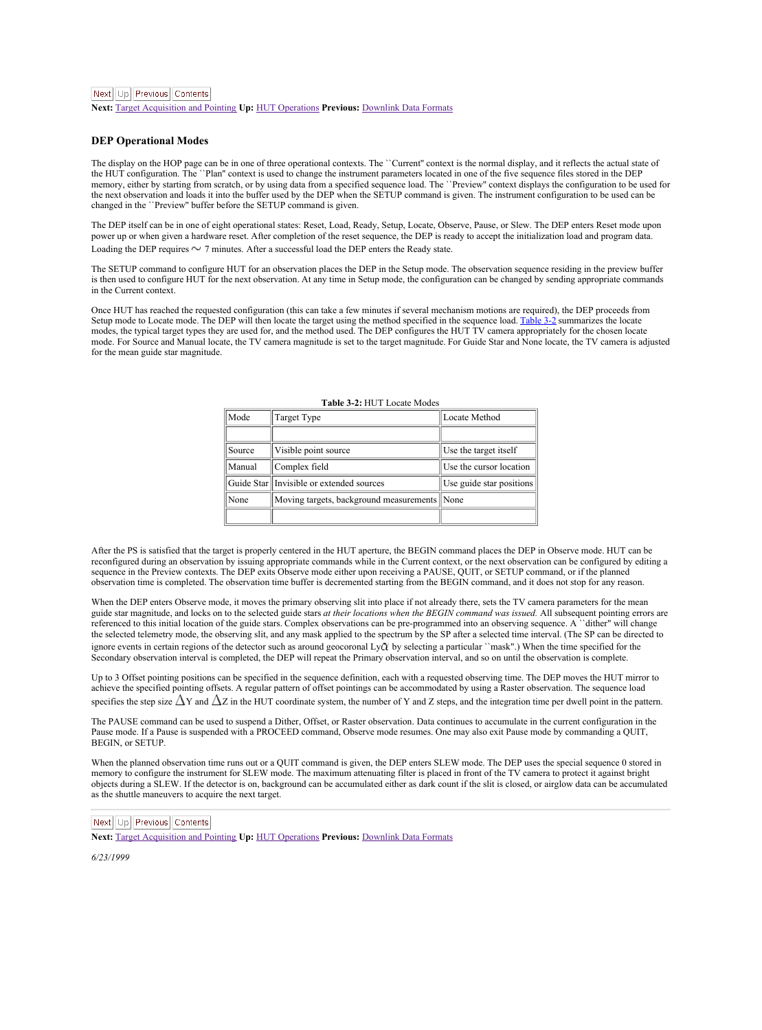<span id="page-25-2"></span>Next Ltd Previous Contents

**Next: Target [Acquisition](#page-26-1) and Pointing Up: HUT [Operations](#page-21-1) Previous: [Downlink](#page-24-2) Data** 

#### <span id="page-25-0"></span>**DEP Operational Modes**

The displuy on the HOP page can be in one of three operational contexts. The "Current" context is the normal display, and it reflects the actual state of<br>the HUT configuration. The "Plan" context is used to change the inst memory, either by starting from scratch, or by using data from a specified sequence load. The ``Preview'' context displays the configuration to be used for the next observation and loads it into the buffer used by the DEP when the SETUP command is given. The instrument configuration to be used can be changed in the "Preview" buffer before the SETUP command is given and is giv changed in the ``Preview'' buffer before the SETUP com-

The DEP itself can be in one of eight operational states: Reset, Load, Ready, Setup, Locate, Observe, Pause, or Slew. The DEP enters Reset mode upon power up or when given a hardware reset. After completion of the reset sequence, the DEP is ready to accept the initialization load and program data.<br>Loading the DEP requires (N 2 minutes After a successful load the DEP en

The SETUP command to configure HUT for an observation places the DEP in the Setup mode. The observation sequence residing in the preview buffer<br>is then used to configure HUT for the next observation. At any time in Setup m in the Current context.

Once HUT has reached the requested configuration (this can take a few minutes if several mechanism motions are required), the DEP proceeds from<br>Setup mode to Locate mode. The DEP will then locate the target using the metho mode. For Source and Manual locate, the TV camera magnitude is set to the target magnitude. For Guide Star and None locate, the TV camera is adjusted for the mean guide star magnitude.

| Mode   | <b>Target Type</b>                           | Locate Method            |  |  |
|--------|----------------------------------------------|--------------------------|--|--|
|        |                                              |                          |  |  |
| Source | Visible point source                         | Use the target itself    |  |  |
| Manual | Complex field                                | Use the cursor location  |  |  |
|        | Guide Star Invisible or extended sources     | Use guide star positions |  |  |
| None   | Moving targets, background measurements None |                          |  |  |
|        |                                              |                          |  |  |

#### <span id="page-25-1"></span>**Table 3-2:** HUT Locate Modes

After the PS is satisfied that the target is properly centered in the HUT aperture, the BEGIN command places the DEP in Observe mode. HUT can be reconfigured during an observation by issuing appropriate commands while in the Current context, or the next observation can be configured by editing a<br>sequence in the Preview contexts. The DEP exits Observe mode either up observation time is completed. The observation time buffer is decremented starting from the BEGIN command, and it does not stop for any reason.

When the DEP enters Observe mode, it moves the primary observing slit into place if not already there, sets the TV camera parameters for the mean guide star magnitude, and locks on to the selected guide stars *at their locations when the BEGIN command was issued.* All subsequent pointing errors are referenced to this initial location of the guide stars. Complex observations can be pre-programmed into an observing sequence. A ``dither" will change<br>the selected telemetry mode, the observing slit, and any mask applied t ignore events in certain regions of the detector such as around geocoronal LyQ by selecting a particular "mask".) When the time specified for the Secondary observation interval is completed, the DEP will repeat the Primary observation interval, and so on until the observation is complete.

Up to 3 Offset pointing positions can be specified in the sequence definition, each with a requested observing time. The DEP moves the HUT mirror to achieve the specified pointing offsets. A regular pattern of offset pointings can be accommodated by using a Raster observation. The sequence load specifies the step size  $\Delta$ Y and  $\Delta$ Z in the HUT coordinate system, the number of Y and Z steps, and the integration time per dwell point in the pattern.

The PAUSE command can be used to suspend a Dither, Offset, or Raster observation. Data continues to accumulate in the current configuration in the<br>Pause mode. If a Pause is suspended with a PROCEED command, Observe mode re BEGIN, or SETUP.

When the planned observation time runs out or a QUIT command is given, the DEP enters SLEW mode.The DEP uses the special sequence 0 stored in memory to configure the instrument for SLEW mode. The maximum attenuating filter is placed in front of the TV camera to protect it against bright objects during a SLEW. If the detector is on, background can be accumulated either as dark count if the slit is closed, or airglow data can be accumulated as the shuttle maneuvers to acquire the next target.

## Next Up Previous Contents

**Next: Target [Acquisition](#page-26-1) and Pointing Up: HUT [Operations](#page-21-1) Previous: [Downlink](#page-24-2) Data Formats**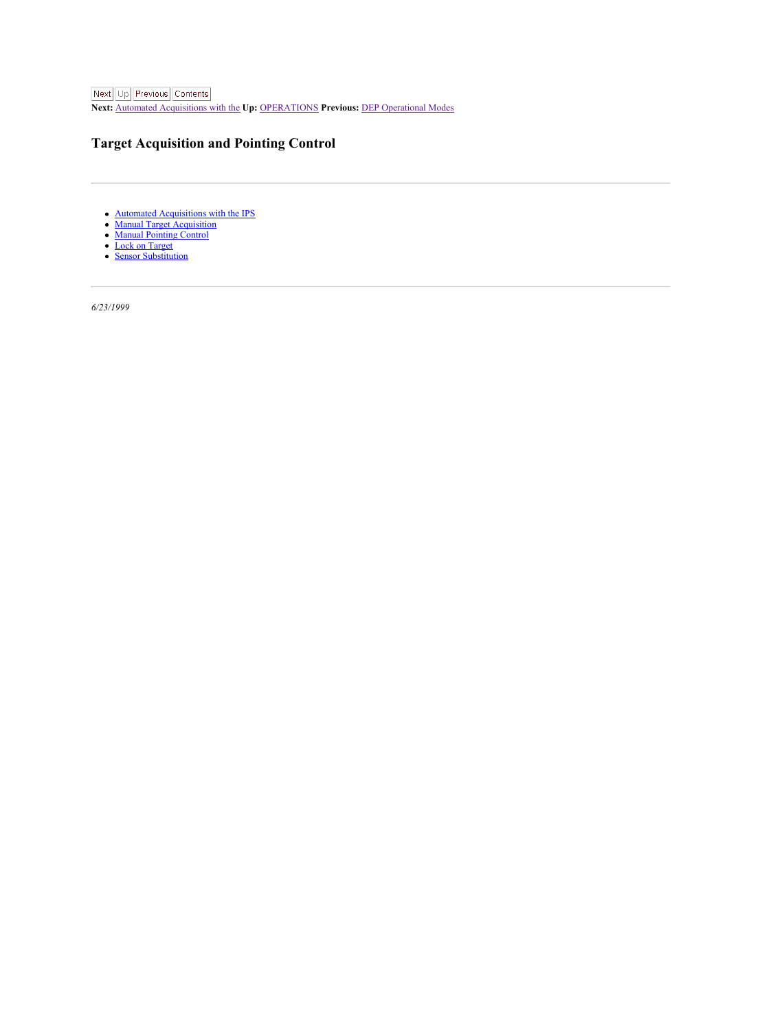<span id="page-26-1"></span>Next Up Previous Contents **Next:** Automated [Acquisitions](#page-27-1) with the **Up:** [OPERATIONS](#page-19-1) **Previous:** DEP [Operational](#page-25-2) Modes

## <span id="page-26-0"></span>**Target Acquisition and Pointing Control**

- **Automated [Acquisitions](#page-27-0) with the IPS**<br> **Manual Target Acquisition**
- Manual Target [Acquisition](#page-28-0) Manual [Pointing](#page-29-0) Control
- Lock on [Target](#page-30-0)
- Sensor [Substitution](#page-31-0)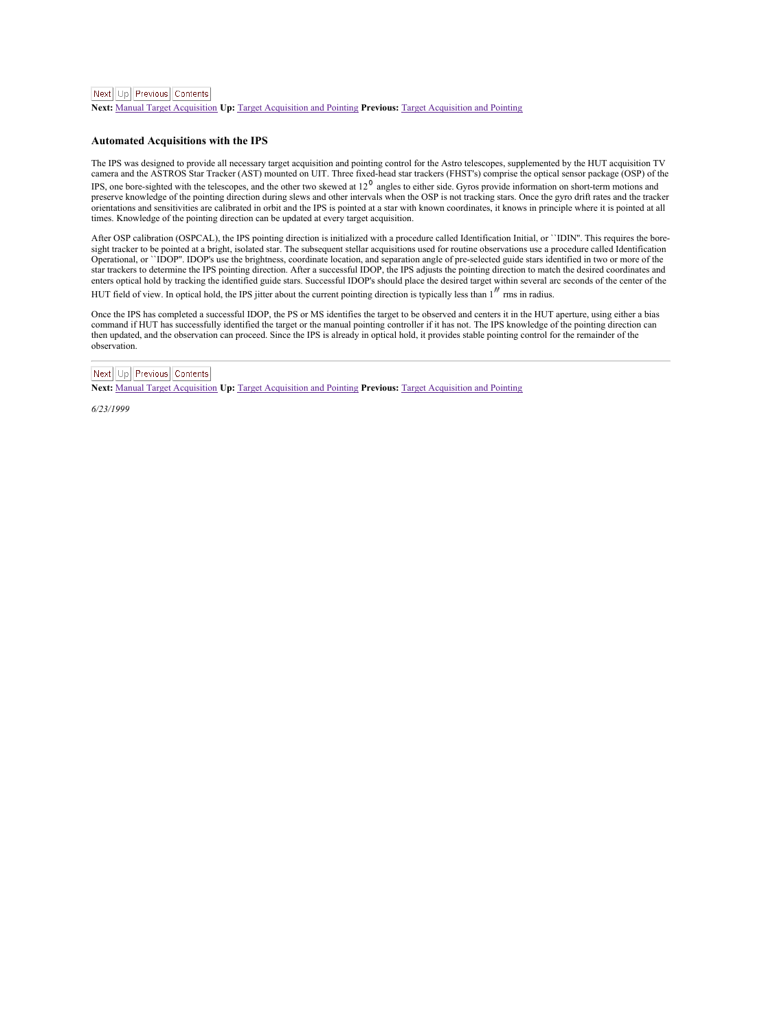<span id="page-27-1"></span>**Next:** Manual Target [Acquisition](#page-28-1) **Up:** Target [Acquisition](#page-26-1) and Pointing **Previous:** Target [Acquisition](#page-26-1) and Pointing

#### <span id="page-27-0"></span>**Automated Acquisitions with the IPS**

The IPS was designed to provide all necessary target acquisition and pointing control for the Astro telescopes, supplemented by the HUT acquisition TV<br>camera and the ASTROS Star Tracker (AST) mounted on UIT. Three fixed-he camera and the ASTROS Star Tracker (AS1) mounted on U11. I nree troco-nead star trackers (e+181 s) comprise une opusan sensor parange (OSF) or e<br>IPS. one bore-sighted with the telescopes, and the other two skewed at  $12^9$ 

preserve knowledge of the pointing direction during slews and other intervals when the OSP isnot tracking stars. Once the gyro drift rates and the tracker orientations and sensitivities are calibrated in orbit and the IPS is pointed ata star with known coordinates, it knows in principle where itis pointed atall times. Knowledge of the pointing direction can be updated at every target acquisition.

After OSP calibration (OSPCAL), the IPS pointing direction is initialized with a procedure called Identification Initial, or "IDIN". This requires the bore-<br>sight tracker to be pointed at a bright, isolated star. The subse Operational, or ``IDOP''. IDOP's use the brightness, coordinate location, and separation angle of pre-selected guide stars identified in two or more of the star trackers to determine the IPS pointing direction. After a successful IDOP, the IPS adjusts the pointing direction to match the desired coordinates and enters optical hold by tracking the identified guide stars. Successful IDOP's should place the desired target within several arc seconds of the center of the HUT field of view. In optical hold, the IPS jitter about the current pointing direction is typically less than 1<sup>*n*</sup> rms in radius.

Once the IPS has completed a successful IDOP, the PS or MS identifies the target to be observed and centers it in the HUT aperture, using either a bias<br>command if HUT has successfully identified the target or the manual po then updated, and the observation can proceed. Since the IPS is already in optical hold, it provides stable pointing control for the remainder of the observation.

## Next Up Previous Contents

**Next:** Manual Target [Acquisition](#page-28-1) **Up:** Target [Acquisition](#page-26-1) and Pointing **Previous:** Target [Acquisition](#page-26-1) and Pointing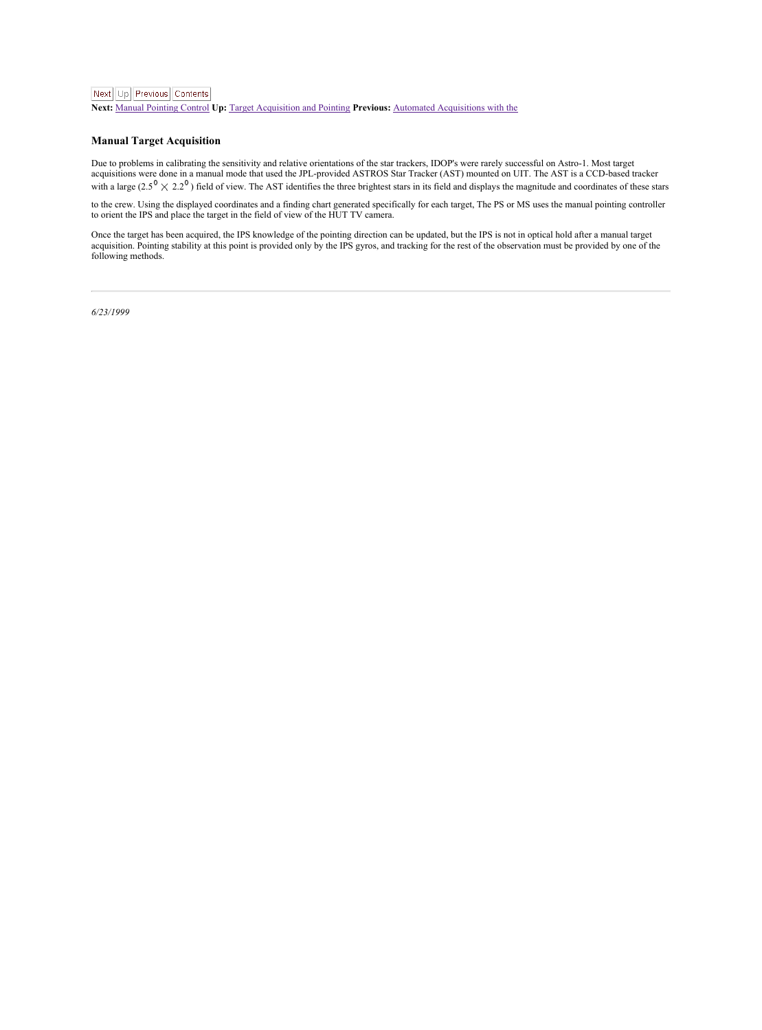<span id="page-28-1"></span>**Next:** Manual [Pointing](#page-29-1) Control **Up:** Target [Acquisition](#page-26-1) and Pointing **Previous:** Automated [Acquisitions](#page-27-1) with the

#### <span id="page-28-0"></span>**Manual Target Acquisition**

Due to problems in calibrating the sensitivity and relative orientations of the star trackers, IDOP's were rarely successful on Astro-1. Most target<br>acquisitions were done in a manual mode that used the JPL-provided ASTROS acquisitions were done in a manual mode that used the PL-provided ASTROS Star Tracker (AST) mounted on UTL The AST is a CCD-broken unclear<br>with a large  $(2.5^{\circ} \times 2.2^{\circ})$  field of view. The AST identifies the three brig

to the crew. Using the displayed coordinates and a finding chart generated specifically for each target, The PS or MS uses the manual pointing controller<br>to orient the IPS and place the target in the field of view of the H

Once the target has been acquired, the IPS knowledge of the pointing direction can be updated, but the IPS is not in optical hold after a manual target<br>acquistion. Pointing stability at this point is provided only by the I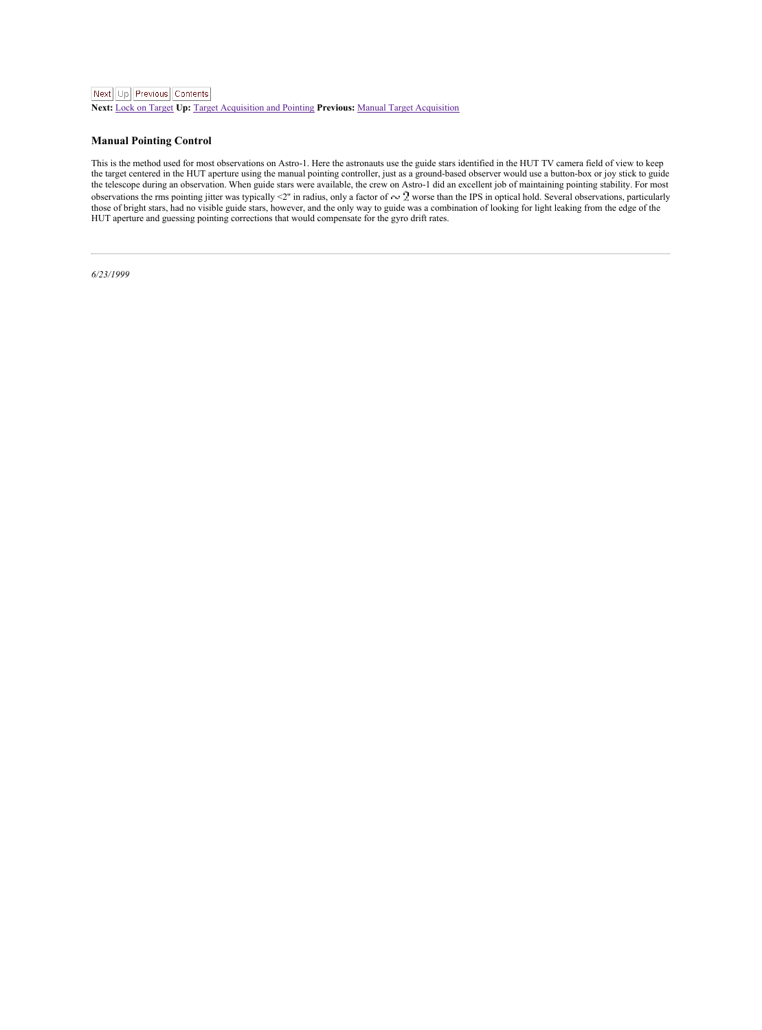<span id="page-29-1"></span>**Next:** Lock on [Target](#page-30-1) **Up:** Target [Acquisition](#page-26-1) and Pointing **Previous:** Manual Target [Acquisition](#page-28-1)

#### <span id="page-29-0"></span>**Manual Pointing Control**

This is the method used for most observations on Astro-1. Here the astronauts use the guide stars identified in the HUT TV camera field of view to keep<br>the target centered in the HUT aperture using the manual pointing cont the telescope during an observation. When guide stars were available, the crew on Astro-1 did an excellent job of maintaining pointing stability. For most<br>observations the mas pointing jitter was typically -2" in radius, HUT aperture and guessing pointing corrections that would compensate for the gyro drift rates.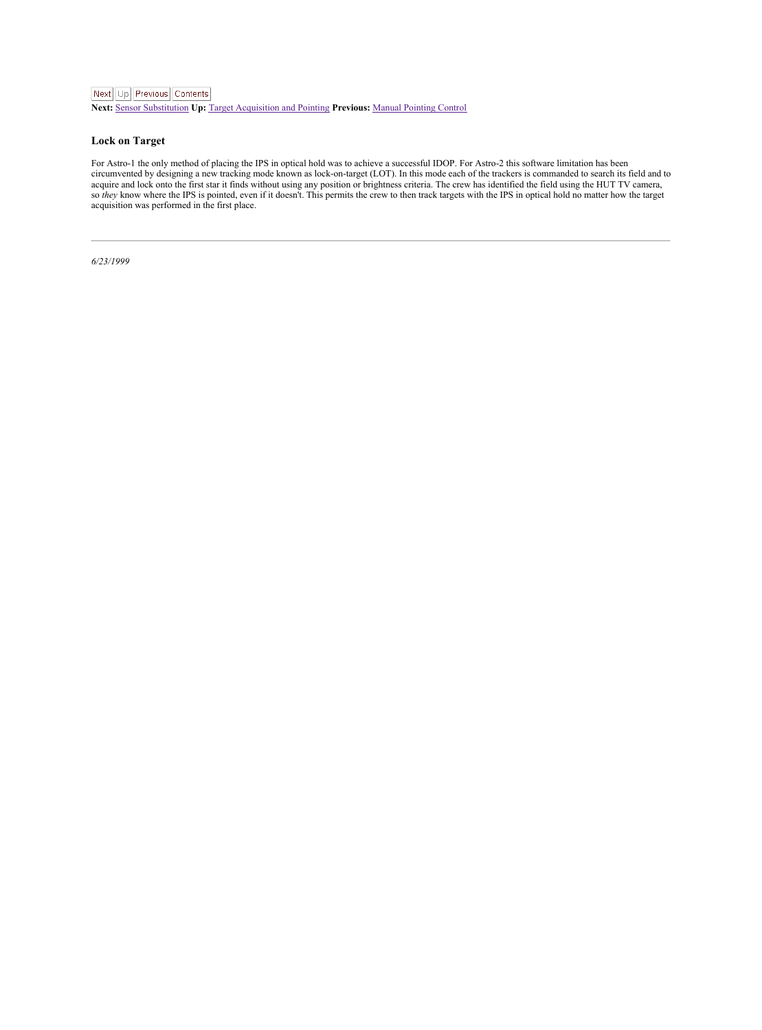<span id="page-30-1"></span>**Next:** Sensor [Substitution](#page-31-1) **Up:** Target [Acquisition](#page-26-1) and Pointing **Previous:** Manual [Pointing](#page-29-1) Control

#### <span id="page-30-0"></span>**Lock on Target**

For Astro-1 the only method of placing the IPS in optical hold was to achieve a successful IDOP. For Astro-2 this software limitation has been<br>circumvented by designing a new tracking mode known as lock-on-target (LOT). In acquire and lock onto the first star it finds without using any position or brightness criteria. The crew has identified the field using the HUT TV camera, so *they* know where the IPS is pointed, even if it doesn't. This permits the crew to then track targets with the IPS in optical hold no matter how the target<br>acquisition was performed in the first place.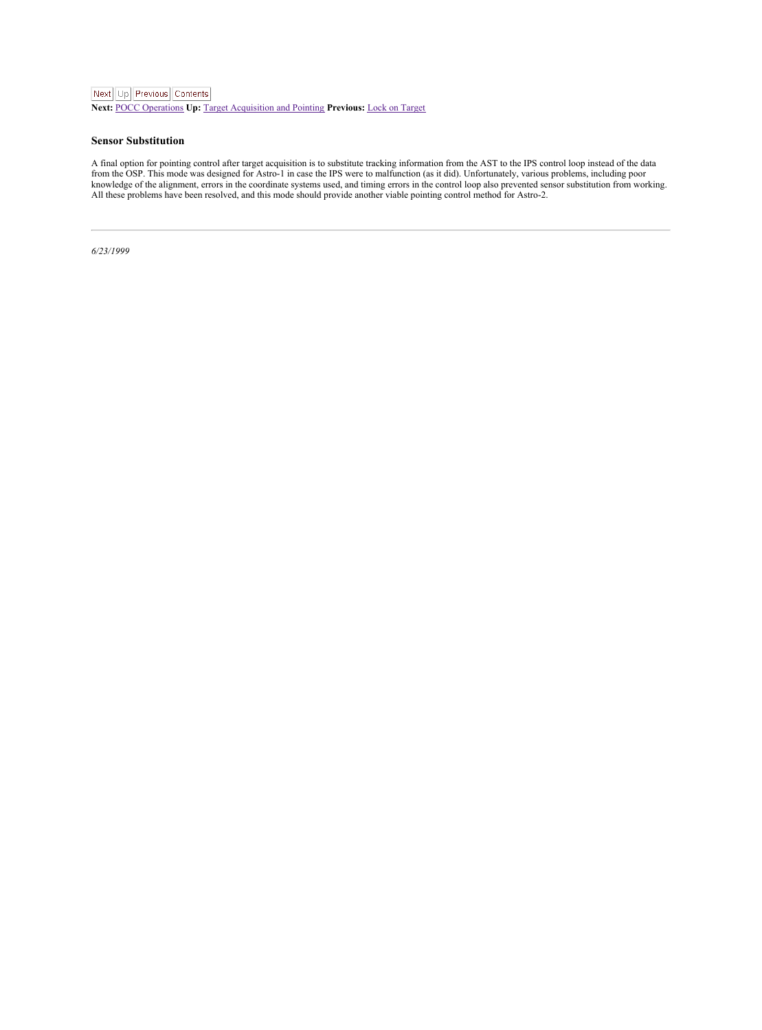<span id="page-31-1"></span>**Next:** POCC [Operations](#page-32-1) **Up:** Target [Acquisition](#page-26-1) and Pointing **Previous:** Lock on [Target](#page-30-1)

#### <span id="page-31-0"></span>**Sensor Substitution**

A final option for pointing control after target acquisition is to substitute tracking information from the AST to the IPS control loop instead of the data<br>from the OSP. This mode was designed for Astro-1 in case the IPS w All these problems have been resolved, and this mode should provide another viable pointing control method for Astro-2.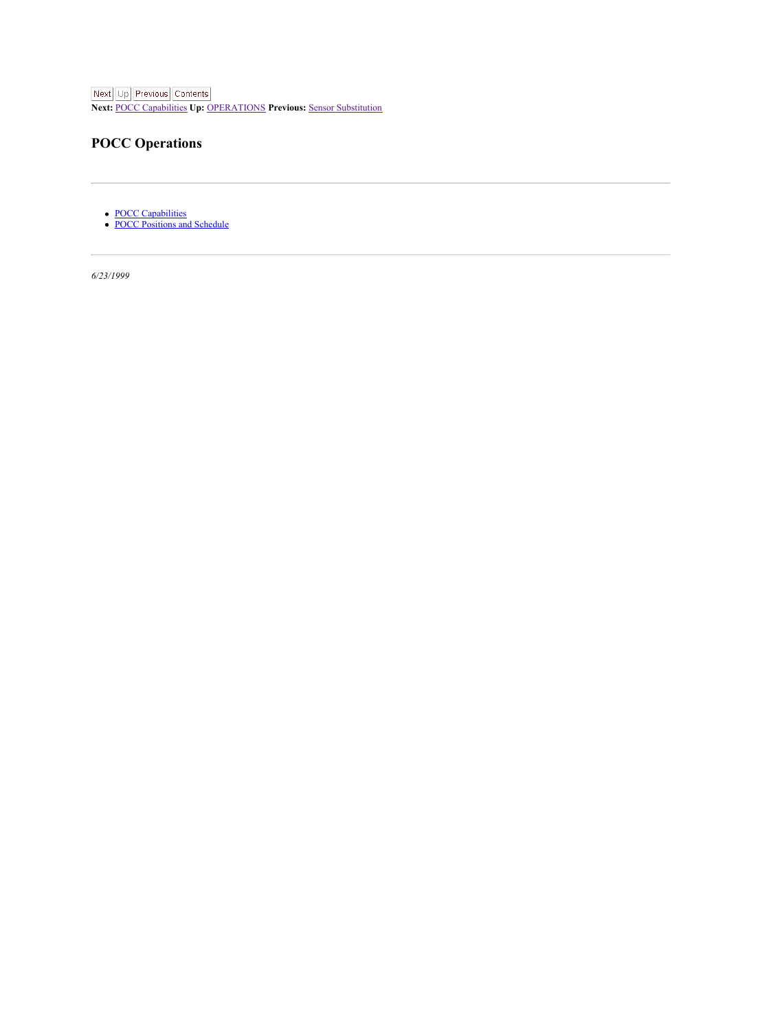<span id="page-32-1"></span>Next Up Previous Contents

**Next:** POCC [Capabilities](#page-33-1) **Up:** [OPERATIONS](#page-19-1) **Previous:** Sensor [Substitution](#page-31-1)

## <span id="page-32-0"></span>**POCC Operations**

POCC [Capabilities](#page-33-0)<br>POCC [Positions](#page-34-0) and Schedule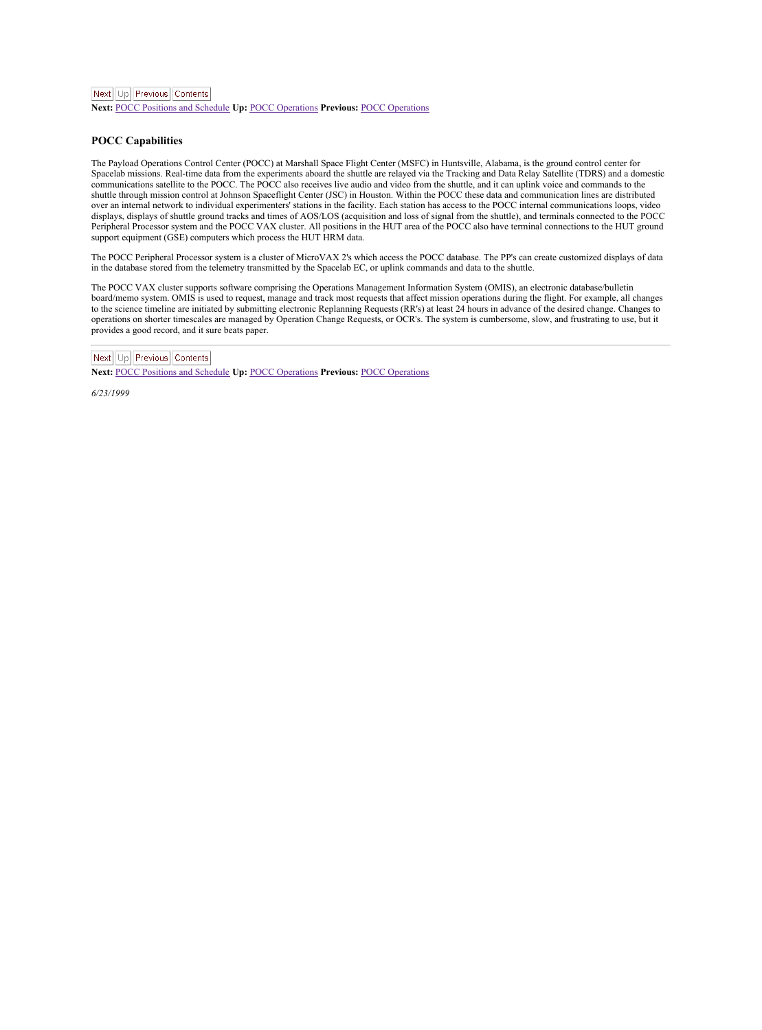<span id="page-33-1"></span>**Next:** POCC [Positions](#page-34-2) and Schedule **Up:** POCC [Operations](#page-32-1) **Previous:** POCC [Operations](#page-32-1)

#### <span id="page-33-0"></span>**POCC Capabilities**

The Payload Operations Control Center (POCC) at Marshall Space Flight Center (MSFC) in Huntsville, Alabama, is the ground control center for Spacelab missions. Real-time data from theexperiments aboard the shuttle are relayed via the Tracking and Data Relay Satellite (TDRS) and a domestic communications satellite to the POCC. The POCC also receives live audio and video from theshuttle, and itcan uplink voice and commands to the shuttle through mission control at Johnson Spaceflight Center (JSC) in Houston. Within the POCC these data and communication lines are distributed over an internal network to individual experimenters' stations in the facility. Each station has access to the POCC internal communications loops, video displays, displays of shuttle ground tracks and times of AOS/LOS (acquisition and loss of signal from theshuttle), and terminals connected to the POCC Peripheral Processor system and the POCC VAX cluster. All positions in the HUT area of the POCC also have terminal connections to the HUT ground support equipment (GSE) computers which process the HUT HRM data.

The POCC Peripheral Processor system is acluster of MicroVAX 2'swhich access the POCC database. The PP's can create customized displays of data In the database stored from the telemetry transmitted by the Spacelab EC, or uplink commands and data to the shuttle

The POCC VAX cluster supports software comprising the Operations Management Information System (OMIS), an electronic database/bulletin board/memo system. OMIS is used to request, manage and track most requests that affect mission operations during the flight. For example, all changes<br>to the science timeline are initiated by submitting electronic Replannin operations on shorter timescales are managed by Operation Change Requests, or OCR's. The system is cumbersome, slow, and frustrating to use, but it provides a good record, and it sure beats paper.

## Next Up Previous Contents

**Next:** POCC [Positions](#page-34-2) and Schedule **Up:** POCC [Operations](#page-32-1) **Previous:** POCC [Operations](#page-32-1)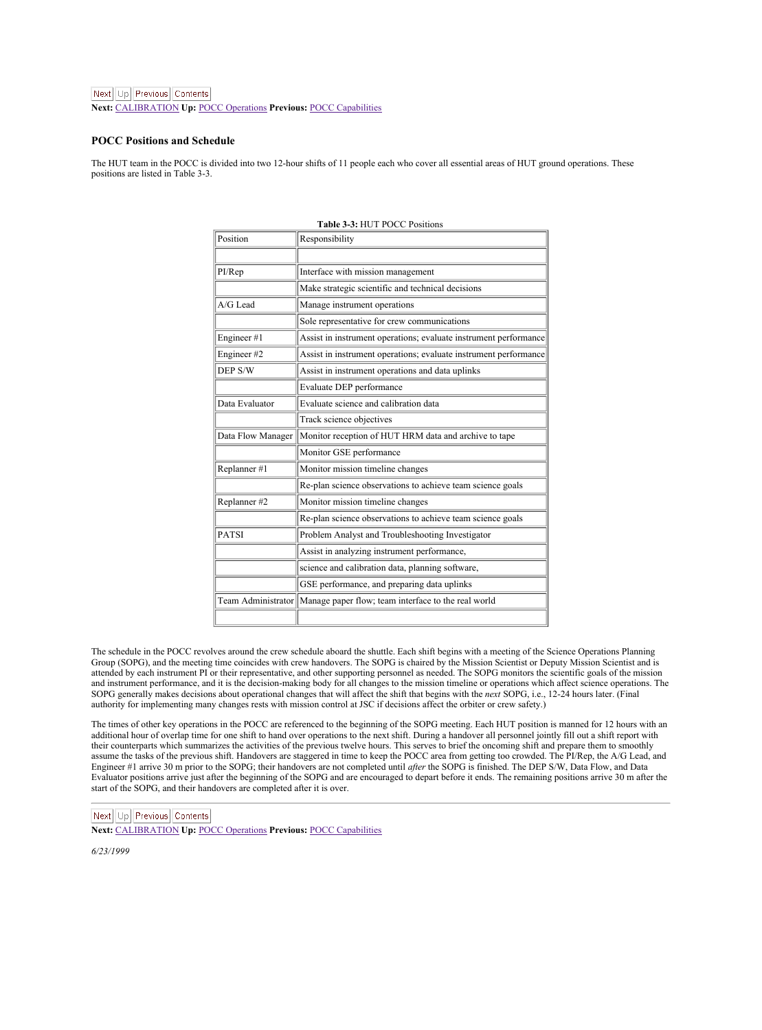<span id="page-34-2"></span>Next Ltd Previous Contents

**Next:** [CALIBRATION](#page-35-1) **Up:**POCC [Operations](#page-32-1) **Previous:** POCC [Capabilities](#page-33-1)

#### <span id="page-34-0"></span>**POCC Positions and Schedule**

The HUT team in the POCC is divided into two 12-hour shifts of 11 people each who cover all essential areas of HUT ground operations. These positions are listed in Table 3-3.

| Position                | Responsibility                                                   |  |  |  |  |
|-------------------------|------------------------------------------------------------------|--|--|--|--|
|                         |                                                                  |  |  |  |  |
| PI/Rep                  | Interface with mission management                                |  |  |  |  |
|                         | Make strategic scientific and technical decisions                |  |  |  |  |
| A/G Lead                | Manage instrument operations                                     |  |  |  |  |
|                         | Sole representative for crew communications                      |  |  |  |  |
| Engineer #1             | Assist in instrument operations; evaluate instrument performance |  |  |  |  |
| Engineer #2             | Assist in instrument operations: evaluate instrument performance |  |  |  |  |
| DEP S/W                 | Assist in instrument operations and data uplinks                 |  |  |  |  |
|                         | Evaluate DEP performance                                         |  |  |  |  |
| Data Evaluator          | Evaluate science and calibration data                            |  |  |  |  |
|                         | <b>Track science objectives</b>                                  |  |  |  |  |
| Data Flow Manager       | Monitor reception of HUT HRM data and archive to tape            |  |  |  |  |
|                         | Monitor GSE performance                                          |  |  |  |  |
| Replanner #1            | Monitor mission timeline changes                                 |  |  |  |  |
|                         | Re-plan science observations to achieve team science goals       |  |  |  |  |
| Replanner <sub>#2</sub> | Monitor mission timeline changes                                 |  |  |  |  |
|                         | Re-plan science observations to achieve team science goals       |  |  |  |  |
| <b>PATSI</b>            | Problem Analyst and Troubleshooting Investigator                 |  |  |  |  |
|                         | Assist in analyzing instrument performance.                      |  |  |  |  |
|                         | science and calibration data, planning software,                 |  |  |  |  |
|                         | GSE performance, and preparing data uplinks                      |  |  |  |  |
| Team Administrator      | Manage paper flow: team interface to the real world              |  |  |  |  |
|                         |                                                                  |  |  |  |  |

#### <span id="page-34-1"></span>**Table 3-3:** HUT POCC Positions

The schedule in the POCC revolves around the crew schedule aboard the shuttle. Each shift begins with a meeting of the Science Operations Planning Group (SOPG), and the meeting time coincides with crew handovers. The SOPG is chaired by the Mission Scientist or Deputy Mission Scientist and is attended by each instrument PI or their representative, and other supporting personnel as needed. The SOPG monitors the scientific goals of the mission and instrument performance, and it is the decision-making body for all changes to the mission timeline or operations which affect science operations. The SOPG generally makes decisions about operational changes that will affect the shift that begins with the next SOPG, i.e., 12-24 hours later. (Final<br>authority for implementing many changes rests with mission control at JSC

The times of other key operations in the POCC are referenced to the beginning of the SOPG meeting. Each HUT position is manned for 12 hours with an additional hour of overlap time for one shift to hand over operations to the next shift. During a handover all personnel jointly fill out a shift report with their counterparts which summarizes the activities of the previous twelve hours. This serves to brief the oncoming shift and prepare them to smoothly assume the tasks of the previous shift. Handovers are staggered in time to keep the POCC area from getting too crowded. The PI/Rep, the A/G Lead, and<br>Engineer #1 arrive 30 m prior to the SOPG; their handovers are not compl Evaluator positions arrive just after the beginning of the SOPG and are encouraged to depart before itends. The remaining positions arrive 30 m after the start of the SOPG, and their handovers are completed after it is over.

Next Up Previous Contents

**Next:** [CALIBRATION](#page-35-1) **Up:**POCC [Operations](#page-32-1) **Previous:** POCC [Capabilities](#page-33-1)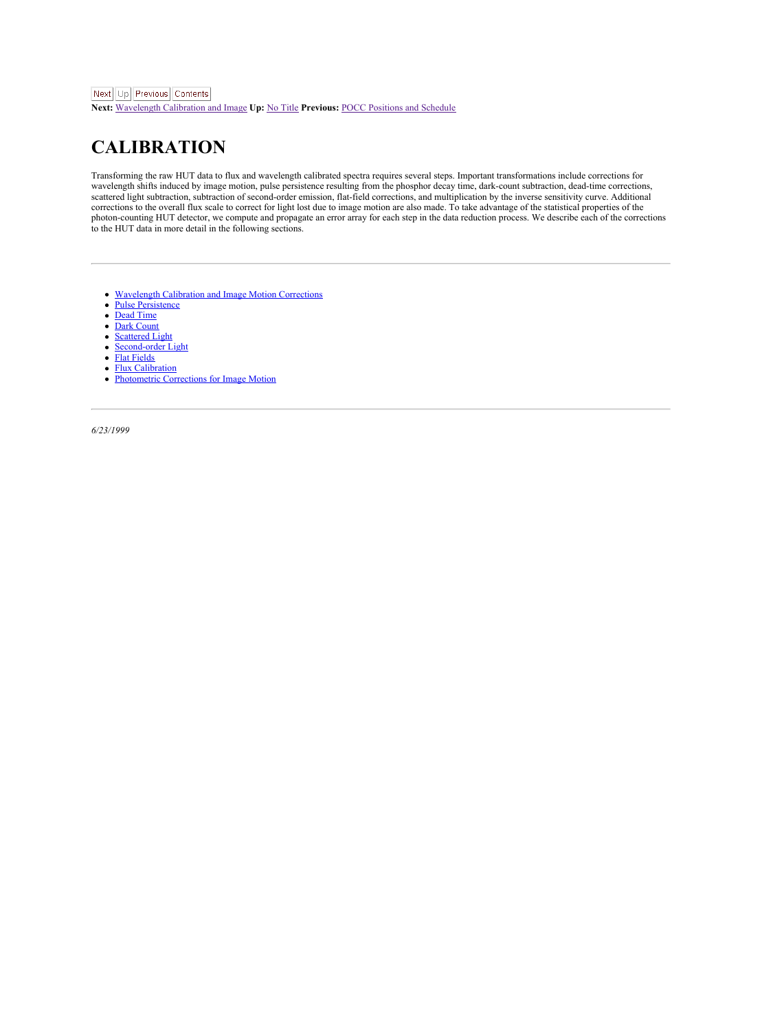<span id="page-35-1"></span>**Next:** [Wavelength](#page-36-1) Calibration and Image **Up:** No [Title](#page-0-0) **Previous:** POCC [Positions](#page-34-2) and Schedule

## <span id="page-35-0"></span>**CALIBRATION**

Transforming the raw HUT data to flux and wavelength calibrated spectra requires several steps. Important transformations include corrections for wavelength shifts induced by image motion, pulse persistence resulting from the phosphor decay time, dark-count subtraction, dead-time corrections,<br>scattered light subtraction, subtraction of second-order emission, flat-fi scancied ingui subilaction, subulaction or second-outer emission, ma-rieut corrections, and manipucation by the areets sensitivity curve. Additional properties of the corrections to the overall flux scale to correct for li photon-counting HUT detector, we compute and propagate an error array for each step in the data reduction process. We describe each of the corrections to the HUT data in more detail in the following sections.

- ٠ **[Wavelength](#page-36-0) Calibration** Correction
- $\lambda$ Pulse [Persistence](#page-37-0)
- [Dead](#page-38-0) Time
- ٠ Dark [Count](#page-39-0)
- $\lambda$ [Scattered](#page-40-0) Light
- ٠ [Second-order](#page-41-0) Light
- $\overline{\phantom{a}}$ Flat [Fields](#page-42-0)
- $\bullet$ Flux [Calibration](#page-44-0)
- for Image Motion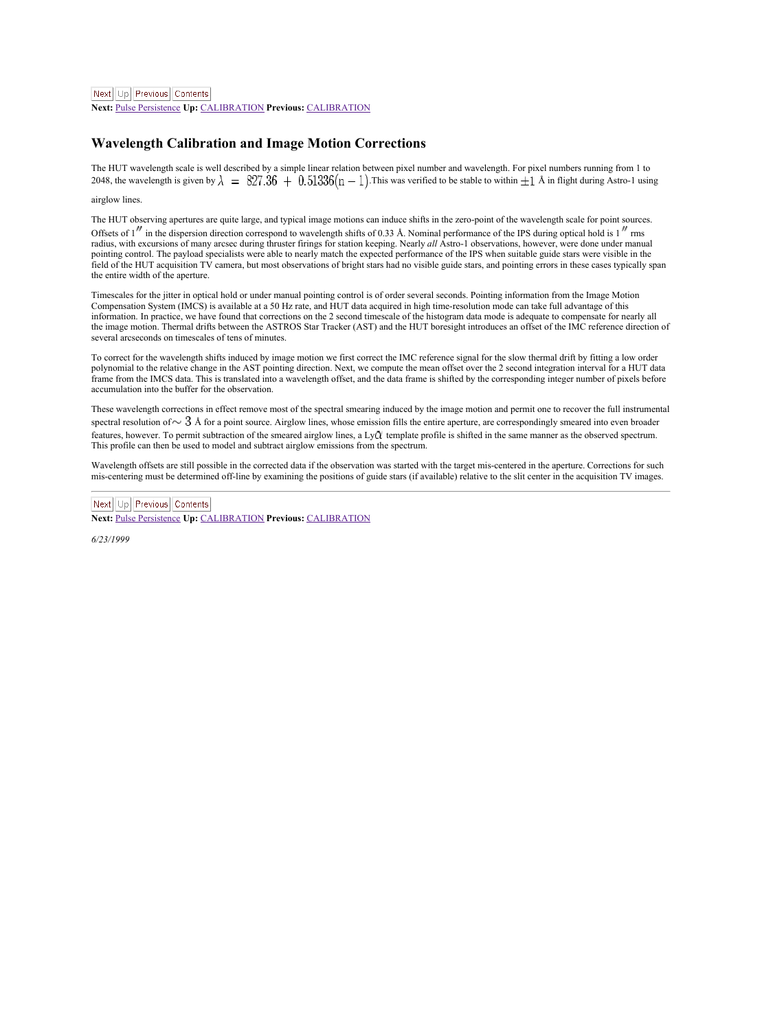<span id="page-36-1"></span>Next Ltd Previous Contents

**Next:** Pulse [Persistence](#page-37-1) **Up:** [CALIBRATION](#page-35-1) **Previous:** [CALIBRATION](#page-35-1)

## <span id="page-36-0"></span>**Wavelength Calibration and Image Motion Corrections**

The HUT wavelength scale is well described by a simple linear relation between pixel number and wavelength. For pixel numbers running from 1 to 2048, the wavelength is given by  $\lambda = 827.36 + 0.51336(n-1)$ . This was verified to be stable to within  $\pm 1$  A in flight during Astro-1 using

airglow lines.

The HUT observing apertures are quite large, and typical image motions can induce shifts in the zero-point of the wavelength scale for point sources. Offsets of  $1''$  in the dispersion direction correspond to wavelength shifts of 0.33 Å. Nominal performance of the IPS during optical hold is  $1''$  rms radius, with excursions of many arcsec during thruster firings for station keeping. Nearly *all* Astro-1 observations, however, were done under manual pointing control. The payload specialists were able to nearly match the expected performance of the IPS when suitable guide stars were visible in the formany to the HUT acquisition TV camera, but most observations of bright stars had no visible guide stars, and nonting errors in these cases typically span the entire width of the aperture.

Timescales for the jitter in optical hold or under manual pointing control is of order several seconds. Pointing information from the Image Motion Compensation System (IMCS) is available at a 50 Hz rate, and HUT data acquired in high time-resolution mode can take full advantage of this information. In practice, we have found that corrections on the 2 second timescale of the histogram data mode is adequate to compensate for nearly all<br>the image motion. Thermal drifts between the ASTROS Star Tracker (AST) several arcseconds on timescales of tens of minutes.

To correct for the wavelength shifts induced by image motion we first correct the IMC reference signal for the slow thermal drift by fitting a low order<br>polynomial to the relative change in the AST pointing direction. Next frame from the IMCS data. This is translated into a wavelength offset, and the data frame is shifted by the corresponding integer number of pixels before accumulation into the buffer for the observation.

These wavelength corrections in effect remove most of the spectral smearing induced by the image motion and permit one to recover the full instrumental spectral resolution of  $\sim$   $3$  Å for a point source. Airglow lines, whose emission fills the entire aperture, are correspondingly smeared into even broader features, however. To permit subtraction of the smeared airglow lines, a Ly template profile is shifted in the same manner as the observed spectrum. This profile can then be used to model and subtract airglow emissions from the spectrum.

Wavelength offsets are still possible in the corrected data if the observation was started with the target mis-centered in the aperture. Corrections for such mis-centering must be determined off-line by examining the positions of guide stars (if available) relative to the slit center in the acquisition TV images.

Next Up Previous Contents

**Next:** Pulse [Persistence](#page-37-1) **Up:** [CALIBRATION](#page-35-1) **Previous:** [CALIBRATION](#page-35-1)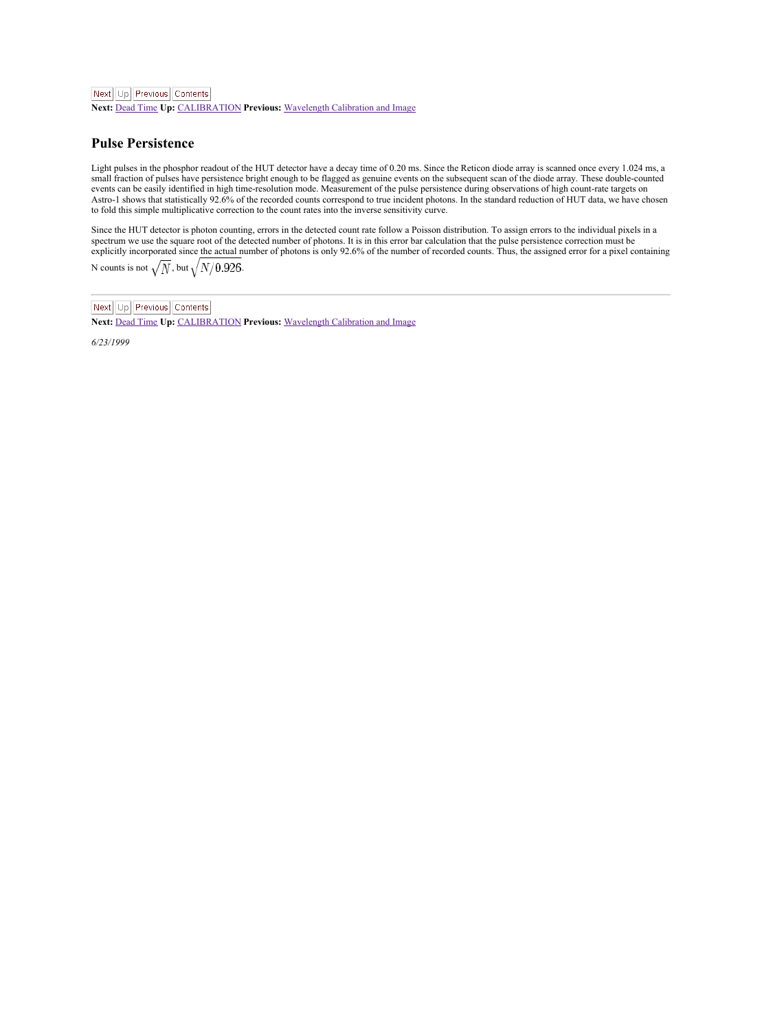<span id="page-37-1"></span>**Next:** [Dead](#page-38-1) Time **Up:** [CALIBRATION](#page-35-1) **Previous:** [Wavelength](#page-36-1) Calibration and Image

#### <span id="page-37-0"></span>**Pulse Persistence**

Light pulses in the phosphor readout of the HUT detector have a decay time of 0.20 ms. Since the Reticon diode array is scanned once every 1.024 ms, a<br>small fraction of pulses have persistence bright enough to be flagged a events can be easily identified in high time-resolution mode. Measurement of the pulse persistence during observations of high count-rate targets on Astro-1 shows that statistically 92.6% of the recorded counts correspond to true incident photons. In the standard reduction of HUT data, we have chosen<br>to fold this simple multiplicative correction to the count rates into

Since the HUT detector is photon counting, errors in the detected count rate follow a Poisson distribution. To assign errors to the individual pixels in a spectrum we use the square root of the detected number of photons. It is in this error bar calculation that the pulse persistence correction must be<br>explicitly incorporated since the actual number of photons is only 92.6% N counts is not  $\sqrt{\overline{N}}$ , but  $\sqrt{\frac{N}{0.926}}$ .

Next | Up | Previous | Contents

**Next:** [Dead](#page-38-1) Time **Up:** [CALIBRATION](#page-35-1) **Previous:** [Wavelength](#page-36-1) Calibration and Image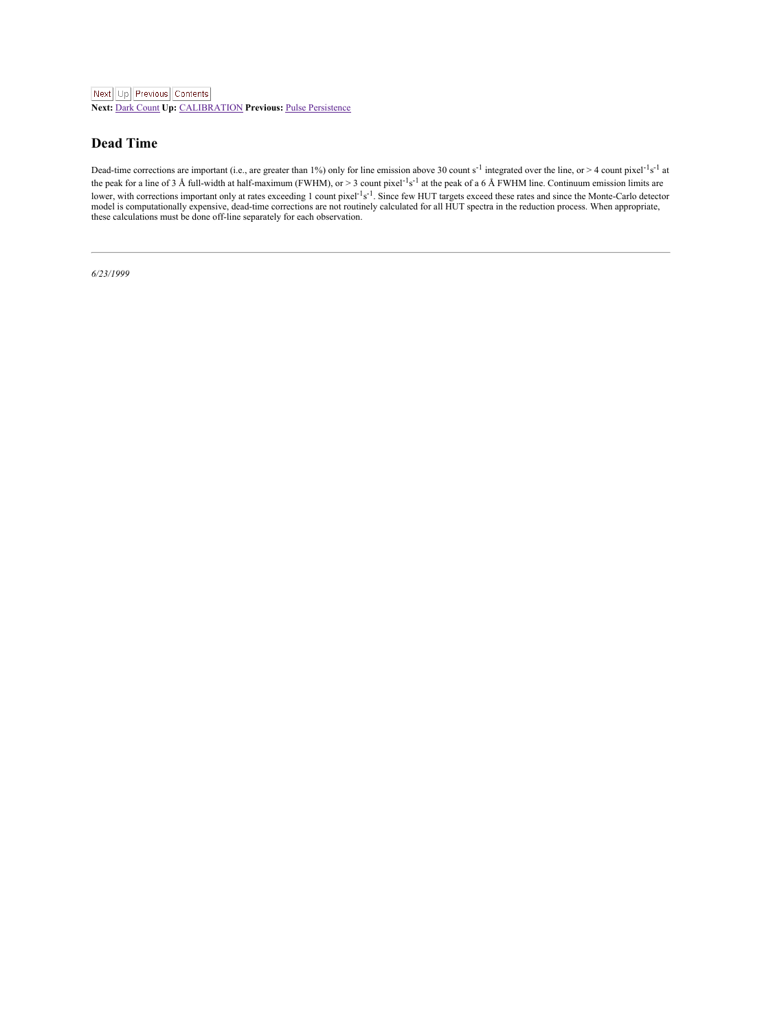<span id="page-38-1"></span>**Next:** Dark [Count](#page-39-1) **Up:** [CALIBRATION](#page-35-1) **Previous:** Pulse [Persistence](#page-37-1)

### <span id="page-38-0"></span>**Dead Time**

Dead-time corrections are important (i.e., are greater than 1%) only for line emission above 30 count s<sup>-1</sup> integrated over the line, or > 4 count pixel<sup>-1</sup>s<sup>-1</sup> at the peak for a line of 3 Å full-width at half-maximum (FWHM), or  $> 3$  count pixel<sup>-1</sup>s<sup>-1</sup> at the peak of a 6 Å FWHM line. Continuum emission limits are lower, with corrections important only at rates exceeding 1 count pixel<sup>+1</sup>s<sup>-1</sup>. Since few HUT targets exceed these rates and since the Monte-Carlo detector model is computationally expensive, dead-time corrections are not routinely calculated for all HUT spectra in the reduction process. When appropriate, these calculations must be done off-line separately for each observation.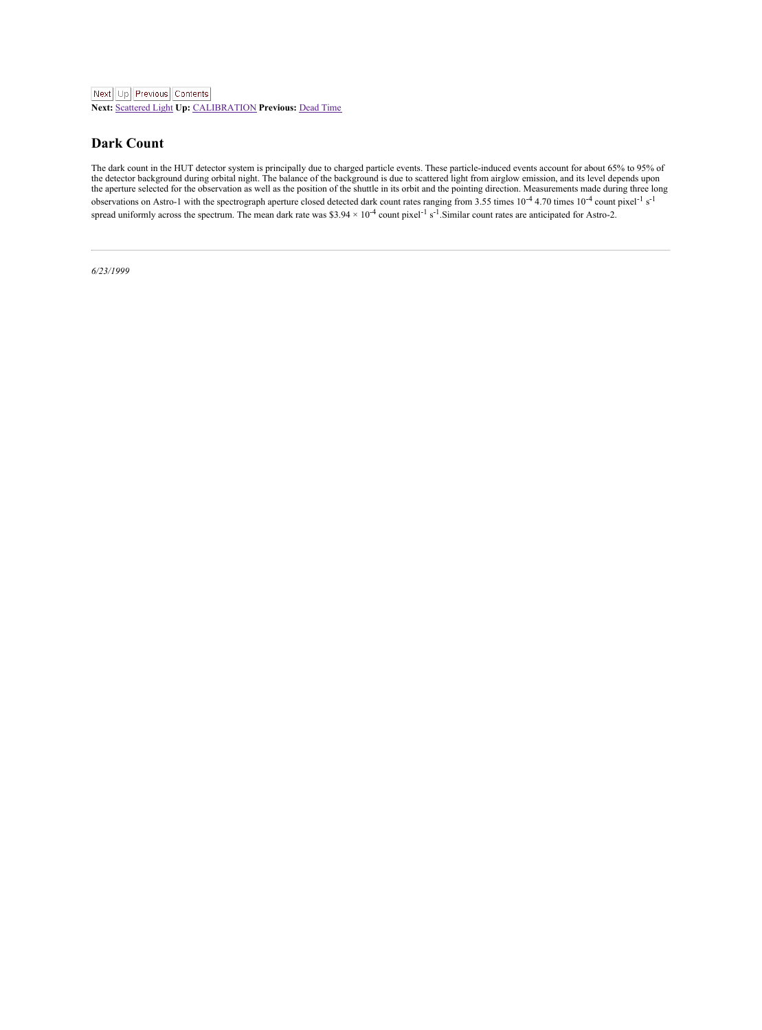<span id="page-39-1"></span>**Next:** [Scattered](#page-40-2) Light **Up:** [CALIBRATION](#page-35-1) **Previous:** [Dead](#page-38-1) Time

### <span id="page-39-0"></span>**Dark Count**

The dark count in the HUT detector system is principally due to charged particle events. These particle-induced events account for about 65% to 95% of<br>the detector background during orbital night. The balance of the backgr observations on Astro-1 with the spectrograph aperture closed detected dark count rates ranging from 3.55 times 10<sup>-4</sup> 4.70 times 10<sup>-4</sup> count pixel<sup>-1</sup> s<sup>-1</sup><br>spread uniformly across the spectrum. The mean dark rate was \$3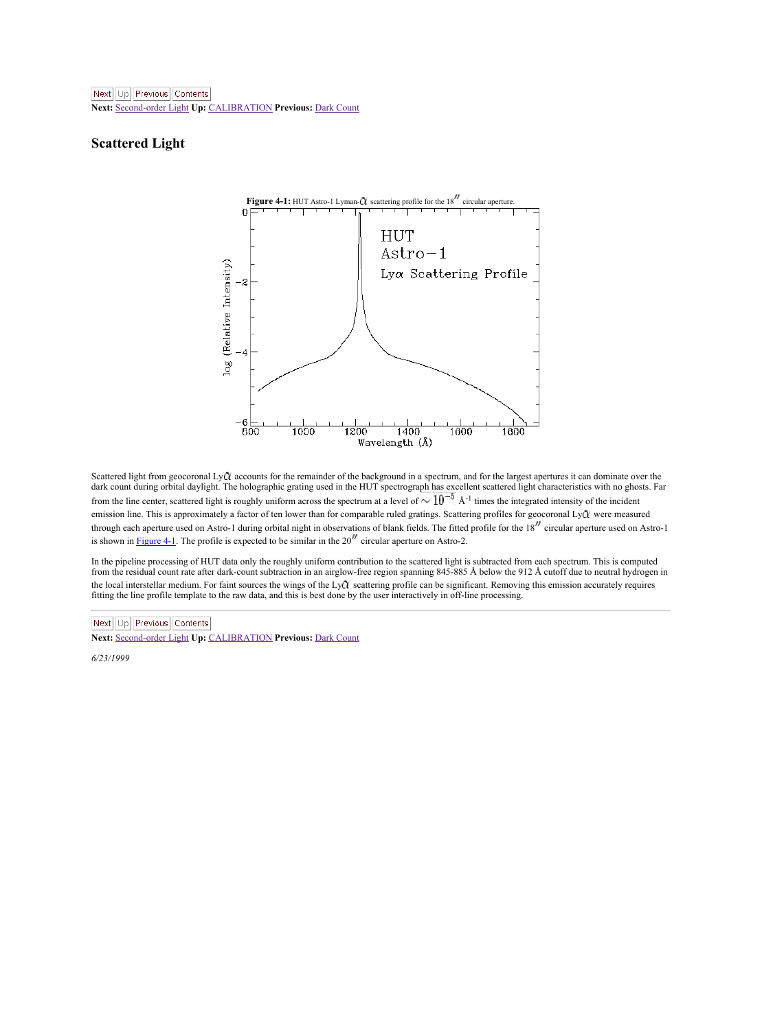<span id="page-40-2"></span>**Next:** [Second-order](#page-41-1) Light **Up:** [CALIBRATION](#page-35-1) **Previous:** Dark [Count](#page-39-1)

### <span id="page-40-0"></span>**Scattered Light**

<span id="page-40-1"></span>

Scattered light from geocoronal LyQ accounts for the remainder of the background in a spectrum, and for the largest apertures it can dominate over the dark count during orbital daylight. The holographic grating used in the HUT spectrograph has excellent scattered light characteristics with no ghosts. Far from the line center, scattered light is roughly uniform across the spectrum at a level of  $\sim 10^{-5}$  Å<sup>-1</sup> times the integrated intensity of the incident emission line. This is approximately a factor of ten lower than for comparable ruled gratings. Scattering profiles for geocoronal LyCl were measured through each aperture used on Astro-1 during orbital night in observations of blank fields. The fitted profile for the 18 circular aperture used on Astro-1 is shown in [Figure](#page-40-1) 4-1. The profile is expected to be similar in the  $20''$  circular aperture on Astro-2.

In the pipeline processing of HUT data only the roughly uniform contribution to the scattered light is subtracted from each spectrum. This is computed<br>from the residual count rate after dark-count subtraction in an airglow the local interstellar medium. For faint sources the wings of the LyQ scattering profile can be significant. Removing this emission accurately requires<br>fitting the line profile template to the raw data, and this is best d

Next Up Previous Contents

**Next:** [Second-order](#page-41-1) Light **Up:** [CALIBRATION](#page-35-1) **Previous:** Dark [Count](#page-39-1)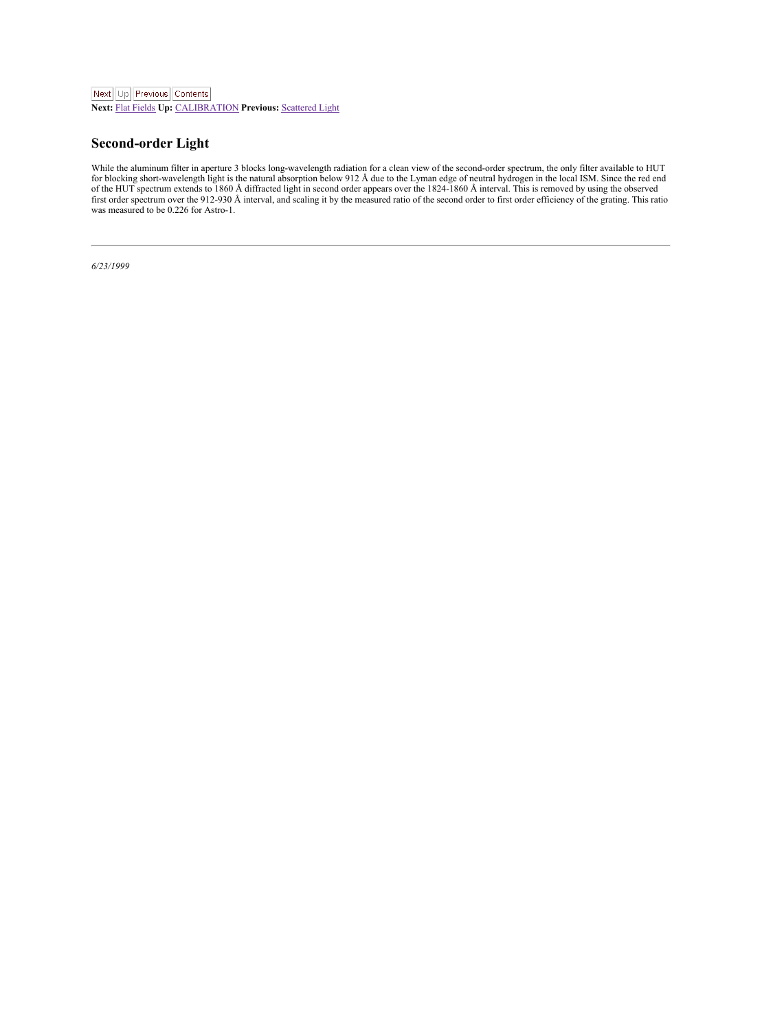## <span id="page-41-1"></span><span id="page-41-0"></span>**Second-order Light**

While the aluminum filter in aperture 3 blocks long-wavelength radiation for a clean view of the second-order spectrum, the only filter available to HUT<br>for blocking short-wavelength light is the natural absorption below 9 first order spectrum over the 912-930 Å interval, and scaling it by the measured ratio of the second order to first order efficiency of the grating. This ratio was measured to be 0.226 for Astro-1.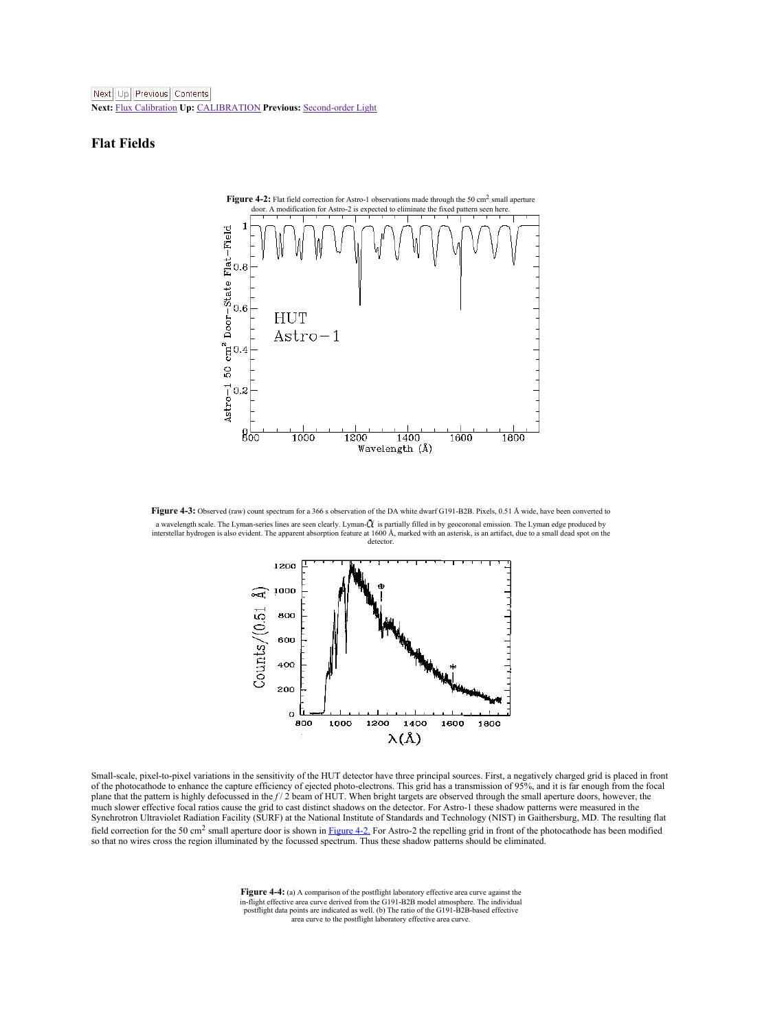<span id="page-42-4"></span>**Next:** Flux [Calibration](#page-45-2) **Up:** [CALIBRATION](#page-35-1) **Previous:** [Second-order](#page-41-1) Light

### <span id="page-42-0"></span>**Flat Fields**

<span id="page-42-1"></span>

**Figure 4-3:** Observed (raw) count spectrum for a 366 sobservation of the DA white dwarf G191-B2B. Pixels, 0.51 Å wide, have been converted to a wavelength scale. The Lyman-series lines are seen clearly. Lyman-CL is partially filled in by geocoronal emission. The Lyman edge produced by<br>intentellar bydrosen is also evident. The arearent absorption feature at 1600 detector

<span id="page-42-2"></span>

Small-scale, pixel-to-pixel variations in the sensitivity of the HUT detector have three principal sources. First, a negatively charged grid is placed in front of the photocathode to enhance the capture efficiency of ejected photo-electrons. This grid has a transmission of 95%, and it is far enough from the focal<br>plane that the pattern is highly defocussed in the f / 2 beam of HU much slower effective focal ratios cause the grid to cast distinct shadows on the detector. For Astro-1 these shadow patterns were measured in the Synchrotron Ultraviolet Radiation Facility (SURF) at the National Institute of Standards and Technology (NIST) in Gaithersburg, MD. The resulting flat field correction for the 50 cm<sup>2</sup> small aperture door is shown in [Figure](#page-42-1) 4-2. For Astro-2 the repelling grid in front of the photocathode has been modified<br>so that no wires cross the region illuminated by the focussed spec

<span id="page-42-3"></span>**Figure 4-4:** (a) A comparison of the postflight laboratory effective area curve against the in-flight effective area curve derived from the G191-B2B model atmosphere. The individual postflight data points are indicated as well. (b) The ratio of the G191-B2B-based effective area curve to the postflight laboratory effective area curve.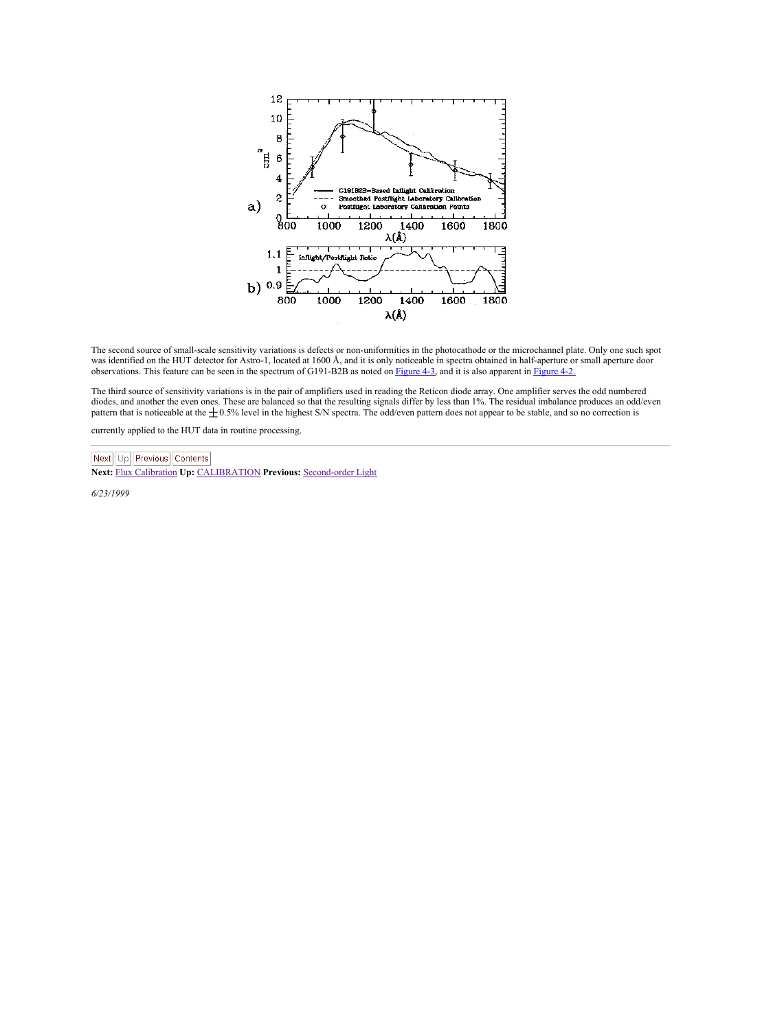

The second source of small-scale sensitivity variations is defects or non-uniformities in the photocathode or the microchannel plate. Only one such spot was identified on the HUT detector for Astro-1, located at 1600 Å, and it is only noticeable in spectra obtained in half-aperture or small aperture door observations. This feature can be seen in the spectrum of G191-B2B as noted on [Figure](#page-42-1) 4-3, and it is also apparent in Figure 4-2.

The third source of sensitivity variations is in the pair of amplifiers used in reading the Reticon diode array. One amplifier serves the odd numbered diodes, and another the even ones. These are balanced so that the resulting signals differ by less than 1%. The residual imbalance produces an odd/even pattern that is noticeable at the  $\pm 0.5\%$  level in the highest S/N spectra. The odd/even pattern does not appear to be stable, and so no correction is

currently applied to the HUT data in routine processing.

Next Up Previous Contents

**Next:** Flux [Calibration](#page-45-2) **Up:** [CALIBRATION](#page-35-1) **Previous:** [Second-order](#page-41-1) Light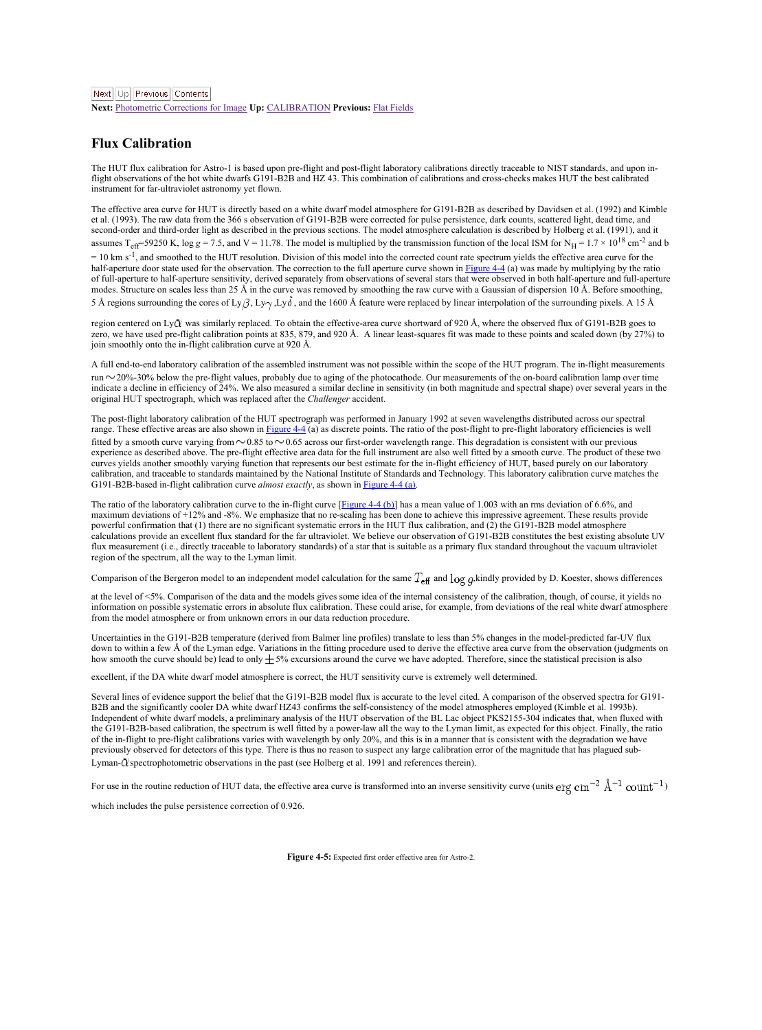**Next:** [Photometric](#page-47-1) Corrections for Image **Up:** [CALIBRATION](#page-35-1) **Previous:** Flat [Fields](#page-42-4)

#### <span id="page-44-0"></span>**Flux Calibration**

The HUT flux calibration for Astro-1 is based upon pre-flight and post-flight laboratory calibrations directly traceable to NIST standards, and upon in-<br>flight observations of the hot white dwarfs G191-B2B and HZ 43. This instrument for far-ultraviolet astronomy yet flown.

The effective area curve for HUT is directly based on a white dwarf model atmosphere for G191-B2B as described by Davidsen et al. (1992) and Kimble<br>et al. (1993). The raw data from the 366 s observation of G191-B2B were co second-order and third-order light as described in the previous sections. The model atmosphere calculation is described by Holberg et al. (1991), and it<br>assumes T<sub>eff</sub>=59250 K, log g = 7.5, and V = 11.78. The model is mult = 10 km s<sup>-1</sup>, and smoothed to the HUT resolution. Division of this model into the corrected count rate spectrum yields the effective area curve for the half-aperture door state used for the observation. The correction to the full aperture curve shown in [Figure](#page-42-3) 4-4 (a) was made by multiplying by the ratio<br>of full-aperture to half-aperture sensitivity, derived separately fr or run-aperture to nan-aperture scribility, was readed by smoothing the raw curve with a Gaussian of dispersion 10 Å. Before smoothing, modes. Structure on scales less than 25 Å in the curve was removed by smoothing the ra 5 Å regions surrounding the cores of Ly  $\beta$ , Ly  $\sqrt{2}$ , and the 1600 Å feature were replaced by linear interpolation of the surrounding pixels. A 15 Å

region centered on LyQ was similarly replaced. To obtain the effective-area curve shortward of 920 Å, where the observed flux of G191-B2B goes to export cannot on r<sub>a</sub>pper was nummary replactor. To commit we criterior-meta curve another to the second the top of the second to the second the second of the second the in-Bight calibration curve at 920 Å. A linear least-

A full end-to-end laboratory calibration of the assembled instrument was not possible within the scope of the HUT program. The in-flight measurements run 20%-30% below the pre-flight values, probably due to aging of the photocathode. Our measurements of the on-board calibration lamp over time indicate a decline in efficiency of 24%. We also measured a similar decline in sensitivity (in both magnitude and spectral shape) over several years in the original HUT spectrograph, which was replaced after the *Challenger* accident.

The post-flight laboratory calibration of the HUT spectrograph was performed in January 1992 atseven wavelengths distributed across our spectral range. These effective areas are also shown in [Figure](#page-42-3) 4-4 (a) as discrete points. The ratio of the post-flight to pre-flight laboratory efficiencies is well fitted by a smooth curve varying from  $\sim$  0.85 to  $\sim$  0.65 across our first-order wavelength range. This degradation is consistent with our previous experience as described above. The pre-flight effective area data for the full instrument are also well fitted by a smooth curve. The product of these two curves yields another smoothly varying function that represents our best estimate for the in-flight efficiency of HUT, based purely on our laboratory calibration, and traceable to standards maintained by the National Institute of Standards and Technology. This laboratory calibration curve matches the GUI-LR9R haven't matches the CIU-LR9R haven't matches the CIU-LR9R hav G191-B2B-based in-flight calibration curve *almost exactly*, as shown in [Figure](#page-42-3)

The ratio of the laboratory calibration curve to the in-flight curve [[Figure](#page-42-3) 4-4 (b)] has a mean value of 1.003 with an rms deviation of 6.6%, and<br>maximum deviations of +12% and -8%. We emphasize that no re-scaling has bee powerful confirmation that (1) there are no significant systematic errors in the HUT flux calibration, and (2) the G191-B2B model atmosphere calculations provide an excellent flux standard for the far ultraviolet. We believe our observation of G191-B2B constitutes the best existing absolute UV flux measurement (i.e., directly traceable to laboratory standards) of a star that is suitable as a primary flux standard throughout the vacuum ultraviolet region of the spectrum, all the way to the Lyman limit.

Comparison of the Bergeron model to an independent model calculation for the same  $T_{\text{eff}}$  and  $\log q$ ,kindly provided by D. Koester, shows differences

at the level of <5%. Comparison of the data and the models gives some idea of the internal consistency of the calibration, though, of course, it yields no information on possible systematic errors in absolute flux calibration. These could arise, for example, from deviations of the real white dwarf atmosphere from themodel atmosphere or from unknown errors in our data reduction procedure.

Uncertainties in the G191-B2B temperature (derived from Balmer line profiles) translate to less than 5% changes in the model-predicted far-UV flux down to within a few Å of the Lyman edge. Variations in the fitting procedure used to derive the effective area curve from the observation (judgments on<br>how smooth the curve should be) lead to only  $\pm$  5% excursions aroun

excellent, if the DA white dwarf model atmosphere is correct, the HUT sensitivity curve is extremely well determined

Several lines of evidence support the belief that the G191-B2B model flux is accurate to the level cited. A comparison of the observed spectra for G191- B2B and the significantly cooler DA white dwarf HZ43 confirms the self-consistency of the model atmospheres employed (Kimble et al. 1993b). Independent of white dwarf models, a preliminary analysis of the HUT observation of the BL Lac object PKS2155-304 indicates that, when fluxed with the G191-B2B-based calibration, the spectrum is well fitted by a power-law all the way to the Lyman limit, as expected for this object. Finally, the ratio of the in-flight to pre-flight calibrations varies with wavelength by only 20%, and this is in a manner that is consistent with the degradation we have previously observed for detectors of this type. There is thus no reason to suspect any large calibration error of the magnitude that has plagued sub- Lyman-Q spectrophotometric observations in the past (see Holberg et al. 1991 and references therein).

For use in the routine reduction of HUT data, the effective area curve is transformed into an inverse sensitivity curve (units  $\text{erg cm}^{-2}$   $\text{\AA}^{-1}$   $\text{count}^{-1}$ )

which includes the pulse persistence correction of 0.926.

<span id="page-44-1"></span>**Figure 4-5:** Expected first order effective area for Astro-2.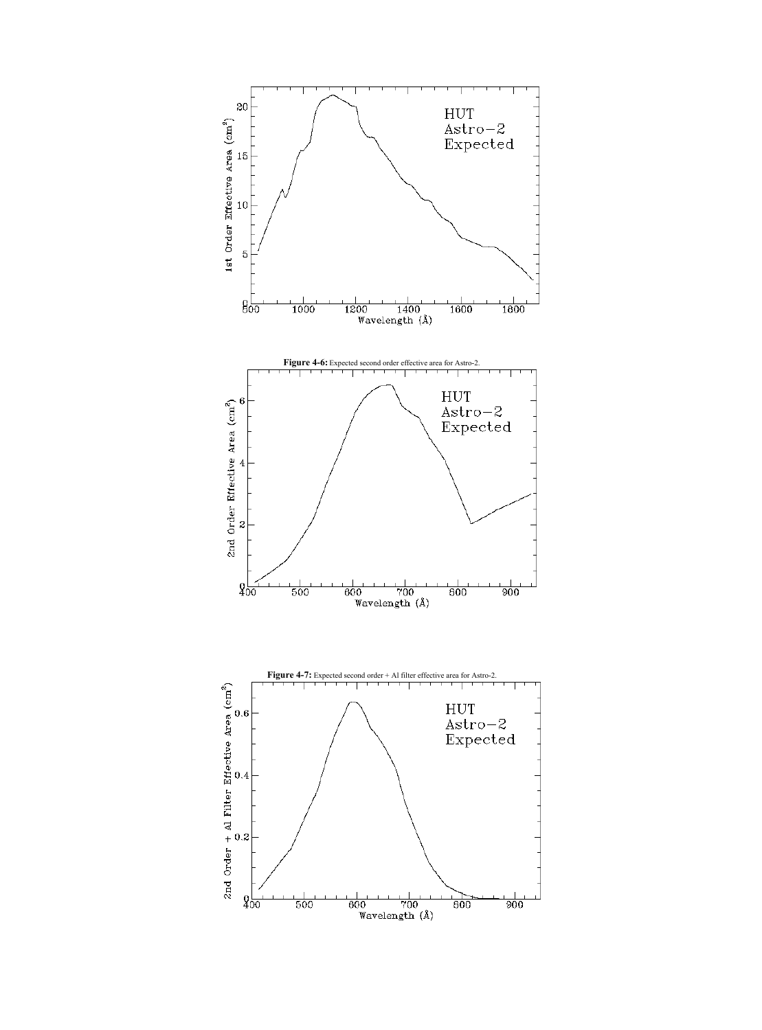<span id="page-45-2"></span><span id="page-45-1"></span><span id="page-45-0"></span>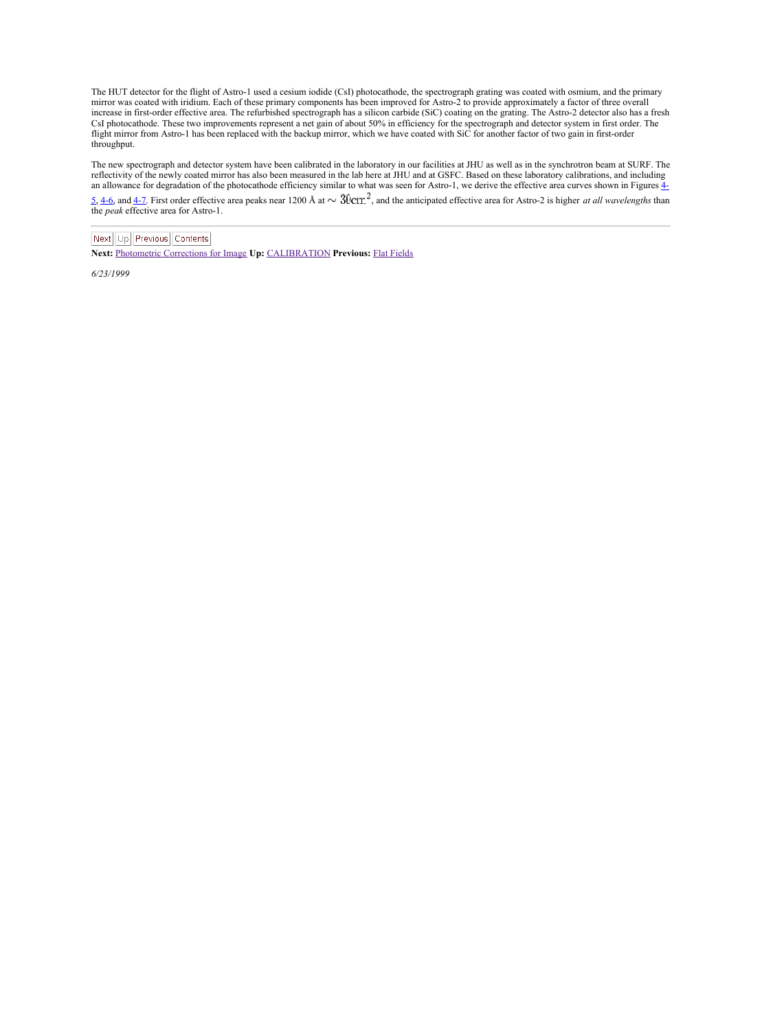The HUT detector for the flight of Astro-1 used a cesium iodide (CsI) photocathode, the spectrograph grating was coated with osmium, and the primary mirror was coated with iridium. Each of these primary components has been improved for Astro-2 to provide approximately a factor of three overall increase in first-order effective area. The refurbished spectrograph has a silicon carbide (SiC) coating on the grating. The Astro-2 detector also has a fresh CsI photocathode. These two improvements represent a net gain of about 50% in efficiency for the spectrograph and detector system infirst order. The flight mirror from Astro-1 has been replaced with the backup mirror, which we have coated with SiC foranother factor of two gain in first-order throughput.

The new spectrograph and detector system have been calibrated in the laboratory in our facilities at JHU as well as in the synchrotron beam at SURF. The reflectivity of the newly coated mirror has also been measured in the laboratory in our lacking and as well as in the synchrotrotron measured mirror has also been measured in the laboratory calibrations, and including and

an allowance for degradation of the [photocathode](#page-44-1) efficiency similar to what was seen for Astro-1, we derive the effective area carves shown in Figures <u>4.</u><br>5<u>. 4dc,</u> and 4.2. First order effective area peaks near 1200 Å a

Next Up Previous Contents

**Next:** [Photometric](#page-47-1) Corrections for Image **Up:** [CALIBRATION](#page-35-1) **Previous:** Flat [Fields](#page-42-4)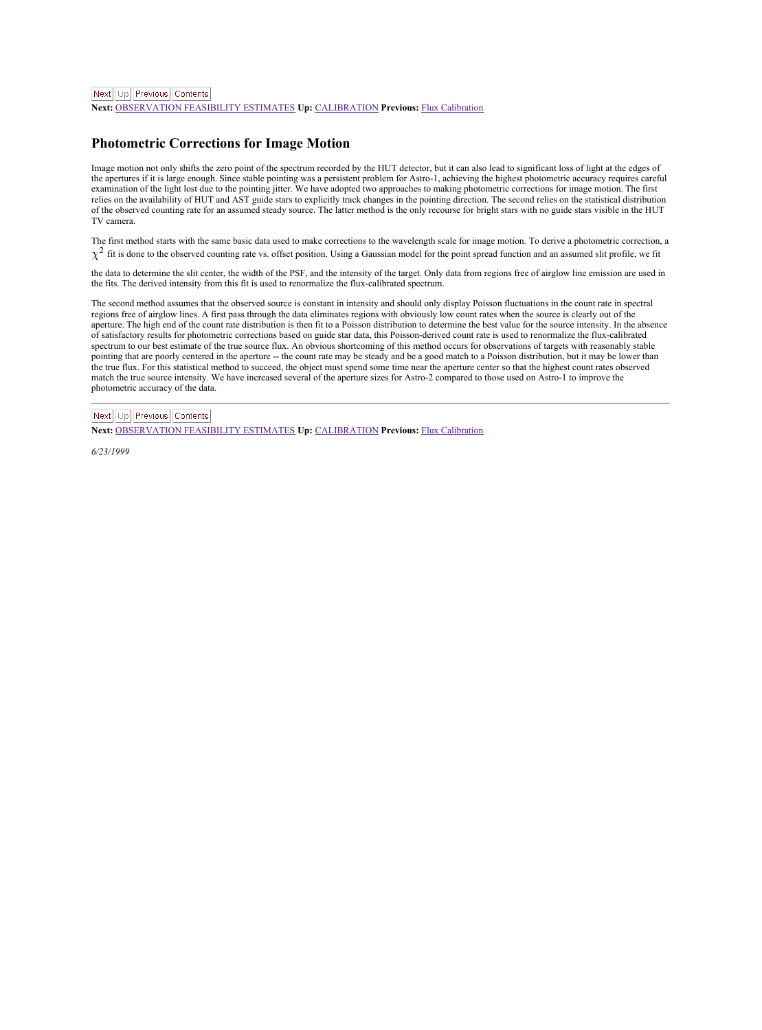<span id="page-47-1"></span>Next Ltd Previous Contents

**Next:** [OBSERVATION](#page-49-2) FEASIBILITY ESTIMATES **Up:** [CALIBRATION](#page-35-1) **Previous:** Flux [Calibration](#page-45-2)

#### <span id="page-47-0"></span>**Photometric Corrections for Image Motion**

Image motion not only shifts the zero point of the spectrum recorded by the HUT detector, but it can also lead to significant loss of light at the edges of the apertures if it is large enough. Since stable pointing was a persistent problem for Astro-1, achieving the highest photometric accuracy requires careful examination of the light lost due to the pointing jitter. We have adopted two approaches to making photometric corrections for image motion. The first relies on the availability of HUT and AST guide stars to explicitly track changes in the pointing direction. The second relies on the statistical distribution<br>of the observed counting rate for an assumed steady source. The TV camera.

The first method starts with the same basic data used to make corrections to the wavelength scale for image motion. To derive a photometric correction, a  $\chi^2$  fit is done to the observed counting rate vs. offset position. Using a Gaussian model for the point spread function and an assumed slit profile, we fit

the data to determine the slit center, the width of the PSF, and the intensity of the target. Only data from regions free of airglow line emission are used in<br>the fits. The derived intensity from this fit is used to renorm

The second method assumes that the observed source is constant in intensity and should only display Poisson fluctuations in the count rate in spectral regions free of airglow lines. A first pass through the data eliminates regions with obviously low count rates when the source is clearly out of the aperture. The high end of the count rate distribution is then fitto a Poisson distribution to determine the best value for the source intensity. In the absence of satisfactory results for photometric corrections based on guide star data, this Poisson-derived count rate is used to renormalize the flux-calibrated spectrum to our best estimate of the true source flux. An obvious shortcoming of this method occurs for observations of targets with reasonably stable pointing that are poorly centered in the aperture -- the count rate may be steady and be a good match to a Poisson distribution, but it may be lower than the true flux. For this statistical method to succeed, the object must spend some time near the aperture center so that the highest count rates observed match the true source intensity. We have increased several of the aperture sizes for Astro-2 compared to those used on Astro-1 to improve the photometric accuracy of the data.

Next Lin Previous Contents **Next:** [OBSERVATION](#page-49-2) FEASIBILITY ESTIMATES **Up:** [CALIBRATION](#page-35-1) **Previous:** Flux [Calibration](#page-45-2)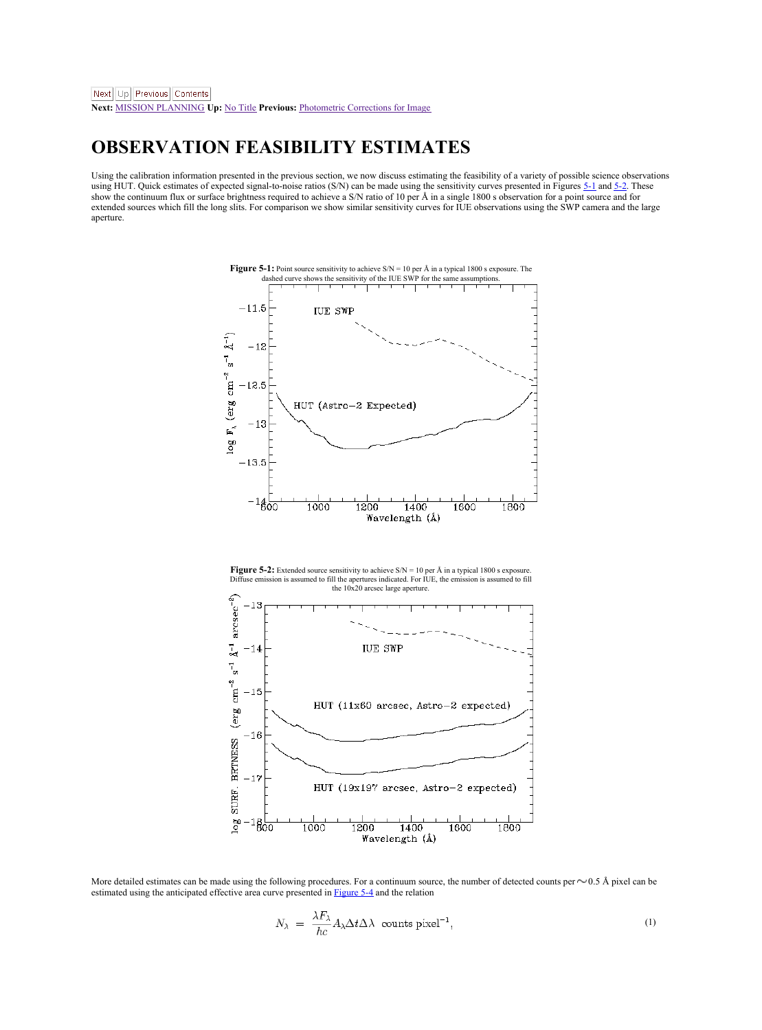## <span id="page-48-0"></span>**OBSERVATION FEASIBILITY ESTIMATES**

Using the calibration information presented in the previous section, we now discuss estimating the feasibility of a variety of possible science observations using HUT. Quick estimates of expected signal-to-noise ratios (S/N) can be made using the sensitivity curves presented in Figures [5-1](#page-48-2) and [5-2](#page-48-1). These<br>show the continuum flux or surface brightness required to achieve a S/N r extended sources which fill the long slits. For comparison we show similar sensitivity curves for IUE observations using the SWP camera and the large aperture.

<span id="page-48-2"></span><span id="page-48-1"></span>

More detailed estimates can be made using the following procedures. For a continuum source, the number of detected counts per  $\sim$  0.5 Å pixel can be estimated using the anticipated effective area curve presented in [Figure](#page-50-0) 5-4 and the relation

$$
N_{\lambda} = \frac{\lambda F_{\lambda}}{hc} A_{\lambda} \Delta t \Delta \lambda \text{ counts pixel}^{-1},
$$
\n(1)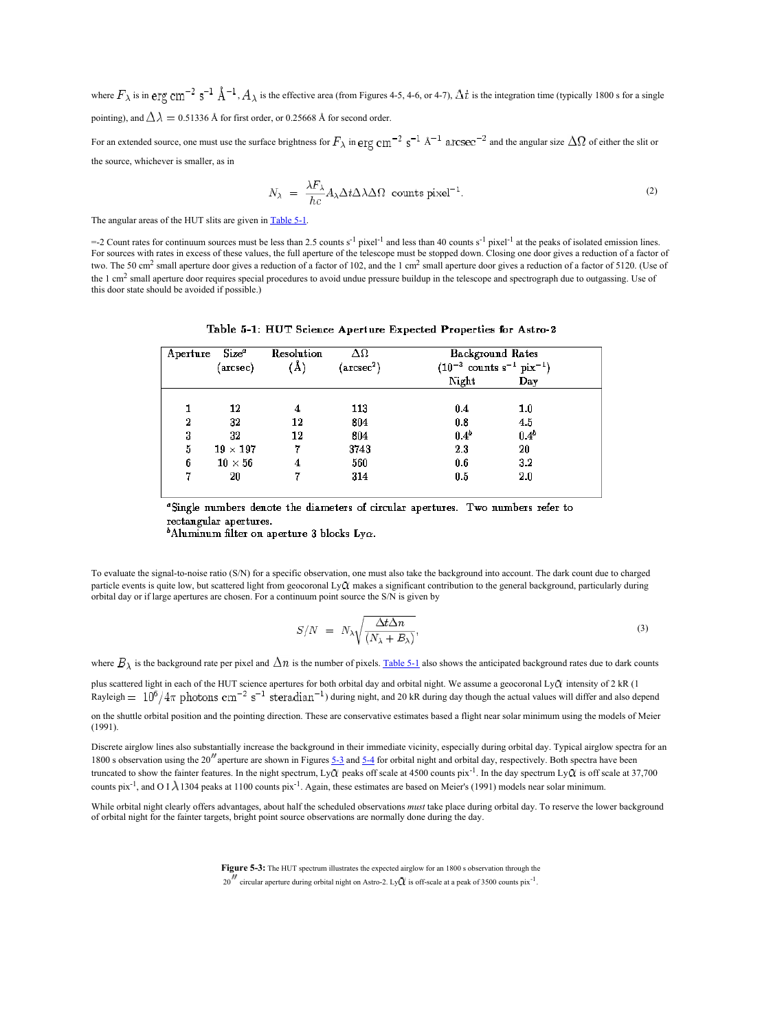<span id="page-49-2"></span>where  $\overline{F}_\lambda$  is in  $\rho$ ry  $\text{cm}^{-2}$  s<sup>-1</sup>  $\text{\AA}^{-1}$ ,  $\text{\AA}$  is the effective area (from Figures 4-5, 4-6, or 4-7),  $\Delta t$  is the integration time (typically 1800 s for a single pointing), and  $\Delta\lambda = 0.51336$  Å for first order, or 0.25668 Å for second order.

For an extended source, one must use the surface brightness for  $F_{\lambda}$  in  $\text{erg cm}^{-2}$  s<sup>-1</sup>  $\text{A}^{-1}$  a.rcsec<sup>-2</sup> and the angular size  $\Delta\Omega$  of either the slit or the source, whichever is smaller, as in

$$
N_{\lambda} = \frac{\lambda F_{\lambda}}{hc} A_{\lambda} \Delta t \Delta \lambda \Delta \Omega \text{ counts pixel}^{-1}.
$$
 (2)

The angular areas of the HUT slits are given in [Table](#page-49-1) 5-1.

<span id="page-49-1"></span>=-2 Count rates for continuum sources must be less than 2.5 counts s<sup>-1</sup> pixel<sup>-1</sup> and less than 40 counts s<sup>-1</sup> pixel<sup>-1</sup> at the peaks of isolated emission lines. For sources with rates in excess of these values, the full aperture of the telescope must be stopped down. Closing one door gives a reduction of a factor of two. The 50 cm<sup>2</sup> small aperture door gives a reduction of a factor of 102, and the 1 cm<sup>2</sup> small aperture door gives a reduction of a factor of 5120. (Use of the 1 cm<sup>2</sup> small aperture door requires special procedures to avoid undue pressure buildup in the telescope and spectrograph due to outgassing. Use of this door state should be avoided if possible.)

| Aperture       | Size <sup>o</sup> | Resolution | $\Delta\Omega$         | <b>Background Rates</b>                               |                  |
|----------------|-------------------|------------|------------------------|-------------------------------------------------------|------------------|
|                | (arcsec)          | (Å)        | (arcsec <sup>2</sup> ) | $(10^{-3}$ counts s <sup>-1</sup> pix <sup>-1</sup> ) |                  |
|                |                   |            |                        | Night                                                 | Day              |
|                | 12                |            | 113                    | 0.4                                                   | 1.0              |
| $\overline{2}$ | 32                | 12         | 804                    | 0.8                                                   | 4.5              |
| 3              | 32                | 12         | 804                    | 0.4 <sup>b</sup>                                      | 0.4 <sup>b</sup> |
| 5              | $19 \times 197$   |            | 3743                   | 2.3                                                   | 20               |
| 6              | $10 \times 56$    |            | 560                    | 0.6                                                   | 3.2              |
| 7              | 20                |            | 314                    | 0.5                                                   | 2.0              |

|  |  |  | Table 5-1: HUT Science Aperture Expected Properties for Astro-2 |  |
|--|--|--|-----------------------------------------------------------------|--|
|  |  |  |                                                                 |  |

"Single numbers denote the diameters of circular apertures. Two numbers refer to rectangular apertures.

<sup>5</sup>Aluminum filter on aperture 3 blocks Lyo.

To evaluate the signal-to-noise ratio (S/N) for a specific observation, one must also take the background into account. The dark count due to charged particle events is quite low, but scattered light from geocoronal LyQ makes a significant contribution to the general background, particularly during orbital day or if large apertures are chosen. For a continuum pointsource the S/N is given by

$$
S/N = N_{\lambda} \sqrt{\frac{\Delta t \Delta n}{\langle N_{\lambda} + B_{\lambda} \rangle}}, \tag{3}
$$

where  $B_1$  is the background rate per pixel and  $\Delta n$  is the number of pixels. [Table](#page-49-1) 5-1 also shows the anticipated background rates due to dark counts

plus scattered light in each of the HUT science apertures for both orbital day and orbital night. We assume a geocoronal Ly intensity of 2 kR (1 Rayleigh  $= 10^6/4\pi$  photons  $\rm cm^{-2}$  s<sup>-1</sup> steradian<sup>-1</sup>) during night, and 20 kR during day though the actual values will differ and also depend on the shuttle orbital position and the pointing direction. These are conservative estimates based a flight near solar minimum using the models of Meier

(1991). Discrete airglow lines also substantially increase the background in their immediate vicinity, especially during orbital day. Typical airglow spectra for an

1800 s observation using the 20<sup>%</sup> aperture are shown in Figures  $\frac{5.3}{1.4}$  for orbital night and orbital day, respectively. Both spectra have been truncated to show the fainter features. In the night spectrum, LyCl peaks off scale at 4500 counts pix<sup>-1</sup>. In the day spectrum LyCl is off scale at 37,700 counts pix<sup>-1</sup>, and O I  $\lambda$  1304 peaks at 1100 counts pix<sup>-1</sup>. Again, these estimates are based on Meier's (1991) models near solar minimum.

While orbital night clearly offers advantages, about half the scheduled observations must take place during orbital day. To reserve the lower background<br>of orbital night for the fainter targets, bright point source observa

<span id="page-49-0"></span>**Figure 5-3:** The HUT spectrum illustrates the expected airglow foran 1800 sobservation through the  $20''$  circular aperture during orbital night on Astro-2. Ly $\Omega$  is off-scale at a peak of 3500 counts pix<sup>-1</sup>.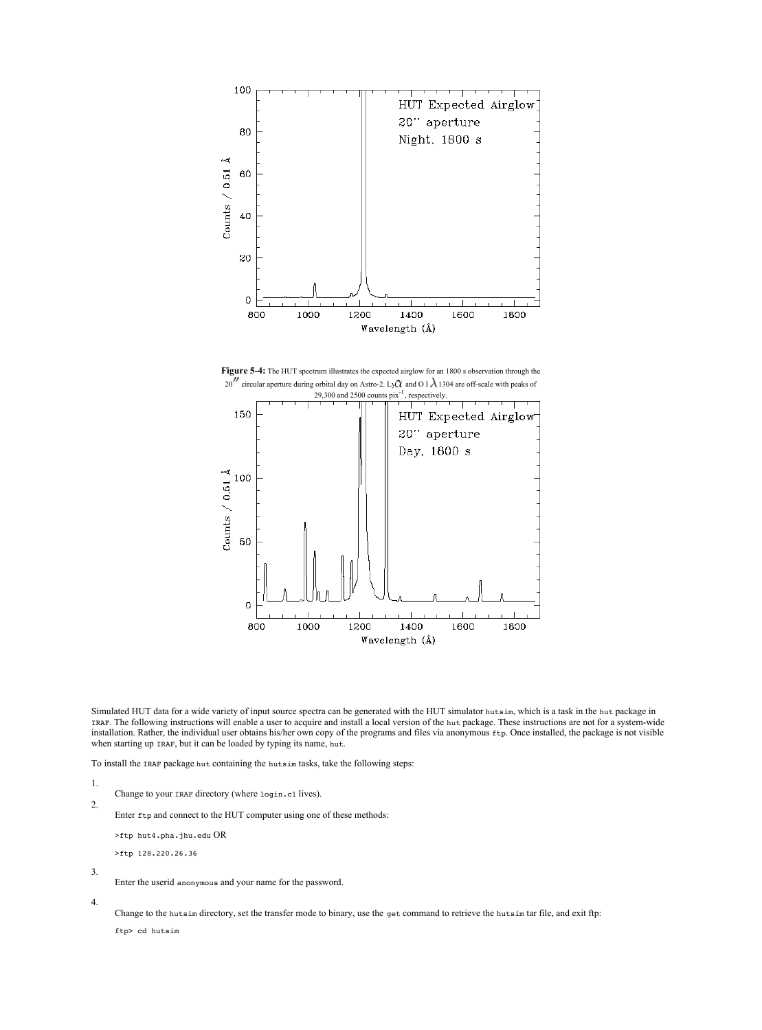

<span id="page-50-0"></span>



Simulated HUT data for a wide variety of input source spectra can be generated with the HUT simulator hutsim, which is a task in the hut package in IRAF. The following instructions will enable a user to acquire and install a local version of the hut package. These instructions are not for a system-wide installation. Rather, the individual user obtains his/her own copy of the programs and files via anonymous £1p. Once installed, the package is not visible<br>when starting up IRAF, but it can be loaded by typing its name, hut

To install the IRAF package hut containing the hutsim tasks, take the following steps:

1. 2.

Change to your rear directory (where login.cl lives).

Enter ftp and connect to the HUT computer using one of these methods:

```
>ftp hut4.pha.jhu.edu OR
```
>ftp 128.220.26.36

3. 4.

Enter the userid anonymous and your name for the password.

Change to the hutsim directory, set the transfer mode to binary, use the get command to retrieve the hutsim tar file, and exit ftp:

ftp> cd hutsim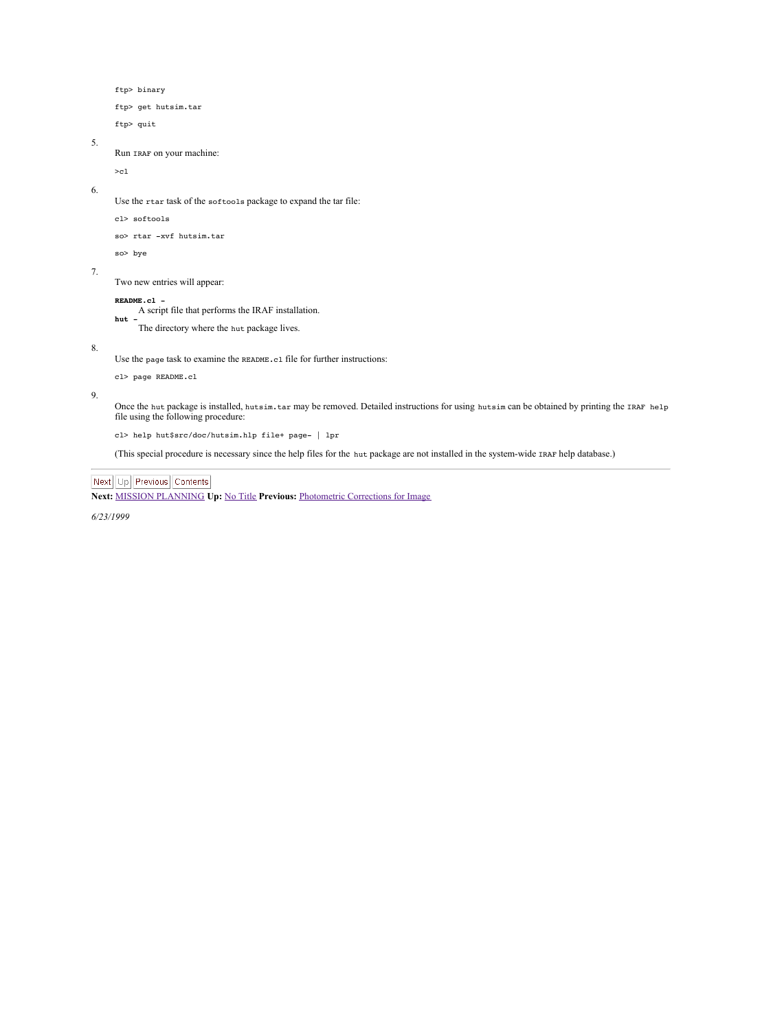```
ftp> binary
     ftp> get hutsim.tar
      ftp> quit
5. Run IRAF on your machine: \sim6. Use the rtar task of the softools package to expand the tar file: cl> softools
      so> rtar -xvf hutsim.tar
      so> bye
7. Two new entries will appear: README.cl - A script file that performs the IRAF installation. hut -The directory where the hut package lives.
```
8.

Use the page task to examine the README.e1 file for further instructions:

cl> page README.cl

9.

Once the hut package is installed, hutsim.tar may be removed. Detailed instructions for using hutsim can be obtained by printing the IRAF help file using the following procedure:

cl> help hut\$src/doc/hutsim.hlp file+ page- | lpr

(This special procedure is necessary since the help files for the hut package are not installed in the system-wide IRAF help database.)

## Next Up Previous Contents

**Next:** MISSION [PLANNING](#page-52-1) **Up:** No [Title](#page-0-0) **Previous:** [Photometric](#page-47-1) Corrections for Image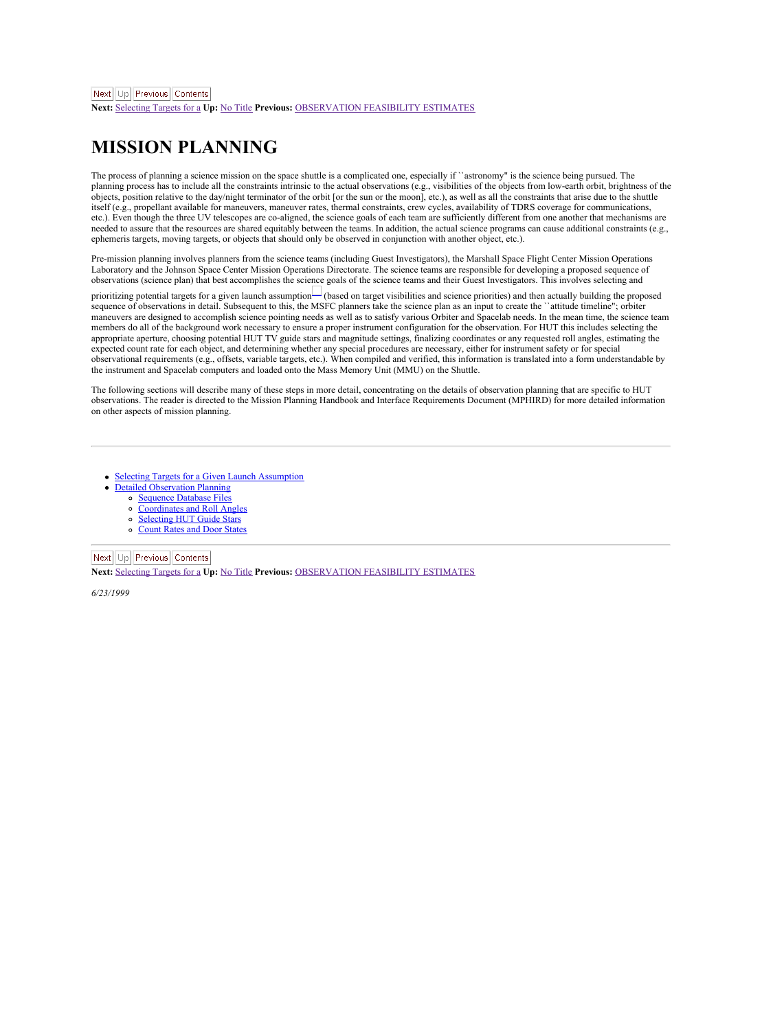<span id="page-52-1"></span>**Next:** [Selecting](#page-53-1) Targets for a **Up:** No [Title](#page-0-0) **Previous:** [OBSERVATION](#page-49-2) FEASIBILITY ESTIMATES

## <span id="page-52-0"></span>**MISSION PLANNING**

The process of planning a science mission on the space shuttle is a complicated one, especially if``astronomy" is the science being pursued. The planning process has to include all the constraints intrinsic to the actual observations (e.g., visibilities of the objects from low-earth orbit, brightness of the<br>objects, position relative to the day/night terminator of itself (e.g., propellant available for maneuvers, maneuver rates, thermal constraints, crew cycles, availability of TDRS coverage for communications, etc.). Even though the three UV telescopes are co-aligned, the science goals of each team are sufficiently different from one another that mechanisms are needed to assure that the resources are shared equitably between the teams. In addition, the actual science programs can cause additional constraints (e.g., ephemeris targets, moving targets, or objects that should only be observed in conjunction with another object, etc.).

Pre-mission planning involves planners from the science teams (including Guest Investigators), the Marshall Space Flight Center Mission Operations<br>Laboratory and the Johnson Space Center Mission Operations Directorate. The

observations (science plan) that best accomplishes the science goals of the science teams and their Guest Investigators. This involves selecting and<br>prioritizing potental targets for a given launch assumption<sup>11</sup> based on maneuvers are designed to accomplish science pointing needs as well as to satisfy various Orbiter and Spacelab needs. In the mean time, the science team members do all of the background work necessary to ensure a proper instrument configuration for the observation. For HUT this includes selecting the<br>appropriate aperture, choosing potential HUT TV guide stars and magnitude expected count rate for each object, and determining whether any special procedures are necessary, either for instrument safety or for special<br>observational requirements (e.g., offsets, variable targets, etc.). When compil the instrument and Spacelab computers and loaded onto the Mass Memory Unit (MMU) on the Shuttle.

The following sections will describe many of these steps in more detail, concentrating on the details of observation planning that are specific to HUT<br>observations. The reader is directed to the Mission Planning Handbook a on other aspects of mission planning.

- Selecting Targets for a Given Launch [Assumption](#page-53-0)
	- Detailed [Observation](#page-54-0) Planning
		- [Sequence](#page-55-0) Database Files
		- [Coordinates](#page-56-0) and Roll Angles
		- [Selecting](#page-57-0) HUT Guide Stars
		- [Count](#page-58-0) Rates and Door States

#### Next Up Previous Contents

**Next:** [Selecting](#page-53-1) Targets for a **Up:** No [Title](#page-0-0) **Previous:** [OBSERVATION](#page-49-2) FEASIBILITY ESTIMATES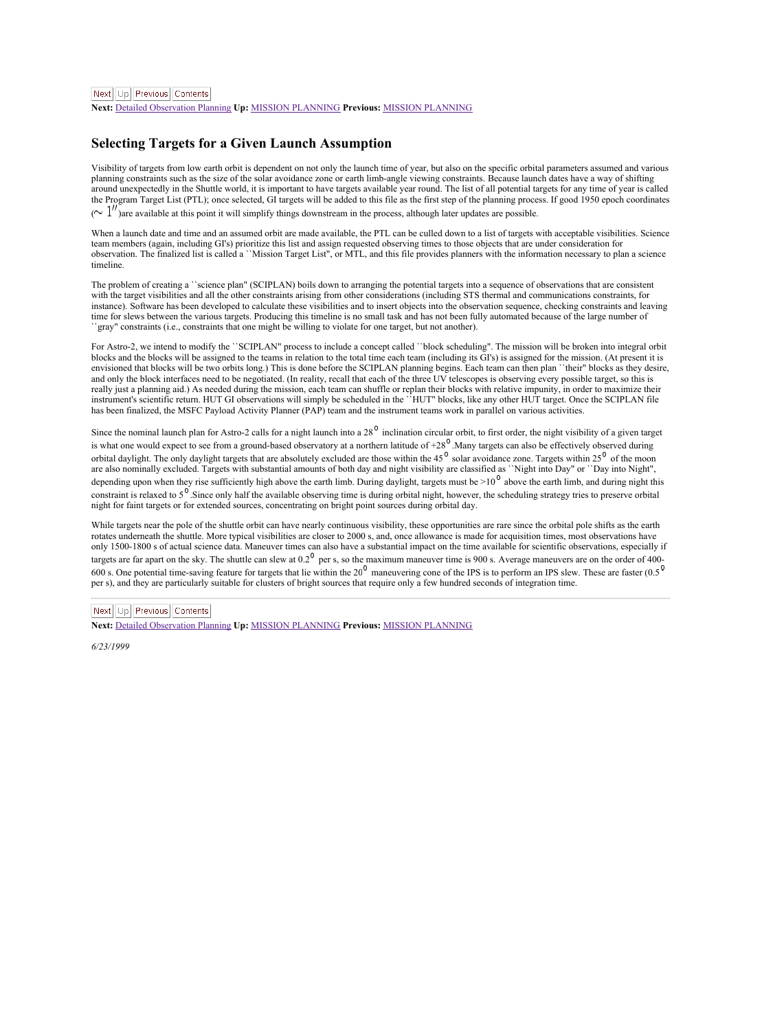<span id="page-53-1"></span>**Next:** Detailed [Observation](#page-54-1) Planning **Up:** MISSION [PLANNING](#page-52-1) **Previous:** MISSION [PLANNING](#page-52-1)

### <span id="page-53-0"></span>**Selecting Targets for a Given Launch Assumption**

Visibility of targets from low earth orbit is dependent on not only the launch time of year, but also on the specific orbital parameters assumed and various planning constraints such as the size of the solar avoidance zone or earth limb-angle viewing constraints. Because launch dates have a way of shifting around unexpectedly in the Shuttle world, it is important to have targets available year round. The list of all potential targets for any time of year is called the Program Target List (PTL); once selected, GI targets will be added to this file as the first step of the planning process. If good 1950 epoch coordinates  $( \sim l'')$ are available at this point it will simplify things downstream in the process, although later updates are possible.

When a launch date and time and an assumed orbit are made available, the PTL can be culled down to a list of targets with acceptable visibilities. Science team members (again, including GI's) prioritize this list and assign requested observing times to those objects that are under consideration for<br>observation. The finalized list is called a "Mission Target List", or MTL, an timeline.

The problem of creating a "science plan" (SCIPLAN) boils down to arranging the potential targets into a sequence of observations that are consistent<br>with the target visibilities and all the other constraints arising from o instance). Software has been developed to calculate these visibilities and to insert objects into the observation sequence, checking constraints and leaving time for slews between the various targets. Producing this timeline is no small task and has not been fully automated because of the large number of ``gray" constraints (i.e., constraints that one might be willing to violate for one target, but not another).

For Astro-2, we intend to modify the ``SCIPLAN" process to include a concept called ``block scheduling". The mission will be broken into integral orbit blocks and the blocks will be assigned to the teams in relation to the total time each team (including its GI's) is assigned for the mission. (At present it is envisioned that blocks will be two orbits long.) This is done before the SCIPLAN planning begins. Each team can then plan ``their" blocks as they desire, and only the block interfaces need to be negotiated. (In reality, recall that each of the three UV telescopes is observing every possible target, so this is really just a planning aid.) As needed during the mission, each team can shuffle or replan their blocks with relative impunity, in order to maximize their blocks with relative impunity, in order to maximize their instrument's scientific return. HUT GI observations will simply be scheduled in the ``HUT" blocks, like any other HUT target. Once the SCIPLAN file has been finalized, the MSFC Payload Activity Planner (PAP) team and the instrument teams work in parallel on various activities.

Since the nominal launch plan for Astro-2 calls for a night launch into a  $28^\circ$  inclination circular orbit, to first order, the night visibility of a given target is what one would expect to see from a ground-based observatory ata northern latitude of +28 .Many targets can also be effectively observed during orbital daylight. The only daylight targets that are absolutely excluded are those within the 45° solar avoidance zone. Targets within 25° of the moon<br>are also nominally excluded. Targets with substantial amounts of both d depending upon when they rise sufficiently high above the earth limb. During daylight, targets must be  $>10<sup>6</sup>$  above the earth limb, and during night this constraint is relaxed to 5<sup>0</sup>. Since only half the available observing time is during orbital night, however, the scheduling strategy tries to preserve orbital night for faint targets or for extended sources, concentrating on bright point sources during orbital day.

While targets near the pole of the shuttle orbit can have nearly continuous visibility, these opportunities are rare since the orbital pole shifts as the earth rotates underneath the shuttle. More typical visibilities are closer to 2000 s, and, once allowance is made for acquisition times, most observations have<br>only 1500-1800 s of actual science data. Maneuver times can also hav only 1500-1800 s of actual science data, maneuver units can also say a maximum maneuver time is 900 s. Average maneuvers are on the order of 400-<br>targets are far apart on the sky. The shuttle can slew at  $0.2<sup>0</sup>$  per 600 s. One potential time-saving feature for targets that lie within the  $20^9$  maneuvering cone of the IPS is to perform an IPS slew. These are faster (0.5 per s), and they are particularly suitable for clusters of bright sources that require only a few hundred seconds of integration time.

## Next Ltd Previous Contents

**Next:** Detailed [Observation](#page-54-1) Planning **Up:** MISSION [PLANNING](#page-52-1) **Previous:** MISSION [PLANNING](#page-52-1)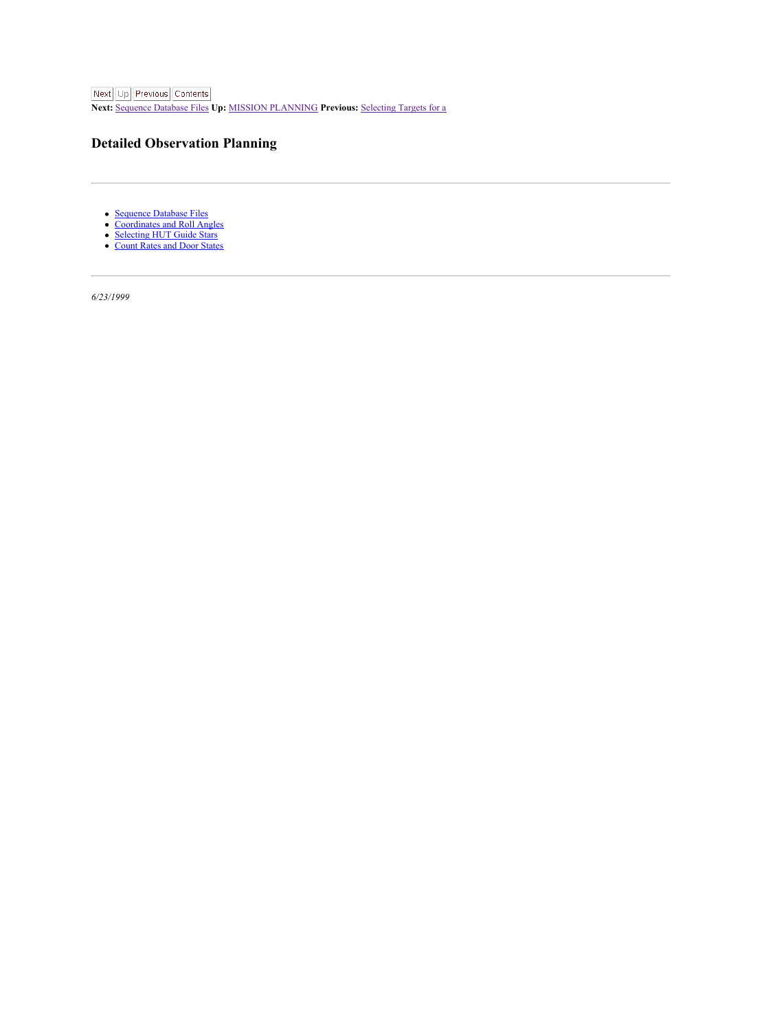<span id="page-54-1"></span>**Next:** [Sequence](#page-55-1) Database Files **Up:** MISSION [PLANNING](#page-52-1) **Previous:** [Selecting](#page-53-1) Targets for a

## <span id="page-54-0"></span>**Detailed Observation Planning**

- [Sequence](#page-55-0) Database Files
- [Coordinates](#page-56-0) and Roll Angles  $\ddot{\cdot}$
- [Selecting](#page-57-0) HUT Guide Stars [Count](#page-58-0) Rates and Door States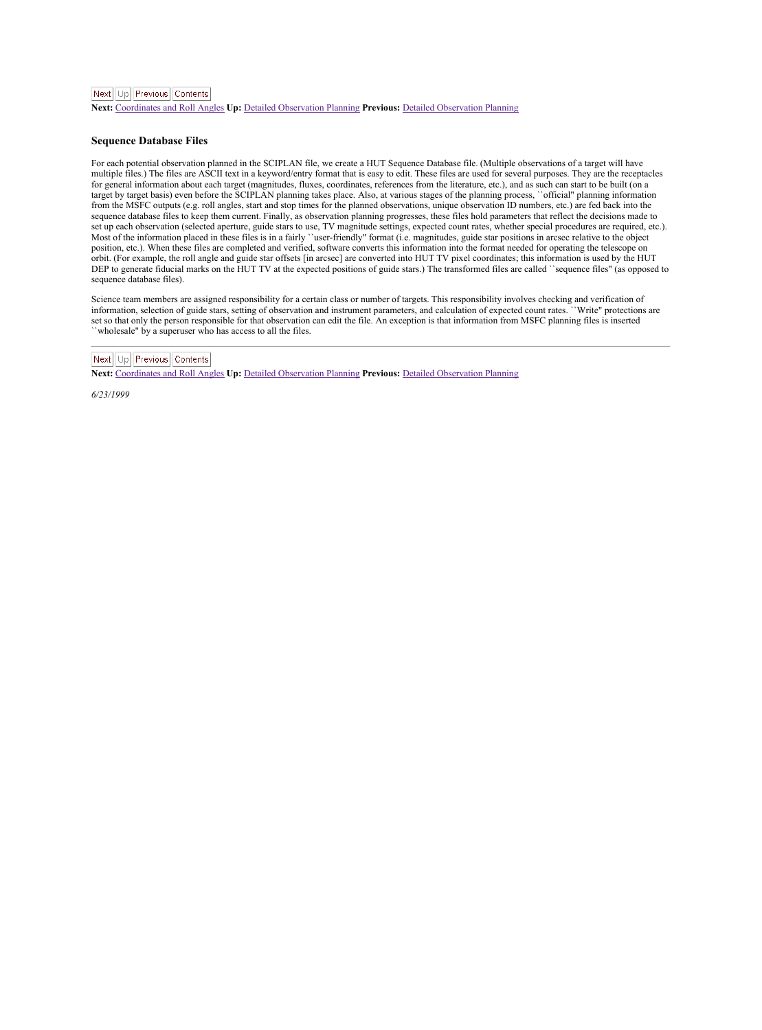### <span id="page-55-1"></span>Next Ltd Previous Contents

**Next:** [Coordinates](#page-56-1) and Roll Angles **Up:** Detailed [Observation](#page-54-1) Planning **Previous:** Detailed [Observation](#page-54-1) Planning

#### <span id="page-55-0"></span>**Sequence Database Files**

For each potential observation planned in the SCIPLAN file, we create a HUT Sequence Database file. (Multiple observations of a target will have<br>multiple files.) The files are ASCII text in a keyword/entry format that is e for general information about each target (magnitudes, fluxes, coordinates, references from theliterature, etc.), and as such can start to be built (on a target by target basis) even before the SCIPLAN planning takes place. Also, at various stages of the planning process, "official" planning information from theMSFC outputs (e.g. roll angles, start and stop times for the planned observations, unique observation ID numbers, etc.) are fed back into the sequence database files to keep them current. Finally, as observation planning progresses, these files hold parameters that reflect the decisions made to set up each observation (selected aperture, guide stars to use, TV magnitude settings, expected count rates, whether special procedures are required, etc.). Most of the information placed in these files is in a fairly ``user-friendly" format (i.e. magnitudes, guide star positions in arcsec relative to the object position, etc.). When these files are completed and verified, software converts this information into the format needed for operating the telescope on position, etc.). When these files are completed and verified, software orbit. (For example, the roll angle and guide star offsets [in arcsec] are converted into HUT TV pixel coordinates; this information is used by the HUT DEP to generate fiducial marks on the HUT TV at the expected positions of guide stars.) The transformed files are called ``sequence files" (as opposed to sens w generate material.<br>commence database files).

Science team members are assigned responsibility for a certain class or number of targets. This responsibility involves checking and verification of information, selection of guide stars, setting of observation and instrument parameters, and calculation of expected count rates. ``Write" protections are<br>set so that only the person responsible for that observation can ed ``wholesale" by a superuser who has access to all the files.

## Next | Up | Previous | Contents

**Next:** [Coordinates](#page-56-1) and Roll Angles **Up:** Detailed [Observation](#page-54-1) Planning **Previous:** Detailed [Observation](#page-54-1) Planning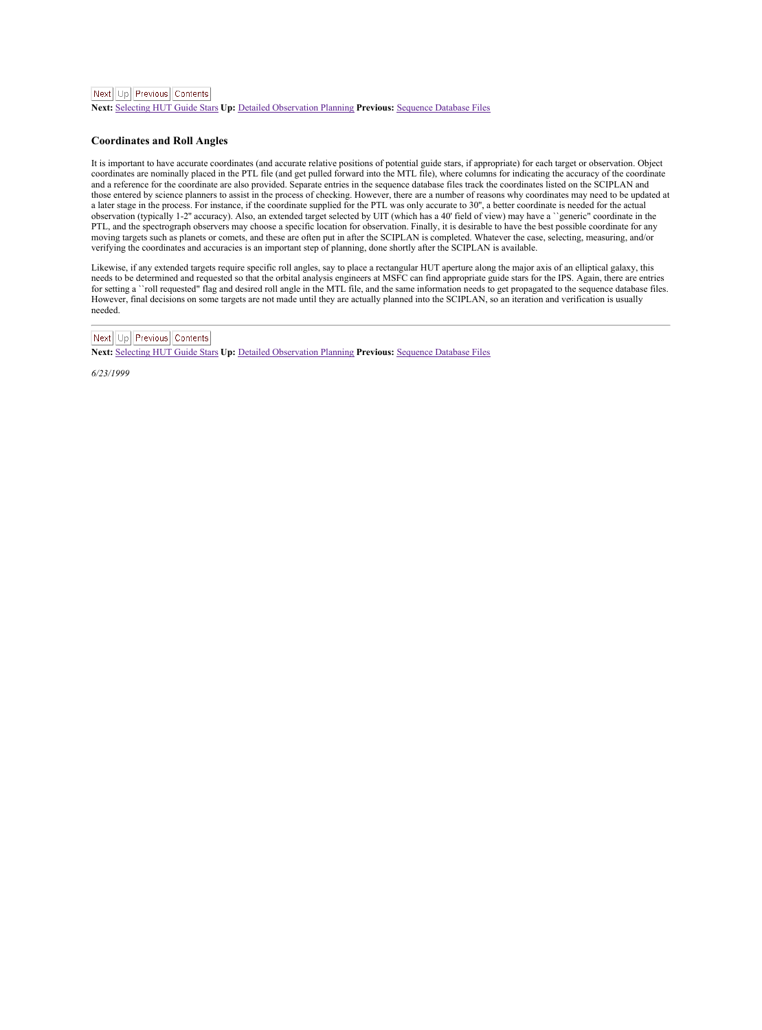<span id="page-56-1"></span>**Next:** [Selecting](#page-57-1) HUT Guide Stars **Up:** Detailed [Observation](#page-54-1) Planning **Previous:** [Sequence](#page-55-1) Database Files

#### <span id="page-56-0"></span>**Coordinates and Roll Angles**

It is important to have accurate coordinates (and accurate relative positions of potential guide stars, if appropriate) for each target or observation. Object<br>coordinates are nominally placed in the PTL file (and get pulle and a reference for the coordinate are also provided. Separate entries in the sequence database files track the coordinates listed on the SCIPLAN and those entered by science planners to assist in the process of checking. However, there are a number of reasons why coordinates may need to be updated at<br>a later stage in the process. For instance, if the coordinate supplie observation (typically 1-2" accuracy). Also, an extended target selected by UIT (which has a 40' field of view) may have a "generic" coordinate in the<br>PTL, and the spectrograph observers may choose a specific location for moving targets such as planets or comets, and these are often put in after the SCIPLAN is completed. Whatever the case, selecting, measuring, and/or verifying the coordinates and accuracies is an important step of planning, done shortly after the SCIPLAN is available.

Likewise, if any extended targets require specific roll angles, say to place a rectangular HUT aperture along the major axis of an elliptical galaxy, this needs to be determined and requested so that the orbital analysis engineers at MSFC can find appropriate guide stars for the IPS. Again, there are entries for setting a "roll requested" flag and desired roll angle in the MTL file, and the same information needs to get propagated to the sequence database files.<br>However, final decisions on some targets are not made until they needed.

## Next Up Previous Contents

**Next:** [Selecting](#page-57-1) HUT Guide Stars **Up:** Detailed [Observation](#page-54-1) Planning **Previous:** [Sequence](#page-55-1) Database Files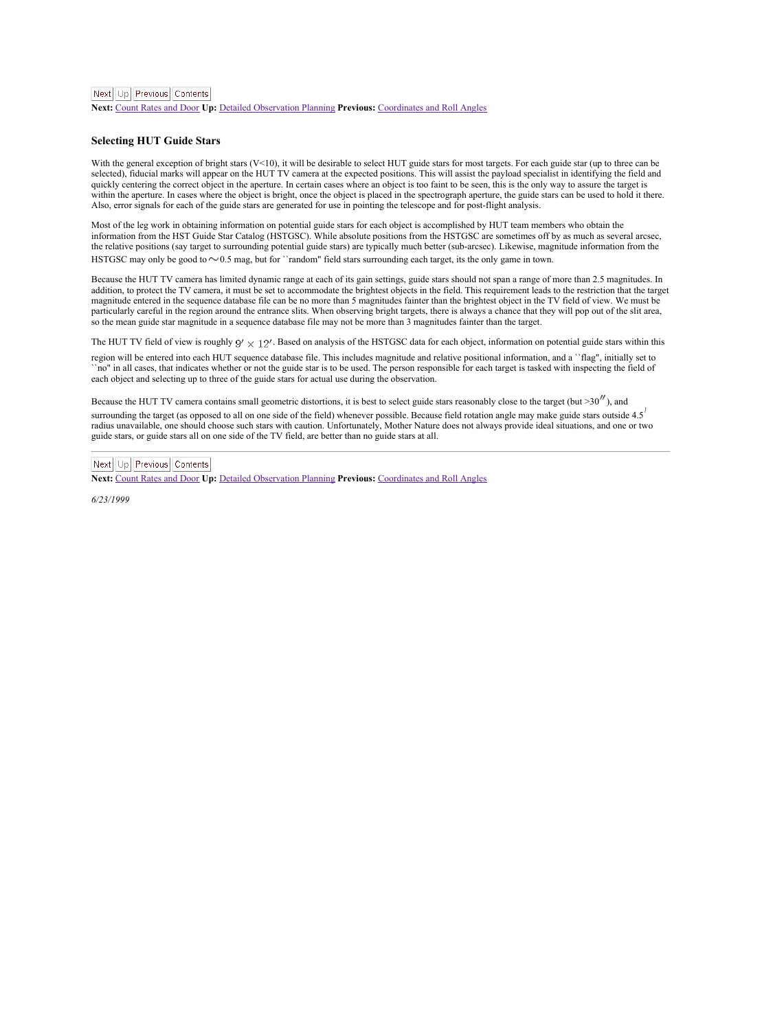<span id="page-57-1"></span>Next Ltd Previous Contents

**Next: [Count](#page-58-1) Rates and Door Up: Detailed [Observation](#page-54-1) Planning Previous: [Coordinates](#page-56-1) and Roll Angle** 

#### <span id="page-57-0"></span>**Selecting HUT Guide Stars**

With the general exception of bright stars (V<10), it will be desirable to select HUT guide stars for most targets. For each guide star (up to three can be<br>selected), fiducial marks will appear on the HUT TV camera at the quickly centering the correct object in the aperture. In certain cases where an object is too faint to be seen, this is the only way to assure the target is within the aperture. In cases where the object is bright, once the object is placed in the spectrograph aperture, the guide stars can be used to hold it there. Also, error signals for each of the guide stars are generated for use in pointing the telescope and for post-flight analysis.

Most of the leg work in obtaining information on potential guide stars for each object is accomplished by HUT team members who obtain the information from the HST Guide Star Catalog (HSTGSC). While absolute positions from the HSTGSC are sometimes off by as much as several arcsec. measurements and the control of the strength of the strength of the strength of the strength of the strength of the strength of the strength of the strength of the strength of the strength of the strength of the strength

Because the HUT TV camera has limited dynamic range at each of its gain settings, guide stars should not span a range of more than 2.5 magnitudes. In addition, to protect the TV camera, it must be set to accommodate the brightest objects in the field. This requirement leads to the restriction that the target magnitude entered in the sequence database file can be no more than 5 magnitudes fainter than the brightest object in the TV field of view. We must be particularly careful in the region around the entrance slits. When observing bright targets, there is always a chance that they will pop out of the slit area, so the mean guide star magnitude in a sequence database file may not be more than 3 magnitudes fainter than the target.

The HUT TV field of view is roughly  $9' \times 12'$ . Based on analysis of the HSTGSC data for each object, information on potential guide stars within this

region will be entered into each HUT sequence database file. This includes magnitude and relative positional information, and a "flag", initially set to<br>"no" in all cases, that indicates whether or not the guide star is to each object and selecting up to three of the guide stars for actual use during the observation.

Because the HUT TV camera contains small geometric distortions, it is best to select guide stars reasonably close to the target (but  $>30''$ ), and surrounding the target (as opposed to all on one side of the field) whenever possible. Because field rotation angle may make guide stars outside 4.5 radius unavailable, one should choose such stars with caution. Unfortunately, Mother Nature does not always provide ideal situations, and one or two guide stars, or guide stars all on one side of the TV field, are better than no guide stars at all.

## Next Lin Previous Contents

**Next:** [Count](#page-58-1) Rates and Door **Up:** Detailed [Observation](#page-54-1) Planning **Previous:** [Coordinates](#page-56-1) and Roll Angles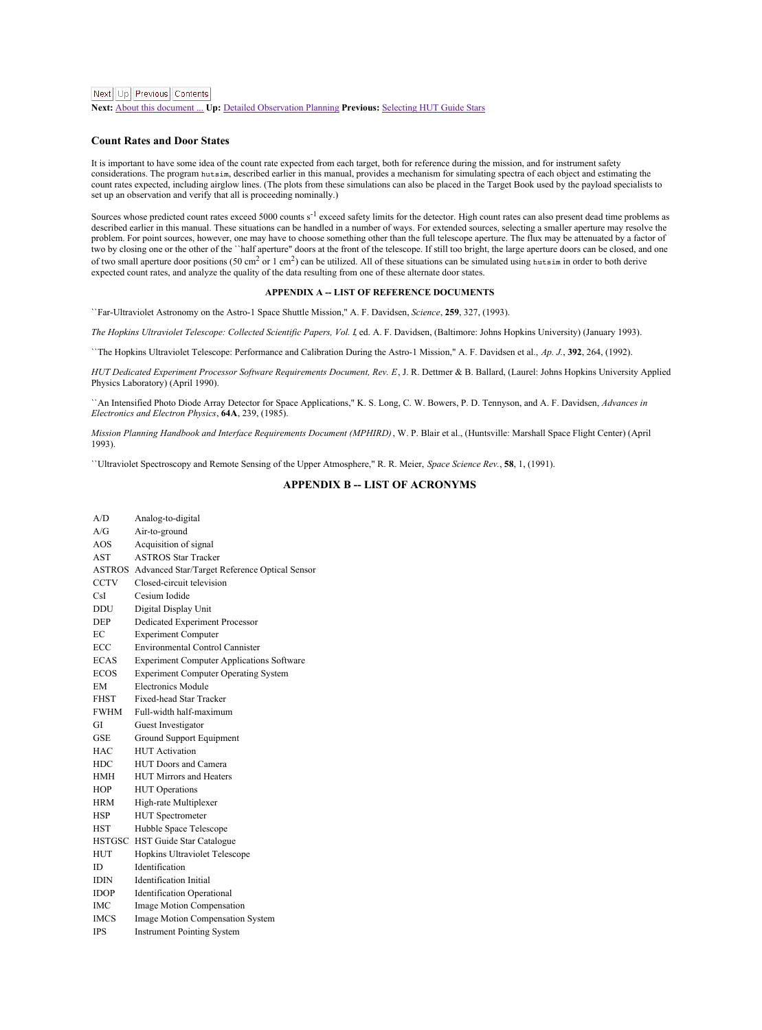<span id="page-58-1"></span>**Next:** About this [document](#page-60-1) ... **Up:** Detailed [Observation](#page-54-1) Planning **Previous:** [Selecting](#page-57-1) HUT Guide Stars

#### <span id="page-58-0"></span>**Count Rates and Door States**

It is important to have some idea of the count rate expected from each target, both for reference during the mission, and for instrument safety<br>considerations. The program tweatin, described earlier in this manual, provide count rates expected, including airglow lines. (The plots from these simulations can also be placed in the Target Book used by the payload specialists to set up an observation and verify that all is proceeding nominally.)

Sources whose predicted count rates exceed 5000 counts s<sup>-1</sup> exceed safety limits for the detector. High count rates can also present dead time problems as described earlier in this manual. These situations can be handled in a number of ways. For extended sources, selecting a smaller aperture may resolve the problem. For point sources, however, one may have to choose something other than the full telescope aperture. The flux may be attenuated by a factor of<br>two by closing one or the other of the "half aperture" doors at the fr of two small aperture door positions (50 cm<sup>2</sup> or 1 cm<sup>2</sup>) can be utilized. All of these situations can be simulated using hutsim in order to both derive expected count rates, and analyze the quality of the data resulting from one of these alternate door states.

#### **APPENDIX A -- LIST OF REFERENCE DOCUMENTS**

``Far-Ultraviolet Astronomy on the Astro-1 Space Shuttle Mission," A. F. Davidsen, *Science*, **259**, 327, (1993).

*The Hopkins Ultraviolet Telescope: Collected Scientific Papers, Vol. I*, ed. A. F. Davidsen, (Baltimore: Johns Hopkins University) (January 1993).

``The Hopkins Ultraviolet Telescope: Performance and Calibration During the Astro-1 Mission," A. F. Davidsen etal., *Ap. J.*, **392**, 264, (1992).

*HUT Dedicated Experiment Processor Software Requirements Document, Rev. E*, J. R. Dettmer & B. Ballard, (Laurel: Johns Hopkins University Applied Physics Laboratory) (April 1990).

``An Intensified Photo Diode Array Detector for Space Applications," K. S. Long, C. W. Bowers, P. D. Tennyson, and A. F. Davidsen, *Advances in Electronics and Electron Physics*, **64A**, 239, (1985).

*Mission Planning Handbook and Interface Requirements Document (MPHIRD)*, W. P. Blair et al., (Huntsville: Marshall Space Flight Center) (April 1993).

``Ultraviolet Spectroscopy and Remote Sensing of the Upper Atmosphere," R. R. Meier, *Space Science Rev.*, **58**, 1, (1991).

#### **APPENDIX B -- LIST OF ACRONYMS**

| A/D           | Analog-to-digital                                    |
|---------------|------------------------------------------------------|
| A/G           | Air-to-ground                                        |
| AOS           | Acquisition of signal                                |
| <b>AST</b>    | <b>ASTROS Star Tracker</b>                           |
|               | ASTROS Advanced Star/Target Reference Optical Sensor |
| CCTV          | Closed circuit television                            |
| Cel           | Cesium Iodide                                        |
| DDIT          | Digital Display Unit                                 |
| <b>DEP</b>    | Dedicated Experiment Processor                       |
| FC            | <b>Experiment Computer</b>                           |
| ECC           | Environmental Control Cannister                      |
| <b>FCAS</b>   | <b>Experiment Computer Applications Software</b>     |
| <b>ECOS</b>   | <b>Experiment Computer Operating System</b>          |
| <b>FM</b>     | <b>Electronics Module</b>                            |
| <b>FHST</b>   | Fixed-head Star Tracker                              |
| <b>FWHM</b>   | Full-width half-maximum                              |
| GI            | Guest Investigator                                   |
| GSE           | Ground Support Equipment                             |
| HAC           | <b>HIT Activation</b>                                |
| <b>HDC</b>    | HUT Doors and Camera                                 |
| <b>HMH</b>    | HUT Mirrors and Heaters                              |
| HOP           | <b>HUT</b> Operations                                |
| <b>HRM</b>    | High-rate Multiplexer                                |
| HSP           | <b>HUT</b> Spectrometer                              |
| <b>HST</b>    | Hubble Space Telescope                               |
| <b>HSTGSC</b> | HST Guide Star Catalogue                             |
| HUT           | Hopkins Ultraviolet Telescope                        |
| ID.           | Identification                                       |
| <b>IDIN</b>   | <b>Identification</b> Initial                        |
| <b>IDOP</b>   | <b>Identification Operational</b>                    |
| <b>IMC</b>    | Image Motion Compensation                            |
| <b>IMCS</b>   | Image Motion Compensation System                     |
| <b>TPS</b>    | <b>Instrument Pointing System</b>                    |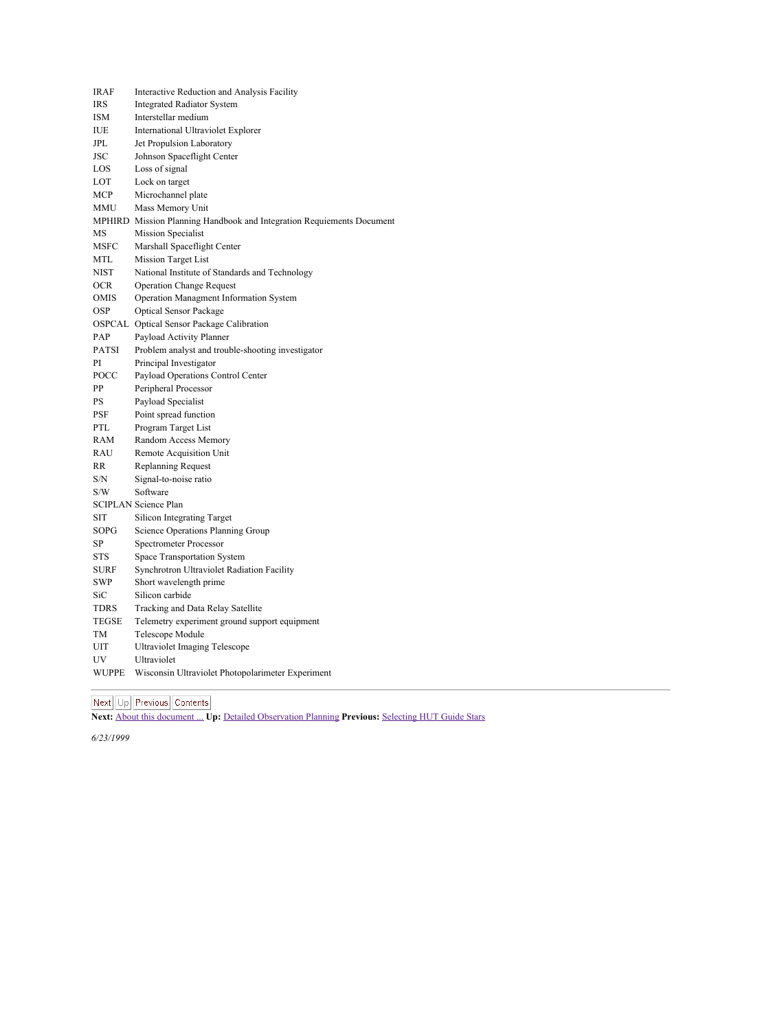| <b>IRAF</b>    | Interactive Reduction and Analysis Facility                           |
|----------------|-----------------------------------------------------------------------|
| <b>TRS</b>     | <b>Integrated Radiator System</b>                                     |
| <b>ISM</b>     | Interstellar medium                                                   |
| IUE            | International Ultraviolet Explorer                                    |
| IPL.           | Jet Propulsion Laboratory                                             |
| <b>ISC</b>     | Johnson Spaceflight Center                                            |
| LOS            | Loss of signal                                                        |
| LOT            | Lock on target                                                        |
| MCP            | Microchannel plate                                                    |
| <b>MMIT</b>    | Mass Memory Unit                                                      |
|                | MPHIRD Mission Planning Handbook and Integration Requiements Document |
| MS             | <b>Mission Specialist</b>                                             |
| <b>MSEC</b>    | Marshall Spaceflight Center                                           |
| MTL            | Mission Target List                                                   |
| <b>NIST</b>    | National Institute of Standards and Technology                        |
| OCR            | <b>Operation Change Request</b>                                       |
| OMIS           | Operation Managment Information System                                |
| OSP            | Optical Sensor Package                                                |
|                | OSPCAL Optical Sensor Package Calibration                             |
| PAP            | Payload Activity Planner                                              |
| <b>PATSI</b>   | Problem analyst and trouble-shooting investigator                     |
| P <sub>1</sub> | Principal Investigator                                                |
| POCC           | Payload Operations Control Center                                     |
| PP             | Peripheral Processor                                                  |
| PS             | Payload Specialist                                                    |
| <b>PSF</b>     | Point spread function                                                 |
| PTL.           | Program Target List                                                   |
| RAM            | Random Access Memory                                                  |
| RALL           | <b>Remote Acquisition Unit</b>                                        |
| <b>RR</b>      | <b>Replanning Request</b>                                             |
| S/N            | Signal-to-noise ratio                                                 |
| S/W            | Software                                                              |
|                | <b>SCIPLAN Science Plan</b>                                           |
| <b>SIT</b>     | Silicon Integrating Target                                            |
| SOPG-          | Science Operations Planning Group                                     |
| SP             | Spectrometer Processor                                                |
| <b>STS</b>     | Space Transportation System                                           |
| <b>SLIRE</b>   | Synchrotron Ultraviolet Radiation Facility                            |
| <b>SWP</b>     | Short wavelength prime                                                |
| SiC            | Silicon carbide                                                       |
| <b>TDRS</b>    | Tracking and Data Relay Satellite                                     |
| <b>TEGSE</b>   | Telemetry experiment ground support equipment                         |
| TM             | Telescone Module                                                      |
| <b>LITT</b>    | Ultraviolet Imaging Telescope                                         |
| <b>IIV</b>     | Ultraviolet                                                           |
| <b>WIIPPE</b>  | Wisconsin Ultraviolet Photopolarimeter Experiment                     |

**Next:** About this [document](#page-60-1) ... **Up:** Detailed [Observation](#page-54-1) Planning **Previous:** [Selecting](#page-57-1) HUT Guide Stars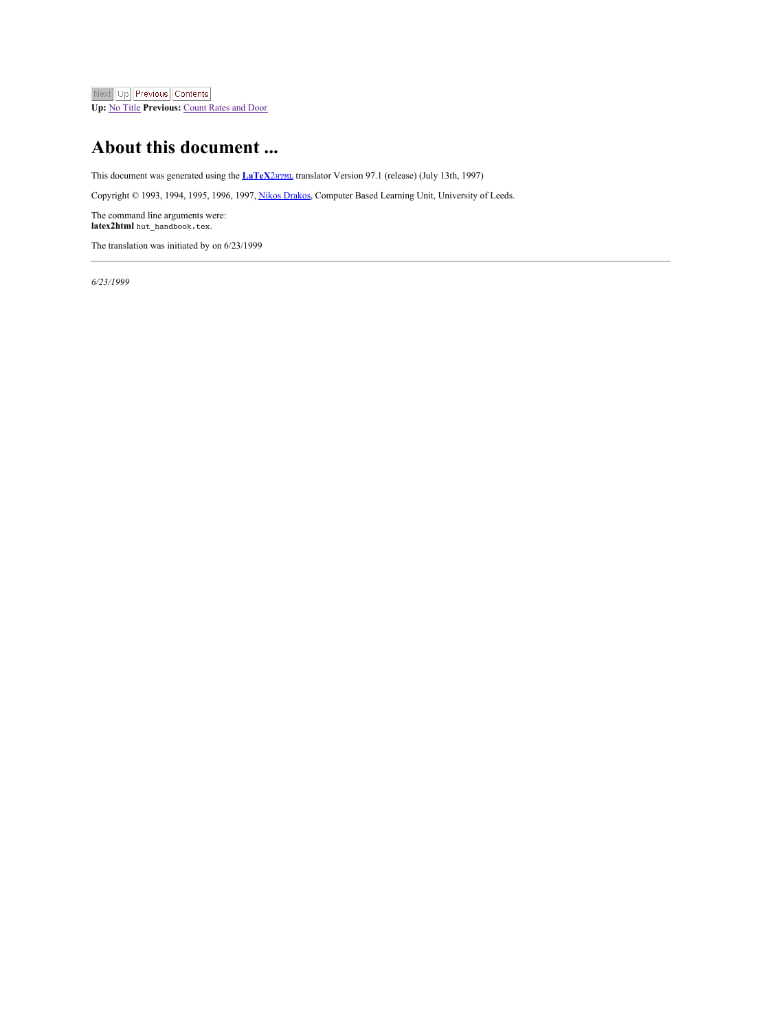<span id="page-60-1"></span>Next Up Previous Contents

**Up:** No [Title](#page-0-0) **Previous:** [Count](#page-58-1) Rates and Door

## <span id="page-60-0"></span>**About this document ...**

This document was generated using the **[LaTeX](http://www-dsed.llnl.gov/files/programs/unix/latex2html/manual/)2**HTML translator Version 97.1 (release) (July 13th, 1997)

Copyright © 1993, 1994, 1995, 1996, 1997, Nikos [Drakos](http://cbl.leeds.ac.uk/nikos/personal.html), Computer Based Learning Unit, University of Leeds.

The command line arguments were: **latex2html** hut\_handbook.tex.

The translation was initiated by on 6/23/1999